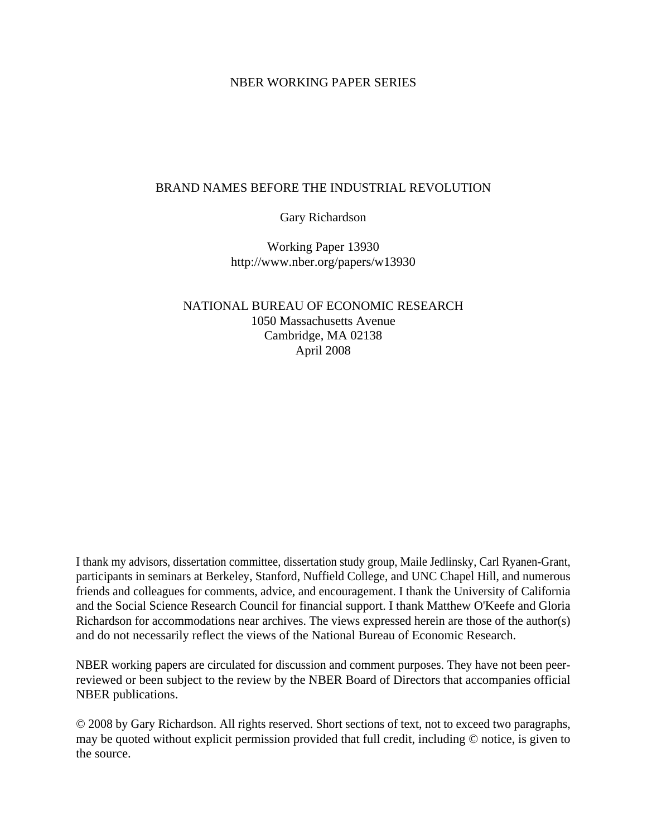### NBER WORKING PAPER SERIES

### BRAND NAMES BEFORE THE INDUSTRIAL REVOLUTION

Gary Richardson

Working Paper 13930 http://www.nber.org/papers/w13930

NATIONAL BUREAU OF ECONOMIC RESEARCH 1050 Massachusetts Avenue Cambridge, MA 02138 April 2008

I thank my advisors, dissertation committee, dissertation study group, Maile Jedlinsky, Carl Ryanen-Grant, participants in seminars at Berkeley, Stanford, Nuffield College, and UNC Chapel Hill, and numerous friends and colleagues for comments, advice, and encouragement. I thank the University of California and the Social Science Research Council for financial support. I thank Matthew O'Keefe and Gloria Richardson for accommodations near archives. The views expressed herein are those of the author(s) and do not necessarily reflect the views of the National Bureau of Economic Research.

NBER working papers are circulated for discussion and comment purposes. They have not been peerreviewed or been subject to the review by the NBER Board of Directors that accompanies official NBER publications.

© 2008 by Gary Richardson. All rights reserved. Short sections of text, not to exceed two paragraphs, may be quoted without explicit permission provided that full credit, including © notice, is given to the source.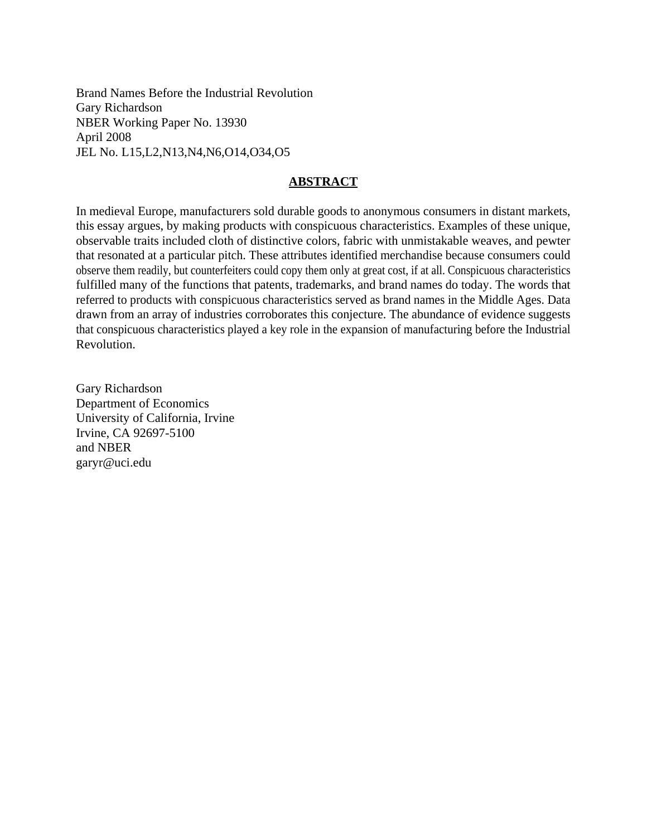Brand Names Before the Industrial Revolution Gary Richardson NBER Working Paper No. 13930 April 2008 JEL No. L15,L2,N13,N4,N6,O14,O34,O5

### **ABSTRACT**

In medieval Europe, manufacturers sold durable goods to anonymous consumers in distant markets, this essay argues, by making products with conspicuous characteristics. Examples of these unique, observable traits included cloth of distinctive colors, fabric with unmistakable weaves, and pewter that resonated at a particular pitch. These attributes identified merchandise because consumers could observe them readily, but counterfeiters could copy them only at great cost, if at all. Conspicuous characteristics fulfilled many of the functions that patents, trademarks, and brand names do today. The words that referred to products with conspicuous characteristics served as brand names in the Middle Ages. Data drawn from an array of industries corroborates this conjecture. The abundance of evidence suggests that conspicuous characteristics played a key role in the expansion of manufacturing before the Industrial Revolution.

Gary Richardson Department of Economics University of California, Irvine Irvine, CA 92697-5100 and NBER garyr@uci.edu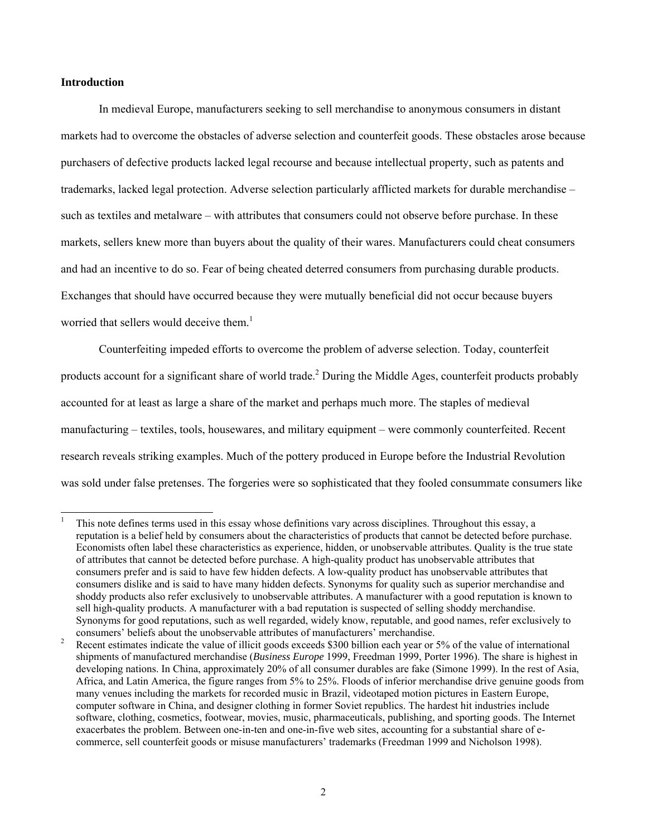#### **Introduction**

l

In medieval Europe, manufacturers seeking to sell merchandise to anonymous consumers in distant markets had to overcome the obstacles of adverse selection and counterfeit goods. These obstacles arose because purchasers of defective products lacked legal recourse and because intellectual property, such as patents and trademarks, lacked legal protection. Adverse selection particularly afflicted markets for durable merchandise – such as textiles and metalware – with attributes that consumers could not observe before purchase. In these markets, sellers knew more than buyers about the quality of their wares. Manufacturers could cheat consumers and had an incentive to do so. Fear of being cheated deterred consumers from purchasing durable products. Exchanges that should have occurred because they were mutually beneficial did not occur because buyers worried that sellers would deceive them.<sup>1</sup>

Counterfeiting impeded efforts to overcome the problem of adverse selection. Today, counterfeit products account for a significant share of world trade.<sup>2</sup> During the Middle Ages, counterfeit products probably accounted for at least as large a share of the market and perhaps much more. The staples of medieval manufacturing – textiles, tools, housewares, and military equipment – were commonly counterfeited. Recent research reveals striking examples. Much of the pottery produced in Europe before the Industrial Revolution was sold under false pretenses. The forgeries were so sophisticated that they fooled consummate consumers like

<sup>1</sup> This note defines terms used in this essay whose definitions vary across disciplines. Throughout this essay, a reputation is a belief held by consumers about the characteristics of products that cannot be detected before purchase. Economists often label these characteristics as experience, hidden, or unobservable attributes. Quality is the true state of attributes that cannot be detected before purchase. A high-quality product has unobservable attributes that consumers prefer and is said to have few hidden defects. A low-quality product has unobservable attributes that consumers dislike and is said to have many hidden defects. Synonyms for quality such as superior merchandise and shoddy products also refer exclusively to unobservable attributes. A manufacturer with a good reputation is known to sell high-quality products. A manufacturer with a bad reputation is suspected of selling shoddy merchandise. Synonyms for good reputations, such as well regarded, widely know, reputable, and good names, refer exclusively to consumers' beliefs about the unobservable attributes of manufacturers' merchandise. 2

Recent estimates indicate the value of illicit goods exceeds \$300 billion each year or 5% of the value of international shipments of manufactured merchandise (*Business Europe* 1999, Freedman 1999, Porter 1996). The share is highest in developing nations. In China, approximately 20% of all consumer durables are fake (Simone 1999). In the rest of Asia, Africa, and Latin America, the figure ranges from 5% to 25%. Floods of inferior merchandise drive genuine goods from many venues including the markets for recorded music in Brazil, videotaped motion pictures in Eastern Europe, computer software in China, and designer clothing in former Soviet republics. The hardest hit industries include software, clothing, cosmetics, footwear, movies, music, pharmaceuticals, publishing, and sporting goods. The Internet exacerbates the problem. Between one-in-ten and one-in-five web sites, accounting for a substantial share of ecommerce, sell counterfeit goods or misuse manufacturers' trademarks (Freedman 1999 and Nicholson 1998).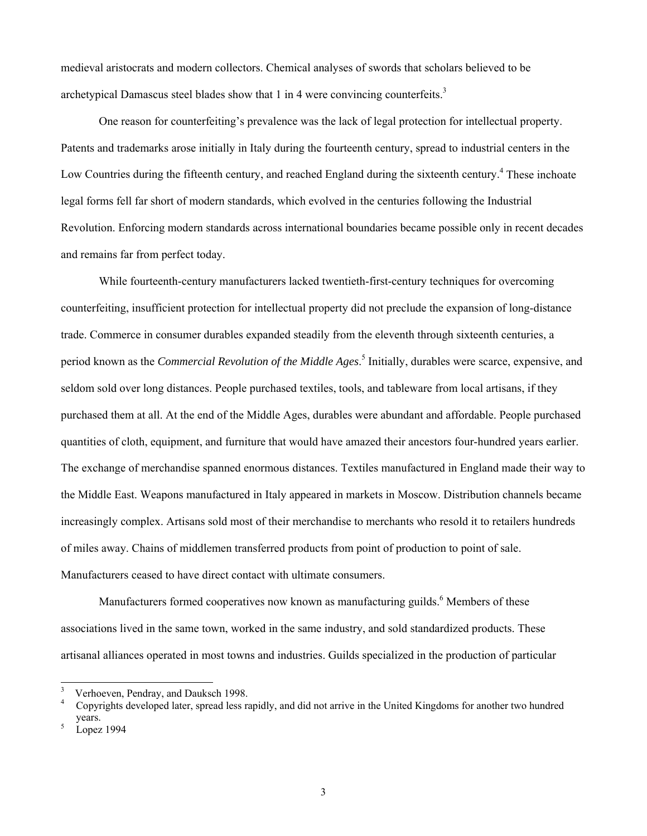medieval aristocrats and modern collectors. Chemical analyses of swords that scholars believed to be archetypical Damascus steel blades show that 1 in 4 were convincing counterfeits.<sup>3</sup>

One reason for counterfeiting's prevalence was the lack of legal protection for intellectual property. Patents and trademarks arose initially in Italy during the fourteenth century, spread to industrial centers in the Low Countries during the fifteenth century, and reached England during the sixteenth century.<sup>4</sup> These inchoate legal forms fell far short of modern standards, which evolved in the centuries following the Industrial Revolution. Enforcing modern standards across international boundaries became possible only in recent decades and remains far from perfect today.

While fourteenth-century manufacturers lacked twentieth-first-century techniques for overcoming counterfeiting, insufficient protection for intellectual property did not preclude the expansion of long-distance trade. Commerce in consumer durables expanded steadily from the eleventh through sixteenth centuries, a period known as the *Commercial Revolution of the Middle Ages*. 5 Initially, durables were scarce, expensive, and seldom sold over long distances. People purchased textiles, tools, and tableware from local artisans, if they purchased them at all. At the end of the Middle Ages, durables were abundant and affordable. People purchased quantities of cloth, equipment, and furniture that would have amazed their ancestors four-hundred years earlier. The exchange of merchandise spanned enormous distances. Textiles manufactured in England made their way to the Middle East. Weapons manufactured in Italy appeared in markets in Moscow. Distribution channels became increasingly complex. Artisans sold most of their merchandise to merchants who resold it to retailers hundreds of miles away. Chains of middlemen transferred products from point of production to point of sale. Manufacturers ceased to have direct contact with ultimate consumers.

Manufacturers formed cooperatives now known as manufacturing guilds.<sup>6</sup> Members of these associations lived in the same town, worked in the same industry, and sold standardized products. These artisanal alliances operated in most towns and industries. Guilds specialized in the production of particular

<sup>3</sup> Verhoeven, Pendray, and Dauksch 1998.

<sup>4</sup> Copyrights developed later, spread less rapidly, and did not arrive in the United Kingdoms for another two hundred years.

Lopez 1994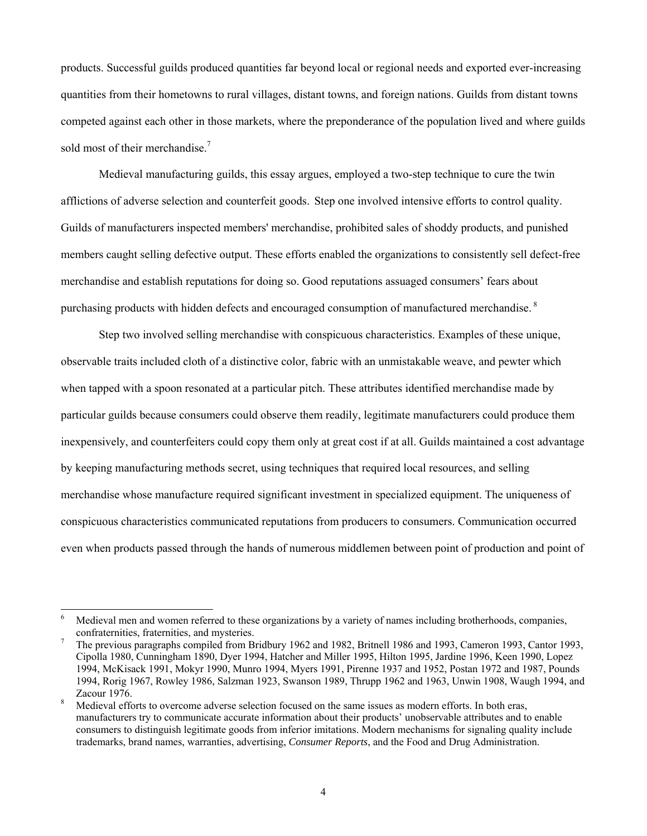products. Successful guilds produced quantities far beyond local or regional needs and exported ever-increasing quantities from their hometowns to rural villages, distant towns, and foreign nations. Guilds from distant towns competed against each other in those markets, where the preponderance of the population lived and where guilds sold most of their merchandise.<sup>7</sup>

Medieval manufacturing guilds, this essay argues, employed a two-step technique to cure the twin afflictions of adverse selection and counterfeit goods. Step one involved intensive efforts to control quality. Guilds of manufacturers inspected members' merchandise, prohibited sales of shoddy products, and punished members caught selling defective output. These efforts enabled the organizations to consistently sell defect-free merchandise and establish reputations for doing so. Good reputations assuaged consumers' fears about purchasing products with hidden defects and encouraged consumption of manufactured merchandise. <sup>8</sup>

Step two involved selling merchandise with conspicuous characteristics. Examples of these unique, observable traits included cloth of a distinctive color, fabric with an unmistakable weave, and pewter which when tapped with a spoon resonated at a particular pitch. These attributes identified merchandise made by particular guilds because consumers could observe them readily, legitimate manufacturers could produce them inexpensively, and counterfeiters could copy them only at great cost if at all. Guilds maintained a cost advantage by keeping manufacturing methods secret, using techniques that required local resources, and selling merchandise whose manufacture required significant investment in specialized equipment. The uniqueness of conspicuous characteristics communicated reputations from producers to consumers. Communication occurred even when products passed through the hands of numerous middlemen between point of production and point of

<sup>6</sup> Medieval men and women referred to these organizations by a variety of names including brotherhoods, companies, confraternities, fraternities, and mysteries.

The previous paragraphs compiled from Bridbury 1962 and 1982, Britnell 1986 and 1993, Cameron 1993, Cantor 1993, Cipolla 1980, Cunningham 1890, Dyer 1994, Hatcher and Miller 1995, Hilton 1995, Jardine 1996, Keen 1990, Lopez 1994, McKisack 1991, Mokyr 1990, Munro 1994, Myers 1991, Pirenne 1937 and 1952, Postan 1972 and 1987, Pounds 1994, Rorig 1967, Rowley 1986, Salzman 1923, Swanson 1989, Thrupp 1962 and 1963, Unwin 1908, Waugh 1994, and Zacour 1976.

Medieval efforts to overcome adverse selection focused on the same issues as modern efforts. In both eras, manufacturers try to communicate accurate information about their products' unobservable attributes and to enable consumers to distinguish legitimate goods from inferior imitations. Modern mechanisms for signaling quality include trademarks, brand names, warranties, advertising, *Consumer Reports*, and the Food and Drug Administration.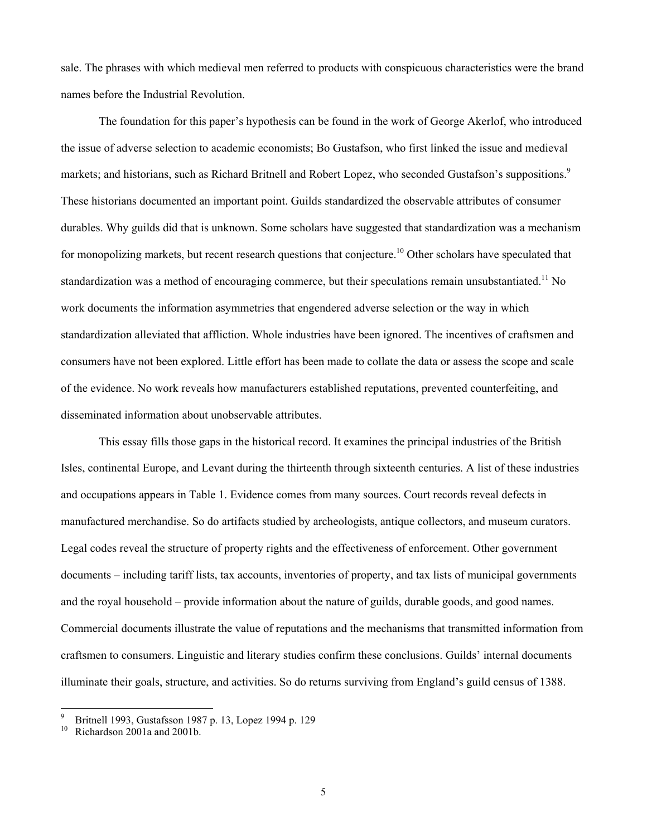sale. The phrases with which medieval men referred to products with conspicuous characteristics were the brand names before the Industrial Revolution.

The foundation for this paper's hypothesis can be found in the work of George Akerlof, who introduced the issue of adverse selection to academic economists; Bo Gustafson, who first linked the issue and medieval markets; and historians, such as Richard Britnell and Robert Lopez, who seconded Gustafson's suppositions.<sup>9</sup> These historians documented an important point. Guilds standardized the observable attributes of consumer durables. Why guilds did that is unknown. Some scholars have suggested that standardization was a mechanism for monopolizing markets, but recent research questions that conjecture.<sup>10</sup> Other scholars have speculated that standardization was a method of encouraging commerce, but their speculations remain unsubstantiated.<sup>11</sup> No work documents the information asymmetries that engendered adverse selection or the way in which standardization alleviated that affliction. Whole industries have been ignored. The incentives of craftsmen and consumers have not been explored. Little effort has been made to collate the data or assess the scope and scale of the evidence. No work reveals how manufacturers established reputations, prevented counterfeiting, and disseminated information about unobservable attributes.

This essay fills those gaps in the historical record. It examines the principal industries of the British Isles, continental Europe, and Levant during the thirteenth through sixteenth centuries. A list of these industries and occupations appears in Table 1. Evidence comes from many sources. Court records reveal defects in manufactured merchandise. So do artifacts studied by archeologists, antique collectors, and museum curators. Legal codes reveal the structure of property rights and the effectiveness of enforcement. Other government documents – including tariff lists, tax accounts, inventories of property, and tax lists of municipal governments and the royal household – provide information about the nature of guilds, durable goods, and good names. Commercial documents illustrate the value of reputations and the mechanisms that transmitted information from craftsmen to consumers. Linguistic and literary studies confirm these conclusions. Guilds' internal documents illuminate their goals, structure, and activities. So do returns surviving from England's guild census of 1388.

<sup>9</sup> <sup>9</sup> Britnell 1993, Gustafsson 1987 p. 13, Lopez 1994 p. 129<br><sup>10</sup> Bichardson 2001a and 2001b

Richardson  $2001a$  and  $2001b$ .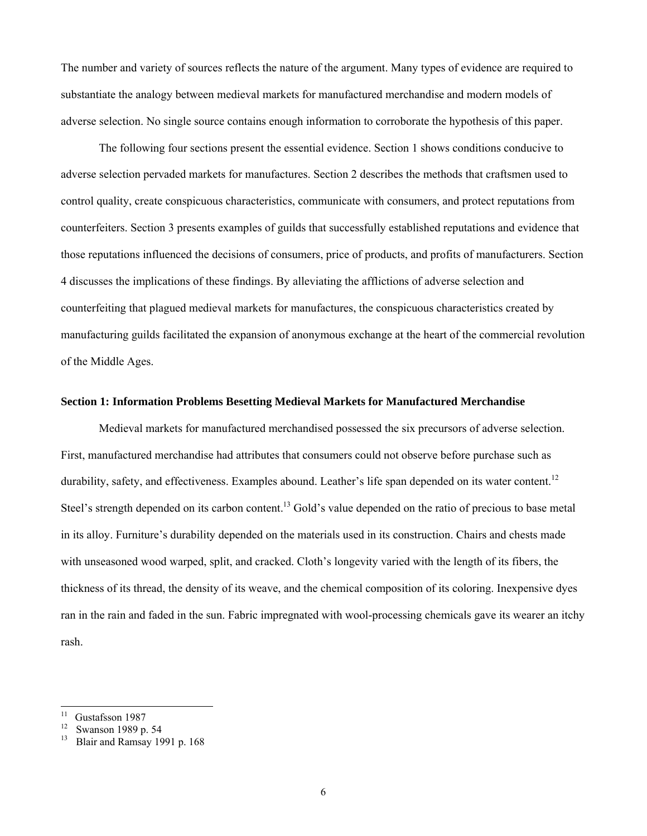The number and variety of sources reflects the nature of the argument. Many types of evidence are required to substantiate the analogy between medieval markets for manufactured merchandise and modern models of adverse selection. No single source contains enough information to corroborate the hypothesis of this paper.

The following four sections present the essential evidence. Section 1 shows conditions conducive to adverse selection pervaded markets for manufactures. Section 2 describes the methods that craftsmen used to control quality, create conspicuous characteristics, communicate with consumers, and protect reputations from counterfeiters. Section 3 presents examples of guilds that successfully established reputations and evidence that those reputations influenced the decisions of consumers, price of products, and profits of manufacturers. Section 4 discusses the implications of these findings. By alleviating the afflictions of adverse selection and counterfeiting that plagued medieval markets for manufactures, the conspicuous characteristics created by manufacturing guilds facilitated the expansion of anonymous exchange at the heart of the commercial revolution of the Middle Ages.

#### **Section 1: Information Problems Besetting Medieval Markets for Manufactured Merchandise**

Medieval markets for manufactured merchandised possessed the six precursors of adverse selection. First, manufactured merchandise had attributes that consumers could not observe before purchase such as durability, safety, and effectiveness. Examples abound. Leather's life span depended on its water content.<sup>12</sup> Steel's strength depended on its carbon content.<sup>13</sup> Gold's value depended on the ratio of precious to base metal in its alloy. Furniture's durability depended on the materials used in its construction. Chairs and chests made with unseasoned wood warped, split, and cracked. Cloth's longevity varied with the length of its fibers, the thickness of its thread, the density of its weave, and the chemical composition of its coloring. Inexpensive dyes ran in the rain and faded in the sun. Fabric impregnated with wool-processing chemicals gave its wearer an itchy rash.

 $11$ <sup>11</sup> Gustafsson 1987<br><sup>12</sup> Sympson 1989 p

 $\frac{12}{13}$  Swanson 1989 p. 54

<sup>13</sup> Blair and Ramsay 1991 p. 168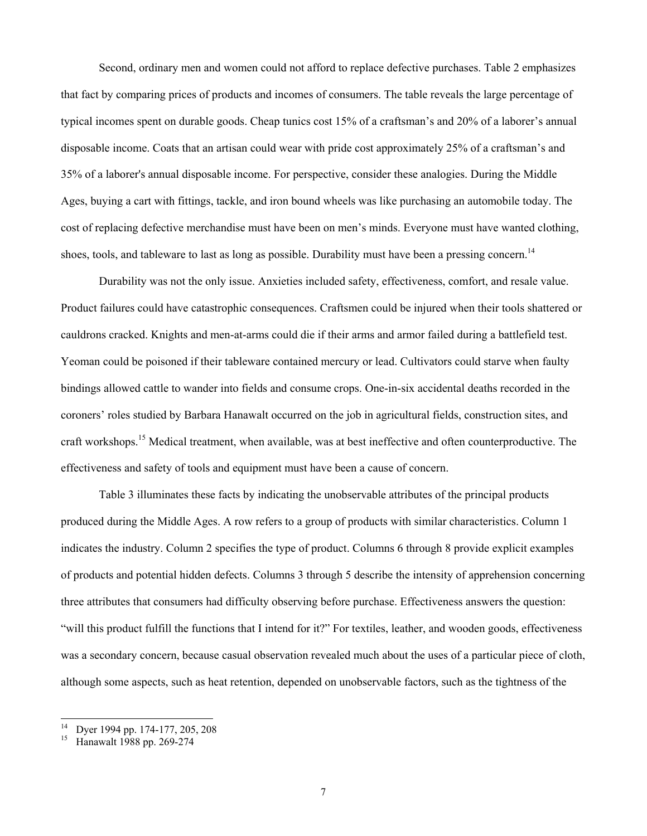Second, ordinary men and women could not afford to replace defective purchases. Table 2 emphasizes that fact by comparing prices of products and incomes of consumers. The table reveals the large percentage of typical incomes spent on durable goods. Cheap tunics cost 15% of a craftsman's and 20% of a laborer's annual disposable income. Coats that an artisan could wear with pride cost approximately 25% of a craftsman's and 35% of a laborer's annual disposable income. For perspective, consider these analogies. During the Middle Ages, buying a cart with fittings, tackle, and iron bound wheels was like purchasing an automobile today. The cost of replacing defective merchandise must have been on men's minds. Everyone must have wanted clothing, shoes, tools, and tableware to last as long as possible. Durability must have been a pressing concern.<sup>14</sup>

Durability was not the only issue. Anxieties included safety, effectiveness, comfort, and resale value. Product failures could have catastrophic consequences. Craftsmen could be injured when their tools shattered or cauldrons cracked. Knights and men-at-arms could die if their arms and armor failed during a battlefield test. Yeoman could be poisoned if their tableware contained mercury or lead. Cultivators could starve when faulty bindings allowed cattle to wander into fields and consume crops. One-in-six accidental deaths recorded in the coroners' roles studied by Barbara Hanawalt occurred on the job in agricultural fields, construction sites, and craft workshops.15 Medical treatment, when available, was at best ineffective and often counterproductive. The effectiveness and safety of tools and equipment must have been a cause of concern.

Table 3 illuminates these facts by indicating the unobservable attributes of the principal products produced during the Middle Ages. A row refers to a group of products with similar characteristics. Column 1 indicates the industry. Column 2 specifies the type of product. Columns 6 through 8 provide explicit examples of products and potential hidden defects. Columns 3 through 5 describe the intensity of apprehension concerning three attributes that consumers had difficulty observing before purchase. Effectiveness answers the question: "will this product fulfill the functions that I intend for it?" For textiles, leather, and wooden goods, effectiveness was a secondary concern, because casual observation revealed much about the uses of a particular piece of cloth, although some aspects, such as heat retention, depended on unobservable factors, such as the tightness of the

<sup>&</sup>lt;sup>14</sup> Dyer 1994 pp. 174-177, 205, 208

<sup>&</sup>lt;sup>15</sup> Hanawalt 1988 pp. 269-274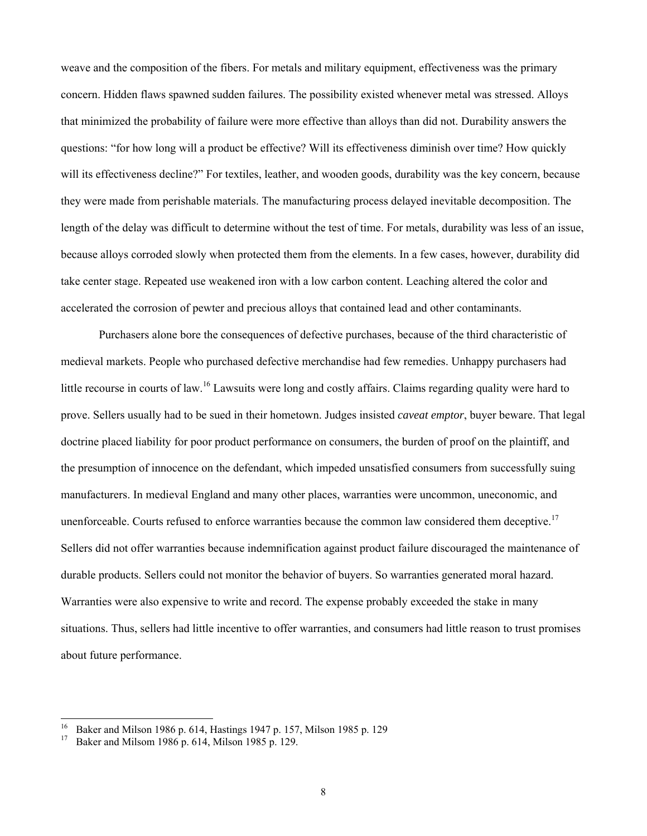weave and the composition of the fibers. For metals and military equipment, effectiveness was the primary concern. Hidden flaws spawned sudden failures. The possibility existed whenever metal was stressed. Alloys that minimized the probability of failure were more effective than alloys than did not. Durability answers the questions: "for how long will a product be effective? Will its effectiveness diminish over time? How quickly will its effectiveness decline?" For textiles, leather, and wooden goods, durability was the key concern, because they were made from perishable materials. The manufacturing process delayed inevitable decomposition. The length of the delay was difficult to determine without the test of time. For metals, durability was less of an issue, because alloys corroded slowly when protected them from the elements. In a few cases, however, durability did take center stage. Repeated use weakened iron with a low carbon content. Leaching altered the color and accelerated the corrosion of pewter and precious alloys that contained lead and other contaminants.

Purchasers alone bore the consequences of defective purchases, because of the third characteristic of medieval markets. People who purchased defective merchandise had few remedies. Unhappy purchasers had little recourse in courts of law.<sup>16</sup> Lawsuits were long and costly affairs. Claims regarding quality were hard to prove. Sellers usually had to be sued in their hometown. Judges insisted *caveat emptor*, buyer beware. That legal doctrine placed liability for poor product performance on consumers, the burden of proof on the plaintiff, and the presumption of innocence on the defendant, which impeded unsatisfied consumers from successfully suing manufacturers. In medieval England and many other places, warranties were uncommon, uneconomic, and unenforceable. Courts refused to enforce warranties because the common law considered them deceptive.<sup>17</sup> Sellers did not offer warranties because indemnification against product failure discouraged the maintenance of durable products. Sellers could not monitor the behavior of buyers. So warranties generated moral hazard. Warranties were also expensive to write and record. The expense probably exceeded the stake in many situations. Thus, sellers had little incentive to offer warranties, and consumers had little reason to trust promises about future performance.

<sup>16</sup> Baker and Milson 1986 p. 614, Hastings 1947 p. 157, Milson 1985 p. 129

<sup>17</sup> Baker and Milsom 1986 p. 614, Milson 1985 p. 129.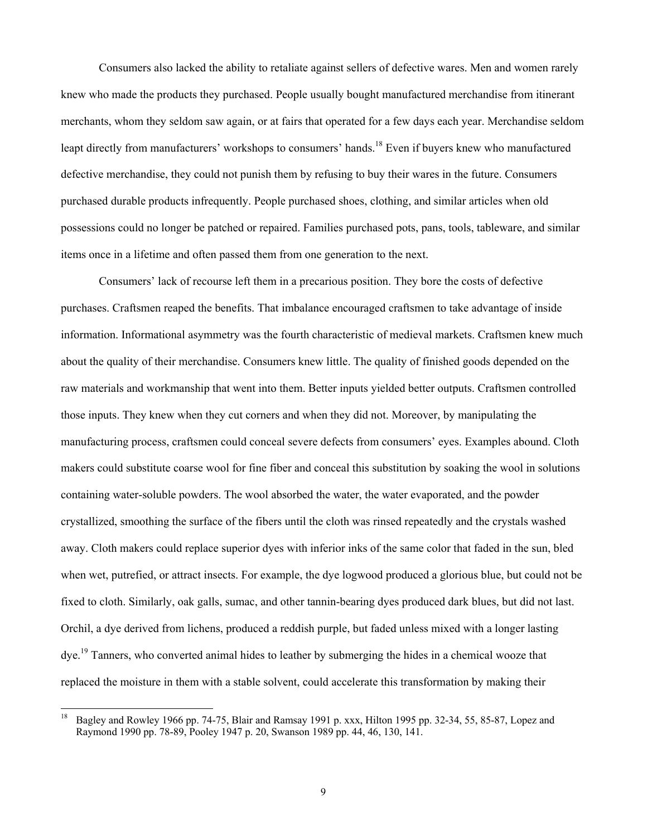Consumers also lacked the ability to retaliate against sellers of defective wares. Men and women rarely knew who made the products they purchased. People usually bought manufactured merchandise from itinerant merchants, whom they seldom saw again, or at fairs that operated for a few days each year. Merchandise seldom leapt directly from manufacturers' workshops to consumers' hands.<sup>18</sup> Even if buyers knew who manufactured defective merchandise, they could not punish them by refusing to buy their wares in the future. Consumers purchased durable products infrequently. People purchased shoes, clothing, and similar articles when old possessions could no longer be patched or repaired. Families purchased pots, pans, tools, tableware, and similar items once in a lifetime and often passed them from one generation to the next.

Consumers' lack of recourse left them in a precarious position. They bore the costs of defective purchases. Craftsmen reaped the benefits. That imbalance encouraged craftsmen to take advantage of inside information. Informational asymmetry was the fourth characteristic of medieval markets. Craftsmen knew much about the quality of their merchandise. Consumers knew little. The quality of finished goods depended on the raw materials and workmanship that went into them. Better inputs yielded better outputs. Craftsmen controlled those inputs. They knew when they cut corners and when they did not. Moreover, by manipulating the manufacturing process, craftsmen could conceal severe defects from consumers' eyes. Examples abound. Cloth makers could substitute coarse wool for fine fiber and conceal this substitution by soaking the wool in solutions containing water-soluble powders. The wool absorbed the water, the water evaporated, and the powder crystallized, smoothing the surface of the fibers until the cloth was rinsed repeatedly and the crystals washed away. Cloth makers could replace superior dyes with inferior inks of the same color that faded in the sun, bled when wet, putrefied, or attract insects. For example, the dye logwood produced a glorious blue, but could not be fixed to cloth. Similarly, oak galls, sumac, and other tannin-bearing dyes produced dark blues, but did not last. Orchil, a dye derived from lichens, produced a reddish purple, but faded unless mixed with a longer lasting dye.<sup>19</sup> Tanners, who converted animal hides to leather by submerging the hides in a chemical wooze that replaced the moisture in them with a stable solvent, could accelerate this transformation by making their

<sup>18</sup> 18 Bagley and Rowley 1966 pp. 74-75, Blair and Ramsay 1991 p. xxx, Hilton 1995 pp. 32-34, 55, 85-87, Lopez and Raymond 1990 pp. 78-89, Pooley 1947 p. 20, Swanson 1989 pp. 44, 46, 130, 141.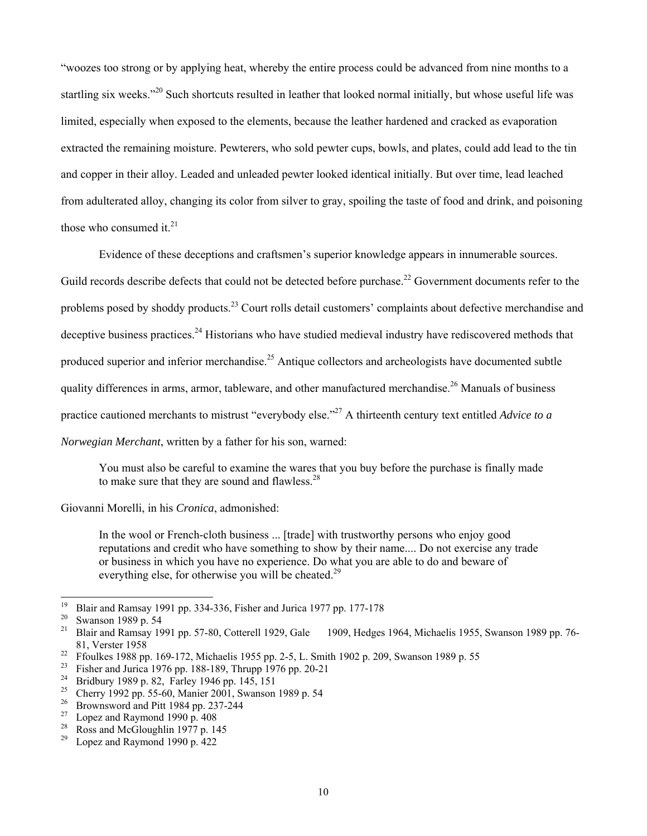"woozes too strong or by applying heat, whereby the entire process could be advanced from nine months to a startling six weeks."<sup>20</sup> Such shortcuts resulted in leather that looked normal initially, but whose useful life was limited, especially when exposed to the elements, because the leather hardened and cracked as evaporation extracted the remaining moisture. Pewterers, who sold pewter cups, bowls, and plates, could add lead to the tin and copper in their alloy. Leaded and unleaded pewter looked identical initially. But over time, lead leached from adulterated alloy, changing its color from silver to gray, spoiling the taste of food and drink, and poisoning those who consumed it. $^{21}$ 

Evidence of these deceptions and craftsmen's superior knowledge appears in innumerable sources. Guild records describe defects that could not be detected before purchase.<sup>22</sup> Government documents refer to the problems posed by shoddy products.<sup>23</sup> Court rolls detail customers' complaints about defective merchandise and deceptive business practices.<sup>24</sup> Historians who have studied medieval industry have rediscovered methods that produced superior and inferior merchandise.<sup>25</sup> Antique collectors and archeologists have documented subtle quality differences in arms, armor, tableware, and other manufactured merchandise.<sup>26</sup> Manuals of business practice cautioned merchants to mistrust "everybody else."27 A thirteenth century text entitled *Advice to a Norwegian Merchant*, written by a father for his son, warned:

You must also be careful to examine the wares that you buy before the purchase is finally made to make sure that they are sound and flawless. $^{28}$ 

Giovanni Morelli, in his *Cronica*, admonished:

In the wool or French-cloth business ... [trade] with trustworthy persons who enjoy good reputations and credit who have something to show by their name.... Do not exercise any trade or business in which you have no experience. Do what you are able to do and beware of everything else, for otherwise you will be cheated.<sup>29</sup>

<sup>19</sup> <sup>19</sup> Blair and Ramsay 1991 pp. 334-336, Fisher and Jurica 1977 pp. 177-178<br><sup>20</sup> Sugnson 1989 p. 54

 $\frac{20}{21}$  Swanson 1989 p. 54

<sup>21</sup> Blair and Ramsay 1991 pp. 57-80, Cotterell 1929, Gale 1909, Hedges 1964, Michaelis 1955, Swanson 1989 pp. 76- 81, Verster 1958 22 Ffoulkes 1988 pp. 169-172, Michaelis 1955 pp. 2-5, L. Smith 1902 p. 209, Swanson 1989 p. 55

<sup>&</sup>lt;sup>23</sup> Fisher and Jurica 1976 pp. 188-189, Thrupp 1976 pp. 20-21<br><sup>24</sup> Pridbury 1989 p. 82. Forley 1946 pp. 145, 151

<sup>&</sup>lt;sup>24</sup> Bridbury 1989 p. 82, Farley 1946 pp. 145, 151<br><sup>25</sup> Cherry 1992 pp. 55.60 Mapier 2001, Swapson

<sup>&</sup>lt;sup>25</sup> Cherry 1992 pp. 55-60, Manier 2001, Swanson 1989 p. 54<br><sup>26</sup> Brownsword and Pitt 1984 pp. 237-244

 $\frac{26}{27}$  Brownsword and Pitt 1984 pp. 237-244

 $^{27}$  Lopez and Raymond 1990 p. 408<br> $^{28}$  Ross and McClaughlin 1977 p. 14

<sup>&</sup>lt;sup>28</sup> Ross and McGloughlin 1977 p. 145<br><sup>29</sup> Lonez and Raymond 1990 p. 422

Lopez and Raymond 1990 p. 422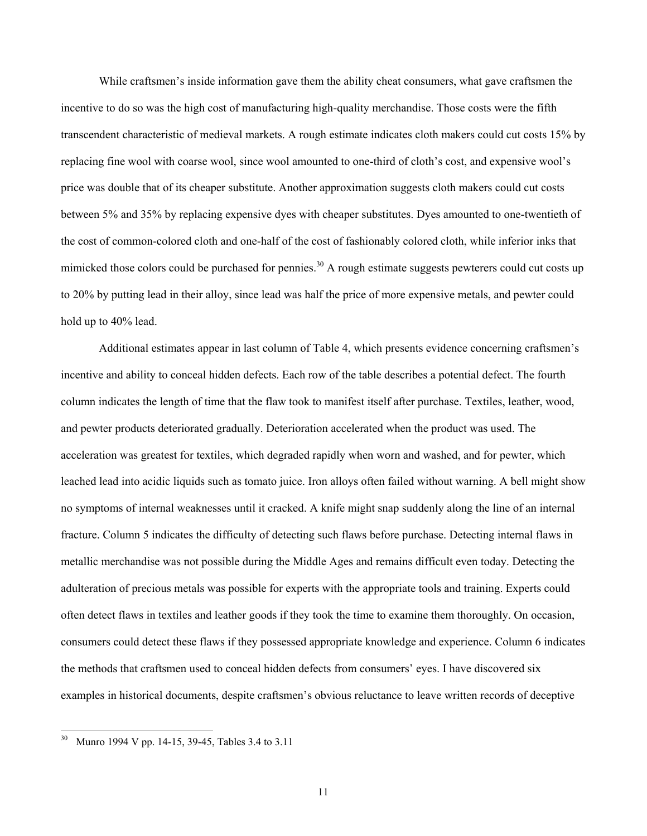While craftsmen's inside information gave them the ability cheat consumers, what gave craftsmen the incentive to do so was the high cost of manufacturing high-quality merchandise. Those costs were the fifth transcendent characteristic of medieval markets. A rough estimate indicates cloth makers could cut costs 15% by replacing fine wool with coarse wool, since wool amounted to one-third of cloth's cost, and expensive wool's price was double that of its cheaper substitute. Another approximation suggests cloth makers could cut costs between 5% and 35% by replacing expensive dyes with cheaper substitutes. Dyes amounted to one-twentieth of the cost of common-colored cloth and one-half of the cost of fashionably colored cloth, while inferior inks that mimicked those colors could be purchased for pennies.<sup>30</sup> A rough estimate suggests pewterers could cut costs up to 20% by putting lead in their alloy, since lead was half the price of more expensive metals, and pewter could hold up to 40% lead.

Additional estimates appear in last column of Table 4, which presents evidence concerning craftsmen's incentive and ability to conceal hidden defects. Each row of the table describes a potential defect. The fourth column indicates the length of time that the flaw took to manifest itself after purchase. Textiles, leather, wood, and pewter products deteriorated gradually. Deterioration accelerated when the product was used. The acceleration was greatest for textiles, which degraded rapidly when worn and washed, and for pewter, which leached lead into acidic liquids such as tomato juice. Iron alloys often failed without warning. A bell might show no symptoms of internal weaknesses until it cracked. A knife might snap suddenly along the line of an internal fracture. Column 5 indicates the difficulty of detecting such flaws before purchase. Detecting internal flaws in metallic merchandise was not possible during the Middle Ages and remains difficult even today. Detecting the adulteration of precious metals was possible for experts with the appropriate tools and training. Experts could often detect flaws in textiles and leather goods if they took the time to examine them thoroughly. On occasion, consumers could detect these flaws if they possessed appropriate knowledge and experience. Column 6 indicates the methods that craftsmen used to conceal hidden defects from consumers' eyes. I have discovered six examples in historical documents, despite craftsmen's obvious reluctance to leave written records of deceptive

<sup>30</sup> 30 Munro 1994 V pp. 14-15, 39-45, Tables 3.4 to 3.11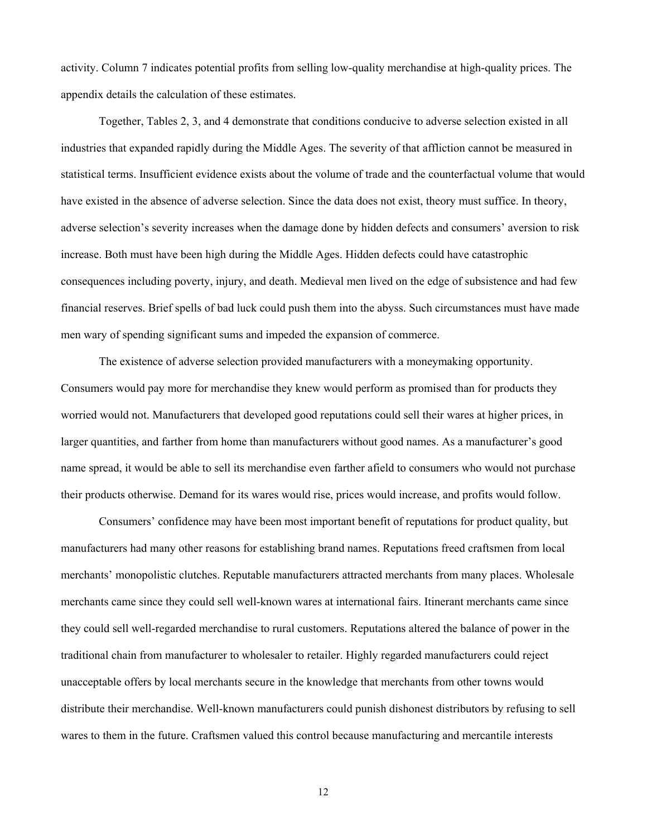activity. Column 7 indicates potential profits from selling low-quality merchandise at high-quality prices. The appendix details the calculation of these estimates.

Together, Tables 2, 3, and 4 demonstrate that conditions conducive to adverse selection existed in all industries that expanded rapidly during the Middle Ages. The severity of that affliction cannot be measured in statistical terms. Insufficient evidence exists about the volume of trade and the counterfactual volume that would have existed in the absence of adverse selection. Since the data does not exist, theory must suffice. In theory, adverse selection's severity increases when the damage done by hidden defects and consumers' aversion to risk increase. Both must have been high during the Middle Ages. Hidden defects could have catastrophic consequences including poverty, injury, and death. Medieval men lived on the edge of subsistence and had few financial reserves. Brief spells of bad luck could push them into the abyss. Such circumstances must have made men wary of spending significant sums and impeded the expansion of commerce.

The existence of adverse selection provided manufacturers with a moneymaking opportunity. Consumers would pay more for merchandise they knew would perform as promised than for products they worried would not. Manufacturers that developed good reputations could sell their wares at higher prices, in larger quantities, and farther from home than manufacturers without good names. As a manufacturer's good name spread, it would be able to sell its merchandise even farther afield to consumers who would not purchase their products otherwise. Demand for its wares would rise, prices would increase, and profits would follow.

Consumers' confidence may have been most important benefit of reputations for product quality, but manufacturers had many other reasons for establishing brand names. Reputations freed craftsmen from local merchants' monopolistic clutches. Reputable manufacturers attracted merchants from many places. Wholesale merchants came since they could sell well-known wares at international fairs. Itinerant merchants came since they could sell well-regarded merchandise to rural customers. Reputations altered the balance of power in the traditional chain from manufacturer to wholesaler to retailer. Highly regarded manufacturers could reject unacceptable offers by local merchants secure in the knowledge that merchants from other towns would distribute their merchandise. Well-known manufacturers could punish dishonest distributors by refusing to sell wares to them in the future. Craftsmen valued this control because manufacturing and mercantile interests

12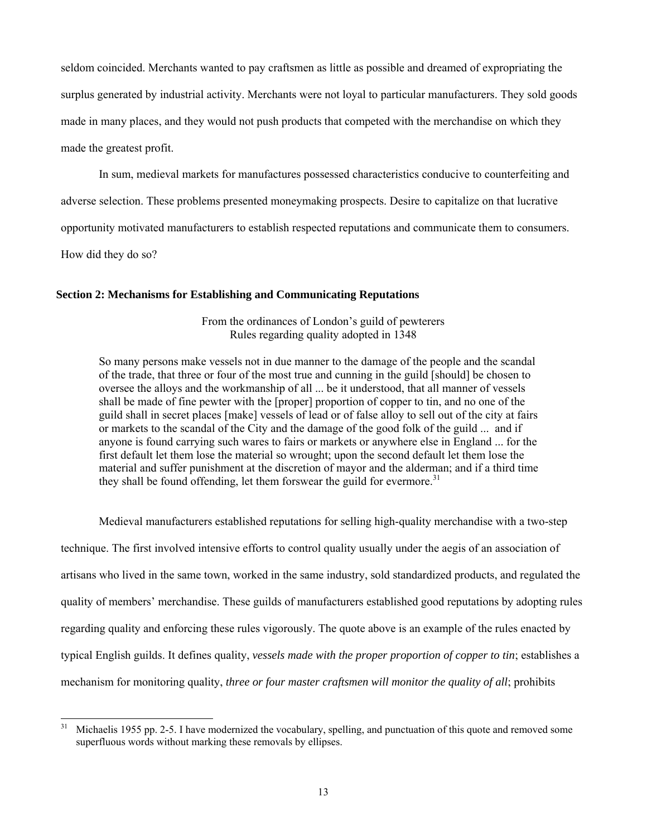seldom coincided. Merchants wanted to pay craftsmen as little as possible and dreamed of expropriating the surplus generated by industrial activity. Merchants were not loyal to particular manufacturers. They sold goods made in many places, and they would not push products that competed with the merchandise on which they made the greatest profit.

In sum, medieval markets for manufactures possessed characteristics conducive to counterfeiting and adverse selection. These problems presented moneymaking prospects. Desire to capitalize on that lucrative opportunity motivated manufacturers to establish respected reputations and communicate them to consumers. How did they do so?

#### **Section 2: Mechanisms for Establishing and Communicating Reputations**

From the ordinances of London's guild of pewterers Rules regarding quality adopted in 1348

So many persons make vessels not in due manner to the damage of the people and the scandal of the trade, that three or four of the most true and cunning in the guild [should] be chosen to oversee the alloys and the workmanship of all ... be it understood, that all manner of vessels shall be made of fine pewter with the [proper] proportion of copper to tin, and no one of the guild shall in secret places [make] vessels of lead or of false alloy to sell out of the city at fairs or markets to the scandal of the City and the damage of the good folk of the guild ... and if anyone is found carrying such wares to fairs or markets or anywhere else in England ... for the first default let them lose the material so wrought; upon the second default let them lose the material and suffer punishment at the discretion of mayor and the alderman; and if a third time they shall be found offending, let them forswear the guild for evermore.<sup>31</sup>

Medieval manufacturers established reputations for selling high-quality merchandise with a two-step technique. The first involved intensive efforts to control quality usually under the aegis of an association of artisans who lived in the same town, worked in the same industry, sold standardized products, and regulated the quality of members' merchandise. These guilds of manufacturers established good reputations by adopting rules regarding quality and enforcing these rules vigorously. The quote above is an example of the rules enacted by typical English guilds. It defines quality, *vessels made with the proper proportion of copper to tin*; establishes a mechanism for monitoring quality, *three or four master craftsmen will monitor the quality of all*; prohibits

 $31$ Michaelis 1955 pp. 2-5. I have modernized the vocabulary, spelling, and punctuation of this quote and removed some superfluous words without marking these removals by ellipses.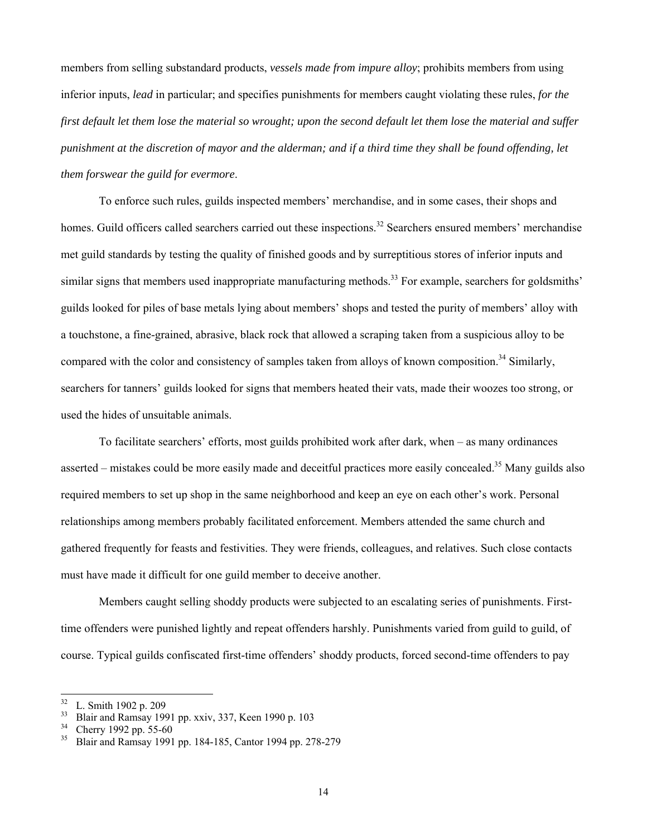members from selling substandard products, *vessels made from impure alloy*; prohibits members from using inferior inputs, *lead* in particular; and specifies punishments for members caught violating these rules, *for the first default let them lose the material so wrought; upon the second default let them lose the material and suffer punishment at the discretion of mayor and the alderman; and if a third time they shall be found offending, let them forswear the guild for evermore*.

To enforce such rules, guilds inspected members' merchandise, and in some cases, their shops and homes. Guild officers called searchers carried out these inspections.<sup>32</sup> Searchers ensured members' merchandise met guild standards by testing the quality of finished goods and by surreptitious stores of inferior inputs and similar signs that members used inappropriate manufacturing methods.<sup>33</sup> For example, searchers for goldsmiths' guilds looked for piles of base metals lying about members' shops and tested the purity of members' alloy with a touchstone, a fine-grained, abrasive, black rock that allowed a scraping taken from a suspicious alloy to be compared with the color and consistency of samples taken from alloys of known composition.<sup>34</sup> Similarly, searchers for tanners' guilds looked for signs that members heated their vats, made their woozes too strong, or used the hides of unsuitable animals.

To facilitate searchers' efforts, most guilds prohibited work after dark, when – as many ordinances asserted – mistakes could be more easily made and deceitful practices more easily concealed.<sup>35</sup> Many guilds also required members to set up shop in the same neighborhood and keep an eye on each other's work. Personal relationships among members probably facilitated enforcement. Members attended the same church and gathered frequently for feasts and festivities. They were friends, colleagues, and relatives. Such close contacts must have made it difficult for one guild member to deceive another.

Members caught selling shoddy products were subjected to an escalating series of punishments. Firsttime offenders were punished lightly and repeat offenders harshly. Punishments varied from guild to guild, of course. Typical guilds confiscated first-time offenders' shoddy products, forced second-time offenders to pay

 $32$  $\frac{32}{33}$  L. Smith 1902 p. 209

<sup>&</sup>lt;sup>33</sup> Blair and Ramsay 1991 pp. xxiv, 337, Keen 1990 p. 103<br><sup>34</sup> Cherry 1992 pp. 55-60

Cherry 1992 pp. 55-60

<sup>35</sup> Blair and Ramsay 1991 pp. 184-185, Cantor 1994 pp. 278-279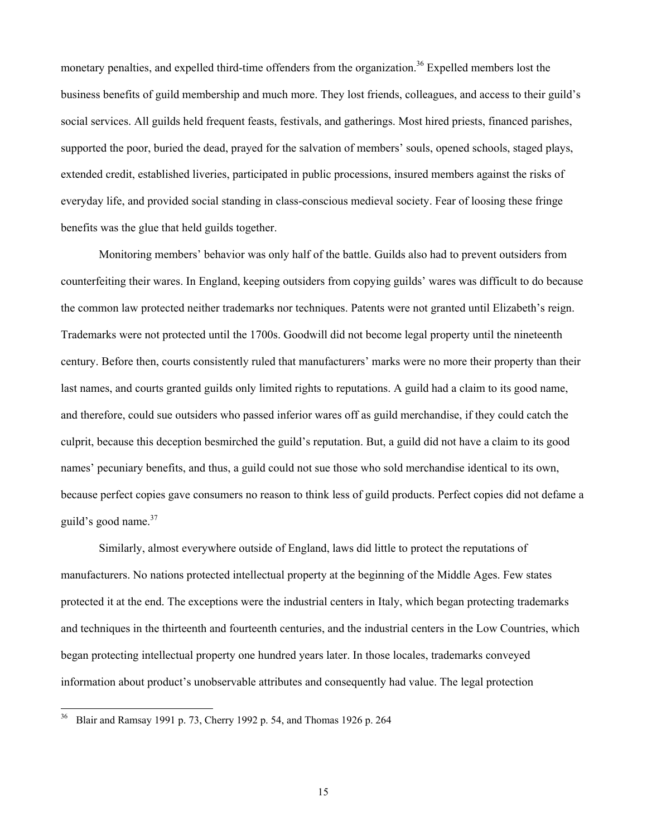monetary penalties, and expelled third-time offenders from the organization.<sup>36</sup> Expelled members lost the business benefits of guild membership and much more. They lost friends, colleagues, and access to their guild's social services. All guilds held frequent feasts, festivals, and gatherings. Most hired priests, financed parishes, supported the poor, buried the dead, prayed for the salvation of members' souls, opened schools, staged plays, extended credit, established liveries, participated in public processions, insured members against the risks of everyday life, and provided social standing in class-conscious medieval society. Fear of loosing these fringe benefits was the glue that held guilds together.

Monitoring members' behavior was only half of the battle. Guilds also had to prevent outsiders from counterfeiting their wares. In England, keeping outsiders from copying guilds' wares was difficult to do because the common law protected neither trademarks nor techniques. Patents were not granted until Elizabeth's reign. Trademarks were not protected until the 1700s. Goodwill did not become legal property until the nineteenth century. Before then, courts consistently ruled that manufacturers' marks were no more their property than their last names, and courts granted guilds only limited rights to reputations. A guild had a claim to its good name, and therefore, could sue outsiders who passed inferior wares off as guild merchandise, if they could catch the culprit, because this deception besmirched the guild's reputation. But, a guild did not have a claim to its good names' pecuniary benefits, and thus, a guild could not sue those who sold merchandise identical to its own, because perfect copies gave consumers no reason to think less of guild products. Perfect copies did not defame a guild's good name.<sup>37</sup>

Similarly, almost everywhere outside of England, laws did little to protect the reputations of manufacturers. No nations protected intellectual property at the beginning of the Middle Ages. Few states protected it at the end. The exceptions were the industrial centers in Italy, which began protecting trademarks and techniques in the thirteenth and fourteenth centuries, and the industrial centers in the Low Countries, which began protecting intellectual property one hundred years later. In those locales, trademarks conveyed information about product's unobservable attributes and consequently had value. The legal protection

<sup>36</sup> 36 Blair and Ramsay 1991 p. 73, Cherry 1992 p. 54, and Thomas 1926 p. 264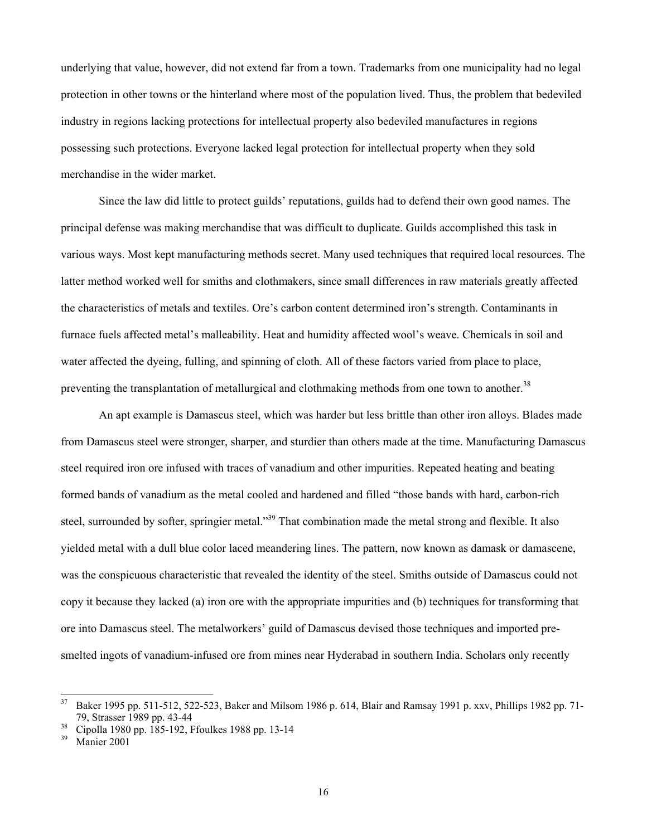underlying that value, however, did not extend far from a town. Trademarks from one municipality had no legal protection in other towns or the hinterland where most of the population lived. Thus, the problem that bedeviled industry in regions lacking protections for intellectual property also bedeviled manufactures in regions possessing such protections. Everyone lacked legal protection for intellectual property when they sold merchandise in the wider market.

Since the law did little to protect guilds' reputations, guilds had to defend their own good names. The principal defense was making merchandise that was difficult to duplicate. Guilds accomplished this task in various ways. Most kept manufacturing methods secret. Many used techniques that required local resources. The latter method worked well for smiths and clothmakers, since small differences in raw materials greatly affected the characteristics of metals and textiles. Ore's carbon content determined iron's strength. Contaminants in furnace fuels affected metal's malleability. Heat and humidity affected wool's weave. Chemicals in soil and water affected the dyeing, fulling, and spinning of cloth. All of these factors varied from place to place, preventing the transplantation of metallurgical and clothmaking methods from one town to another.<sup>38</sup>

An apt example is Damascus steel, which was harder but less brittle than other iron alloys. Blades made from Damascus steel were stronger, sharper, and sturdier than others made at the time. Manufacturing Damascus steel required iron ore infused with traces of vanadium and other impurities. Repeated heating and beating formed bands of vanadium as the metal cooled and hardened and filled "those bands with hard, carbon-rich steel, surrounded by softer, springier metal."<sup>39</sup> That combination made the metal strong and flexible. It also yielded metal with a dull blue color laced meandering lines. The pattern, now known as damask or damascene, was the conspicuous characteristic that revealed the identity of the steel. Smiths outside of Damascus could not copy it because they lacked (a) iron ore with the appropriate impurities and (b) techniques for transforming that ore into Damascus steel. The metalworkers' guild of Damascus devised those techniques and imported presmelted ingots of vanadium-infused ore from mines near Hyderabad in southern India. Scholars only recently

<sup>37</sup> 37 Baker 1995 pp. 511-512, 522-523, Baker and Milsom 1986 p. 614, Blair and Ramsay 1991 p. xxv, Phillips 1982 pp. 71- 79, Strasser 1989 pp. 43-44<br><sup>38</sup> Cipolla 1980 pp. 185-192, Ffoulkes 1988 pp. 13-14<br><sup>39</sup> Maniar 2001

Manier 2001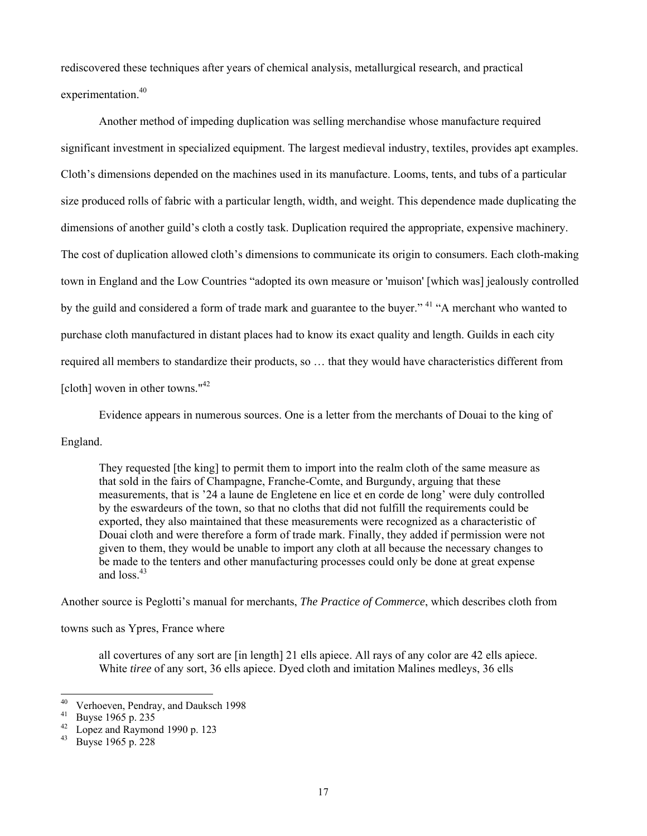rediscovered these techniques after years of chemical analysis, metallurgical research, and practical experimentation.<sup>40</sup>

Another method of impeding duplication was selling merchandise whose manufacture required significant investment in specialized equipment. The largest medieval industry, textiles, provides apt examples. Cloth's dimensions depended on the machines used in its manufacture. Looms, tents, and tubs of a particular size produced rolls of fabric with a particular length, width, and weight. This dependence made duplicating the dimensions of another guild's cloth a costly task. Duplication required the appropriate, expensive machinery. The cost of duplication allowed cloth's dimensions to communicate its origin to consumers. Each cloth-making town in England and the Low Countries "adopted its own measure or 'muison' [which was] jealously controlled by the guild and considered a form of trade mark and guarantee to the buyer." 41 "A merchant who wanted to purchase cloth manufactured in distant places had to know its exact quality and length. Guilds in each city required all members to standardize their products, so … that they would have characteristics different from  $\lceil \text{cloth} \rceil$  woven in other towns."<sup>42</sup>

Evidence appears in numerous sources. One is a letter from the merchants of Douai to the king of

# England.

They requested [the king] to permit them to import into the realm cloth of the same measure as that sold in the fairs of Champagne, Franche-Comte, and Burgundy, arguing that these measurements, that is '24 a laune de Engletene en lice et en corde de long' were duly controlled by the eswardeurs of the town, so that no cloths that did not fulfill the requirements could be exported, they also maintained that these measurements were recognized as a characteristic of Douai cloth and were therefore a form of trade mark. Finally, they added if permission were not given to them, they would be unable to import any cloth at all because the necessary changes to be made to the tenters and other manufacturing processes could only be done at great expense and  $loss.<sup>43</sup>$ 

Another source is Peglotti's manual for merchants, *The Practice of Commerce*, which describes cloth from

towns such as Ypres, France where

all covertures of any sort are [in length] 21 ells apiece. All rays of any color are 42 ells apiece. White *tiree* of any sort, 36 ells apiece. Dyed cloth and imitation Malines medleys, 36 ells

<sup>&</sup>lt;sup>40</sup> Verhoeven, Pendray, and Dauksch 1998<br><sup>41</sup> Buyse 1965 p. 235

Buyse 1965 p. 235

 $^{42}$  Lopez and Raymond 1990 p. 123<br> $^{43}$  Buyse 1965 p. 228

<sup>43</sup> Buyse 1965 p. 228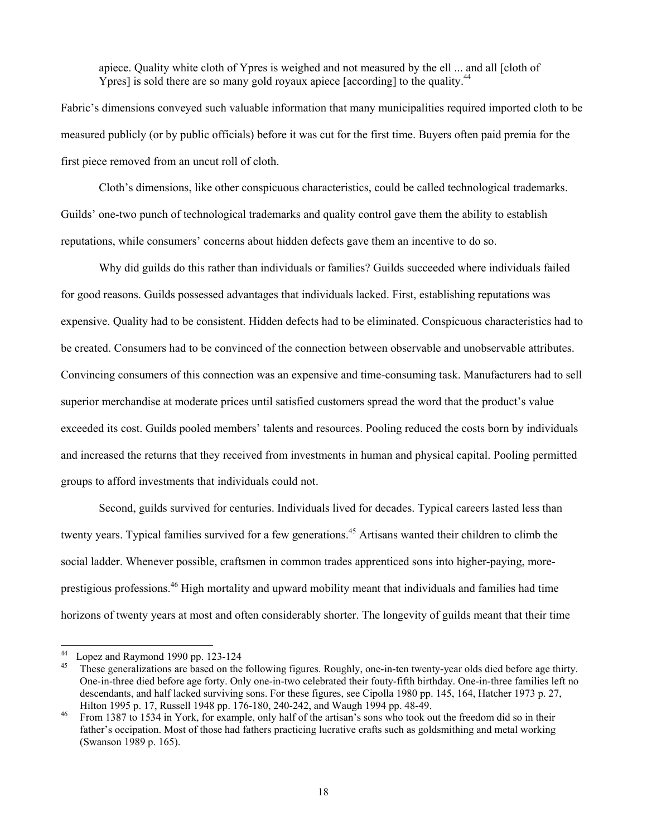apiece. Quality white cloth of Ypres is weighed and not measured by the ell ... and all [cloth of Ypres] is sold there are so many gold royaux apiece [according] to the quality.<sup>44</sup>

Fabric's dimensions conveyed such valuable information that many municipalities required imported cloth to be measured publicly (or by public officials) before it was cut for the first time. Buyers often paid premia for the first piece removed from an uncut roll of cloth.

Cloth's dimensions, like other conspicuous characteristics, could be called technological trademarks. Guilds' one-two punch of technological trademarks and quality control gave them the ability to establish reputations, while consumers' concerns about hidden defects gave them an incentive to do so.

 Why did guilds do this rather than individuals or families? Guilds succeeded where individuals failed for good reasons. Guilds possessed advantages that individuals lacked. First, establishing reputations was expensive. Quality had to be consistent. Hidden defects had to be eliminated. Conspicuous characteristics had to be created. Consumers had to be convinced of the connection between observable and unobservable attributes. Convincing consumers of this connection was an expensive and time-consuming task. Manufacturers had to sell superior merchandise at moderate prices until satisfied customers spread the word that the product's value exceeded its cost. Guilds pooled members' talents and resources. Pooling reduced the costs born by individuals and increased the returns that they received from investments in human and physical capital. Pooling permitted groups to afford investments that individuals could not.

Second, guilds survived for centuries. Individuals lived for decades. Typical careers lasted less than twenty years. Typical families survived for a few generations.<sup>45</sup> Artisans wanted their children to climb the social ladder. Whenever possible, craftsmen in common trades apprenticed sons into higher-paying, moreprestigious professions.46 High mortality and upward mobility meant that individuals and families had time horizons of twenty years at most and often considerably shorter. The longevity of guilds meant that their time

<sup>44</sup> Lopez and Raymond 1990 pp. 123-124

<sup>&</sup>lt;sup>45</sup> These generalizations are based on the following figures. Roughly, one-in-ten twenty-year olds died before age thirty. One-in-three died before age forty. Only one-in-two celebrated their fouty-fifth birthday. One-in-three families left no descendants, and half lacked surviving sons. For these figures, see Cipolla 1980 pp. 145, 164, Hatcher 1973 p. 27, Hilton 1995 p. 17, Russell 1948 pp. 176-180, 240-242, and Waugh 1994 pp. 48-49.<br><sup>46</sup> From 1387 to 1534 in York, for example, only half of the artisan's sons who took out the freedom did so in their

father's occipation. Most of those had fathers practicing lucrative crafts such as goldsmithing and metal working (Swanson 1989 p. 165).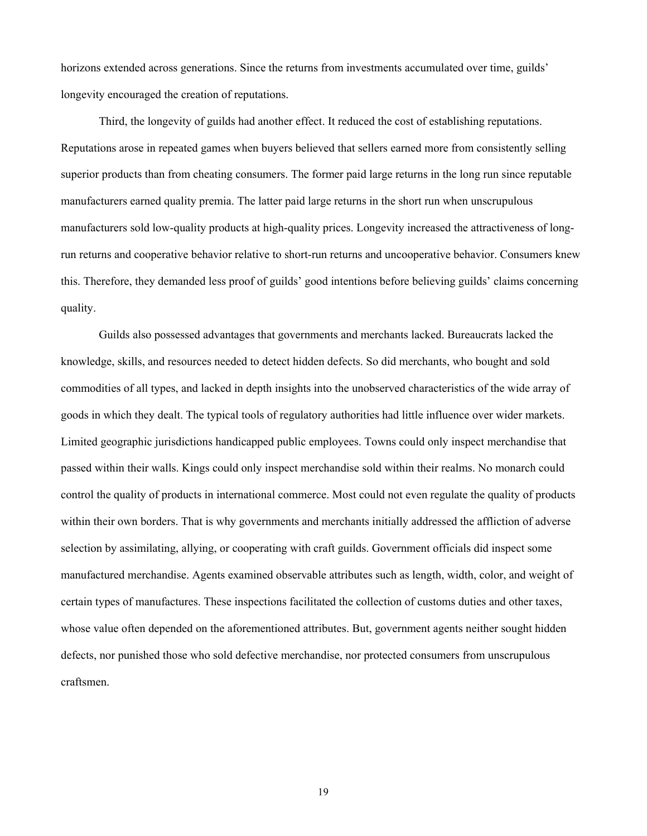horizons extended across generations. Since the returns from investments accumulated over time, guilds' longevity encouraged the creation of reputations.

Third, the longevity of guilds had another effect. It reduced the cost of establishing reputations. Reputations arose in repeated games when buyers believed that sellers earned more from consistently selling superior products than from cheating consumers. The former paid large returns in the long run since reputable manufacturers earned quality premia. The latter paid large returns in the short run when unscrupulous manufacturers sold low-quality products at high-quality prices. Longevity increased the attractiveness of longrun returns and cooperative behavior relative to short-run returns and uncooperative behavior. Consumers knew this. Therefore, they demanded less proof of guilds' good intentions before believing guilds' claims concerning quality.

 Guilds also possessed advantages that governments and merchants lacked. Bureaucrats lacked the knowledge, skills, and resources needed to detect hidden defects. So did merchants, who bought and sold commodities of all types, and lacked in depth insights into the unobserved characteristics of the wide array of goods in which they dealt. The typical tools of regulatory authorities had little influence over wider markets. Limited geographic jurisdictions handicapped public employees. Towns could only inspect merchandise that passed within their walls. Kings could only inspect merchandise sold within their realms. No monarch could control the quality of products in international commerce. Most could not even regulate the quality of products within their own borders. That is why governments and merchants initially addressed the affliction of adverse selection by assimilating, allying, or cooperating with craft guilds. Government officials did inspect some manufactured merchandise. Agents examined observable attributes such as length, width, color, and weight of certain types of manufactures. These inspections facilitated the collection of customs duties and other taxes, whose value often depended on the aforementioned attributes. But, government agents neither sought hidden defects, nor punished those who sold defective merchandise, nor protected consumers from unscrupulous craftsmen.

19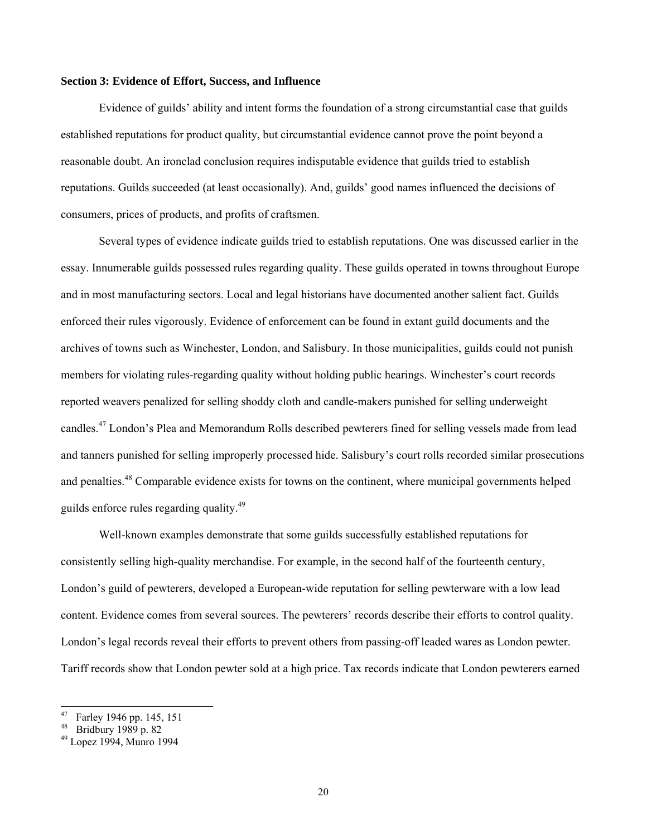#### **Section 3: Evidence of Effort, Success, and Influence**

Evidence of guilds' ability and intent forms the foundation of a strong circumstantial case that guilds established reputations for product quality, but circumstantial evidence cannot prove the point beyond a reasonable doubt. An ironclad conclusion requires indisputable evidence that guilds tried to establish reputations. Guilds succeeded (at least occasionally). And, guilds' good names influenced the decisions of consumers, prices of products, and profits of craftsmen.

Several types of evidence indicate guilds tried to establish reputations. One was discussed earlier in the essay. Innumerable guilds possessed rules regarding quality. These guilds operated in towns throughout Europe and in most manufacturing sectors. Local and legal historians have documented another salient fact. Guilds enforced their rules vigorously. Evidence of enforcement can be found in extant guild documents and the archives of towns such as Winchester, London, and Salisbury. In those municipalities, guilds could not punish members for violating rules-regarding quality without holding public hearings. Winchester's court records reported weavers penalized for selling shoddy cloth and candle-makers punished for selling underweight candles.47 London's Plea and Memorandum Rolls described pewterers fined for selling vessels made from lead and tanners punished for selling improperly processed hide. Salisbury's court rolls recorded similar prosecutions and penalties.<sup>48</sup> Comparable evidence exists for towns on the continent, where municipal governments helped guilds enforce rules regarding quality.<sup>49</sup>

Well-known examples demonstrate that some guilds successfully established reputations for consistently selling high-quality merchandise. For example, in the second half of the fourteenth century, London's guild of pewterers, developed a European-wide reputation for selling pewterware with a low lead content. Evidence comes from several sources. The pewterers' records describe their efforts to control quality. London's legal records reveal their efforts to prevent others from passing-off leaded wares as London pewter. Tariff records show that London pewter sold at a high price. Tax records indicate that London pewterers earned

 $47$  Farley 1946 pp. 145, 151

<sup>48</sup> Bridbury 1989 p. 82

<sup>49</sup> Lopez 1994, Munro 1994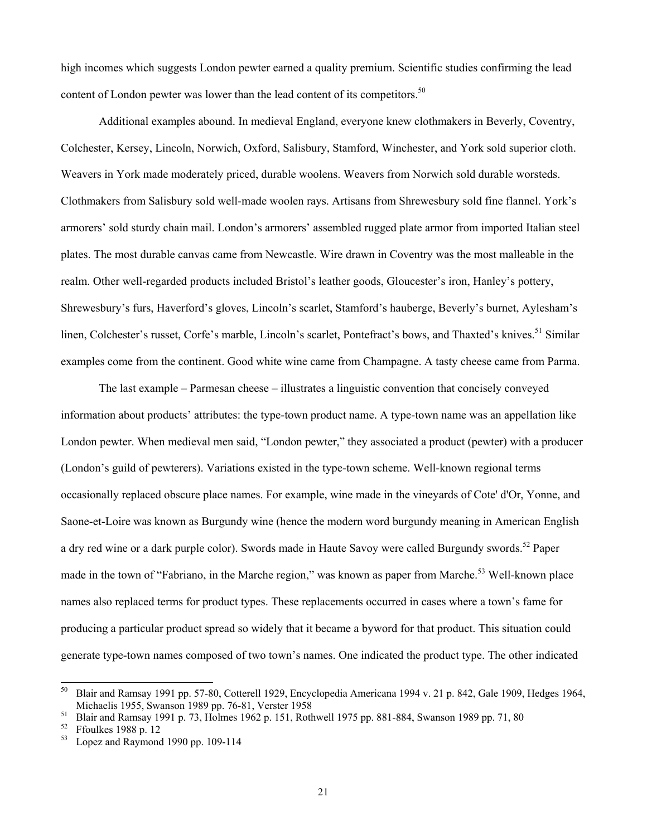high incomes which suggests London pewter earned a quality premium. Scientific studies confirming the lead content of London pewter was lower than the lead content of its competitors.<sup>50</sup>

Additional examples abound. In medieval England, everyone knew clothmakers in Beverly, Coventry, Colchester, Kersey, Lincoln, Norwich, Oxford, Salisbury, Stamford, Winchester, and York sold superior cloth. Weavers in York made moderately priced, durable woolens. Weavers from Norwich sold durable worsteds. Clothmakers from Salisbury sold well-made woolen rays. Artisans from Shrewesbury sold fine flannel. York's armorers' sold sturdy chain mail. London's armorers' assembled rugged plate armor from imported Italian steel plates. The most durable canvas came from Newcastle. Wire drawn in Coventry was the most malleable in the realm. Other well-regarded products included Bristol's leather goods, Gloucester's iron, Hanley's pottery, Shrewesbury's furs, Haverford's gloves, Lincoln's scarlet, Stamford's hauberge, Beverly's burnet, Aylesham's linen, Colchester's russet, Corfe's marble, Lincoln's scarlet, Pontefract's bows, and Thaxted's knives.<sup>51</sup> Similar examples come from the continent. Good white wine came from Champagne. A tasty cheese came from Parma.

The last example – Parmesan cheese – illustrates a linguistic convention that concisely conveyed information about products' attributes: the type-town product name. A type-town name was an appellation like London pewter. When medieval men said, "London pewter," they associated a product (pewter) with a producer (London's guild of pewterers). Variations existed in the type-town scheme. Well-known regional terms occasionally replaced obscure place names. For example, wine made in the vineyards of Cote' d'Or, Yonne, and Saone-et-Loire was known as Burgundy wine (hence the modern word burgundy meaning in American English a dry red wine or a dark purple color). Swords made in Haute Savoy were called Burgundy swords.<sup>52</sup> Paper made in the town of "Fabriano, in the Marche region," was known as paper from Marche.<sup>53</sup> Well-known place names also replaced terms for product types. These replacements occurred in cases where a town's fame for producing a particular product spread so widely that it became a byword for that product. This situation could generate type-town names composed of two town's names. One indicated the product type. The other indicated

 $50\,$ 50 Blair and Ramsay 1991 pp. 57-80, Cotterell 1929, Encyclopedia Americana 1994 v. 21 p. 842, Gale 1909, Hedges 1964, Michaelis 1955, Swanson 1989 pp. 76-81, Verster 1958<br>
<sup>51</sup> Blair and Ramsay 1991 p. 73, Holmes 1962 p. 151, Rothwell 1975 pp. 881-884, Swanson 1989 pp. 71, 80<br>
<sup>52</sup> Efoulkes 1988 p. 12

 $^{52}$  Ffoulkes 1988 p. 12<br> $^{53}$  I opez and Raymond

Lopez and Raymond 1990 pp. 109-114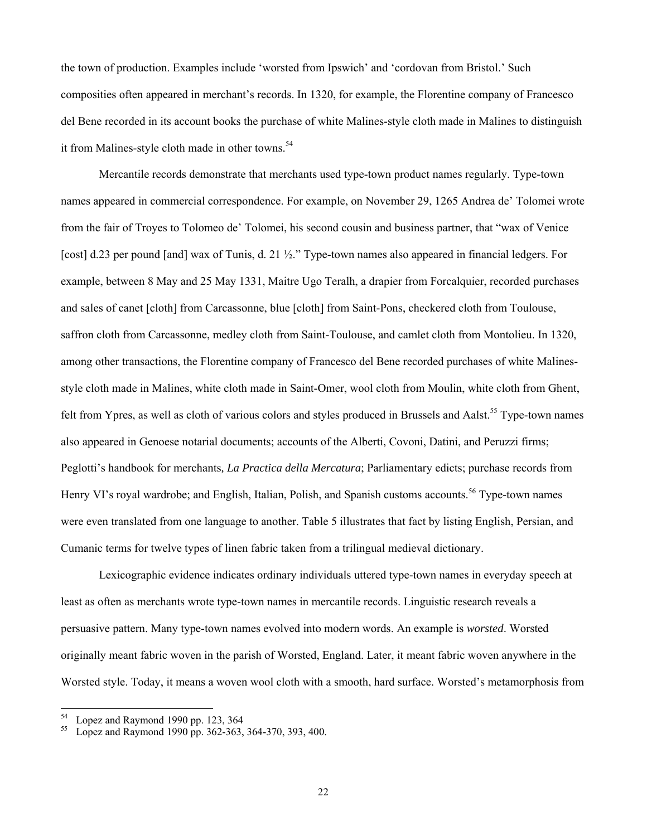the town of production. Examples include 'worsted from Ipswich' and 'cordovan from Bristol.' Such composities often appeared in merchant's records. In 1320, for example, the Florentine company of Francesco del Bene recorded in its account books the purchase of white Malines-style cloth made in Malines to distinguish it from Malines-style cloth made in other towns.<sup>54</sup>

Mercantile records demonstrate that merchants used type-town product names regularly. Type-town names appeared in commercial correspondence. For example, on November 29, 1265 Andrea de' Tolomei wrote from the fair of Troyes to Tolomeo de' Tolomei, his second cousin and business partner, that "wax of Venice [cost] d.23 per pound [and] wax of Tunis, d. 21 ½." Type-town names also appeared in financial ledgers. For example, between 8 May and 25 May 1331, Maitre Ugo Teralh, a drapier from Forcalquier, recorded purchases and sales of canet [cloth] from Carcassonne, blue [cloth] from Saint-Pons, checkered cloth from Toulouse, saffron cloth from Carcassonne, medley cloth from Saint-Toulouse, and camlet cloth from Montolieu. In 1320, among other transactions, the Florentine company of Francesco del Bene recorded purchases of white Malinesstyle cloth made in Malines, white cloth made in Saint-Omer, wool cloth from Moulin, white cloth from Ghent, felt from Ypres, as well as cloth of various colors and styles produced in Brussels and Aalst.<sup>55</sup> Type-town names also appeared in Genoese notarial documents; accounts of the Alberti, Covoni, Datini, and Peruzzi firms; Peglotti's handbook for merchants*, La Practica della Mercatura*; Parliamentary edicts; purchase records from Henry VI's royal wardrobe; and English, Italian, Polish, and Spanish customs accounts.<sup>56</sup> Type-town names were even translated from one language to another. Table 5 illustrates that fact by listing English, Persian, and Cumanic terms for twelve types of linen fabric taken from a trilingual medieval dictionary.

Lexicographic evidence indicates ordinary individuals uttered type-town names in everyday speech at least as often as merchants wrote type-town names in mercantile records. Linguistic research reveals a persuasive pattern. Many type-town names evolved into modern words. An example is *worsted*. Worsted originally meant fabric woven in the parish of Worsted, England. Later, it meant fabric woven anywhere in the Worsted style. Today, it means a woven wool cloth with a smooth, hard surface. Worsted's metamorphosis from

 $^{54}$  Lopez and Raymond 1990 pp. 123, 364<br> $^{55}$  Lopez and Paymond 1990 pp. 362, 363

Lopez and Raymond 1990 pp. 362-363, 364-370, 393, 400.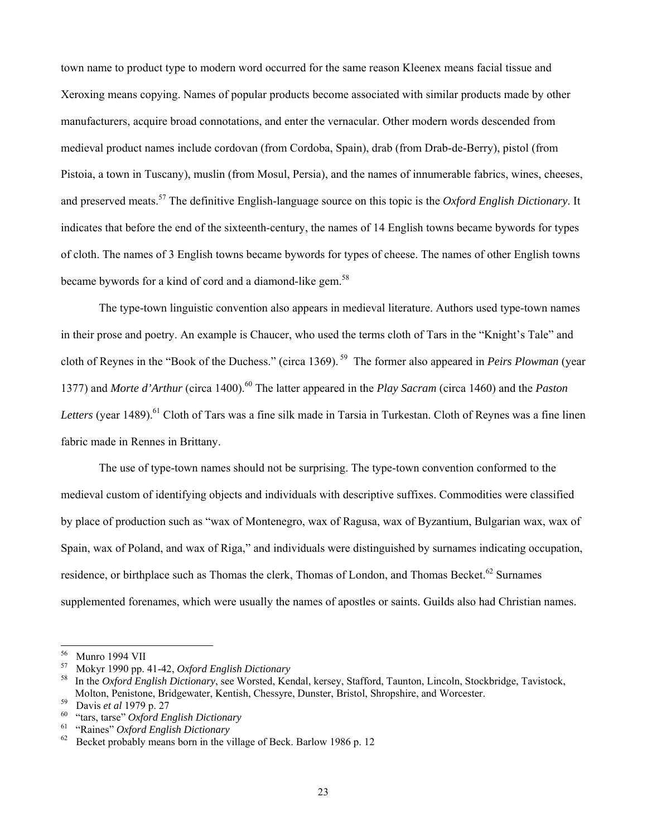town name to product type to modern word occurred for the same reason Kleenex means facial tissue and Xeroxing means copying. Names of popular products become associated with similar products made by other manufacturers, acquire broad connotations, and enter the vernacular. Other modern words descended from medieval product names include cordovan (from Cordoba, Spain), drab (from Drab-de-Berry), pistol (from Pistoia, a town in Tuscany), muslin (from Mosul, Persia), and the names of innumerable fabrics, wines, cheeses, and preserved meats.57 The definitive English-language source on this topic is the *Oxford English Dictionary*. It indicates that before the end of the sixteenth-century, the names of 14 English towns became bywords for types of cloth. The names of 3 English towns became bywords for types of cheese. The names of other English towns became bywords for a kind of cord and a diamond-like gem.<sup>58</sup>

The type-town linguistic convention also appears in medieval literature. Authors used type-town names in their prose and poetry. An example is Chaucer, who used the terms cloth of Tars in the "Knight's Tale" and cloth of Reynes in the "Book of the Duchess." (circa 1369). 59 The former also appeared in *Peirs Plowman* (year 1377) and *Morte d'Arthur* (circa 1400).<sup>60</sup> The latter appeared in the *Play Sacram* (circa 1460) and the *Paston* Letters (year 1489).<sup>61</sup> Cloth of Tars was a fine silk made in Tarsia in Turkestan. Cloth of Reynes was a fine linen fabric made in Rennes in Brittany.

The use of type-town names should not be surprising. The type-town convention conformed to the medieval custom of identifying objects and individuals with descriptive suffixes. Commodities were classified by place of production such as "wax of Montenegro, wax of Ragusa, wax of Byzantium, Bulgarian wax, wax of Spain, wax of Poland, and wax of Riga," and individuals were distinguished by surnames indicating occupation, residence, or birthplace such as Thomas the clerk, Thomas of London, and Thomas Becket.<sup>62</sup> Surnames supplemented forenames, which were usually the names of apostles or saints. Guilds also had Christian names.

<sup>56</sup>  $^{56}$  Munro 1994 VII

<sup>57</sup> Mokyr 1990 pp. 41-42, *Oxford English Dictionary* 58 In the *Oxford English Dictionary*, see Worsted, Kendal, kersey, Stafford, Taunton, Lincoln, Stockbridge, Tavistock, Molton, Penistone, Bridgewater, Kentish, Chessyre, Dunster, Bristol, Shropshire, and Worcester.<br>
<sup>59</sup> Davis *et al* 1979 p. 27<br>
<sup>60</sup> "tars, tarse" *Oxford English Dictionary*<br>
<sup>61</sup> "Raines" *Oxford English Dictionary*<br>
<sup>6</sup>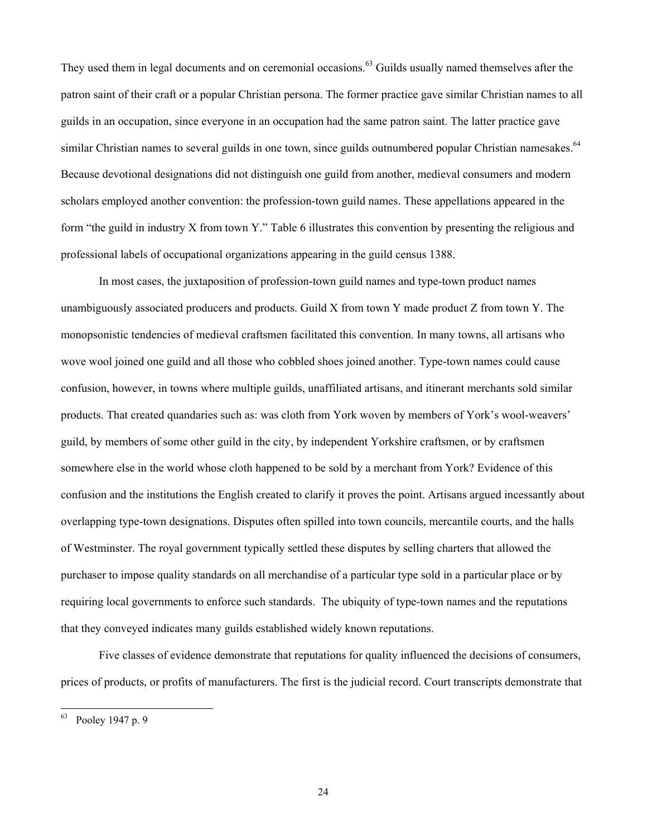They used them in legal documents and on ceremonial occasions.<sup>63</sup> Guilds usually named themselves after the patron saint of their craft or a popular Christian persona. The former practice gave similar Christian names to all guilds in an occupation, since everyone in an occupation had the same patron saint. The latter practice gave similar Christian names to several guilds in one town, since guilds outnumbered popular Christian namesakes.<sup>64</sup> Because devotional designations did not distinguish one guild from another, medieval consumers and modern scholars employed another convention: the profession-town guild names. These appellations appeared in the form "the guild in industry X from town Y." Table 6 illustrates this convention by presenting the religious and professional labels of occupational organizations appearing in the guild census 1388.

In most cases, the juxtaposition of profession-town guild names and type-town product names unambiguously associated producers and products. Guild X from town Y made product Z from town Y. The monopsonistic tendencies of medieval craftsmen facilitated this convention. In many towns, all artisans who wove wool joined one guild and all those who cobbled shoes joined another. Type-town names could cause confusion, however, in towns where multiple guilds, unaffiliated artisans, and itinerant merchants sold similar products. That created quandaries such as: was cloth from York woven by members of York's wool-weavers' guild, by members of some other guild in the city, by independent Yorkshire craftsmen, or by craftsmen somewhere else in the world whose cloth happened to be sold by a merchant from York? Evidence of this confusion and the institutions the English created to clarify it proves the point. Artisans argued incessantly about overlapping type-town designations. Disputes often spilled into town councils, mercantile courts, and the halls of Westminster. The royal government typically settled these disputes by selling charters that allowed the purchaser to impose quality standards on all merchandise of a particular type sold in a particular place or by requiring local governments to enforce such standards. The ubiquity of type-town names and the reputations that they conveyed indicates many guilds established widely known reputations.

Five classes of evidence demonstrate that reputations for quality influenced the decisions of consumers, prices of products, or profits of manufacturers. The first is the judicial record. Court transcripts demonstrate that

<sup>63</sup> Pooley 1947 p. 9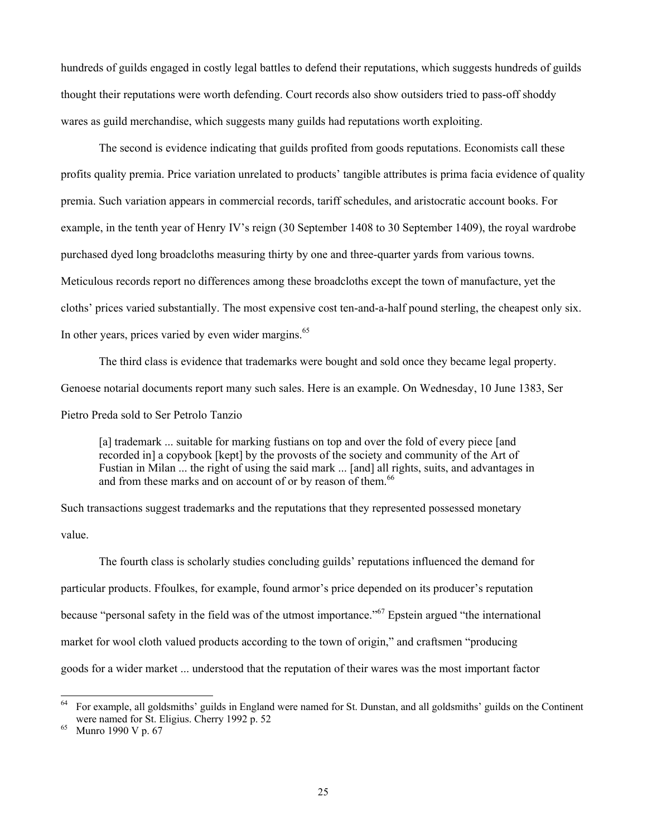hundreds of guilds engaged in costly legal battles to defend their reputations, which suggests hundreds of guilds thought their reputations were worth defending. Court records also show outsiders tried to pass-off shoddy wares as guild merchandise, which suggests many guilds had reputations worth exploiting.

The second is evidence indicating that guilds profited from goods reputations. Economists call these profits quality premia. Price variation unrelated to products' tangible attributes is prima facia evidence of quality premia. Such variation appears in commercial records, tariff schedules, and aristocratic account books. For example, in the tenth year of Henry IV's reign (30 September 1408 to 30 September 1409), the royal wardrobe purchased dyed long broadcloths measuring thirty by one and three-quarter yards from various towns. Meticulous records report no differences among these broadcloths except the town of manufacture, yet the cloths' prices varied substantially. The most expensive cost ten-and-a-half pound sterling, the cheapest only six. In other years, prices varied by even wider margins.<sup>65</sup>

The third class is evidence that trademarks were bought and sold once they became legal property. Genoese notarial documents report many such sales. Here is an example. On Wednesday, 10 June 1383, Ser Pietro Preda sold to Ser Petrolo Tanzio

[a] trademark ... suitable for marking fustians on top and over the fold of every piece [and recorded in] a copybook [kept] by the provosts of the society and community of the Art of Fustian in Milan ... the right of using the said mark ... [and] all rights, suits, and advantages in and from these marks and on account of or by reason of them.<sup>66</sup>

Such transactions suggest trademarks and the reputations that they represented possessed monetary value.

The fourth class is scholarly studies concluding guilds' reputations influenced the demand for particular products. Ffoulkes, for example, found armor's price depended on its producer's reputation because "personal safety in the field was of the utmost importance."<sup>67</sup> Epstein argued "the international market for wool cloth valued products according to the town of origin," and craftsmen "producing goods for a wider market ... understood that the reputation of their wares was the most important factor

<sup>&</sup>lt;sup>64</sup> For example, all goldsmiths' guilds in England were named for St. Dunstan, and all goldsmiths' guilds on the Continent were named for St. Eligius. Cherry 1992 p. 52<br>Munro 1990 V p. 67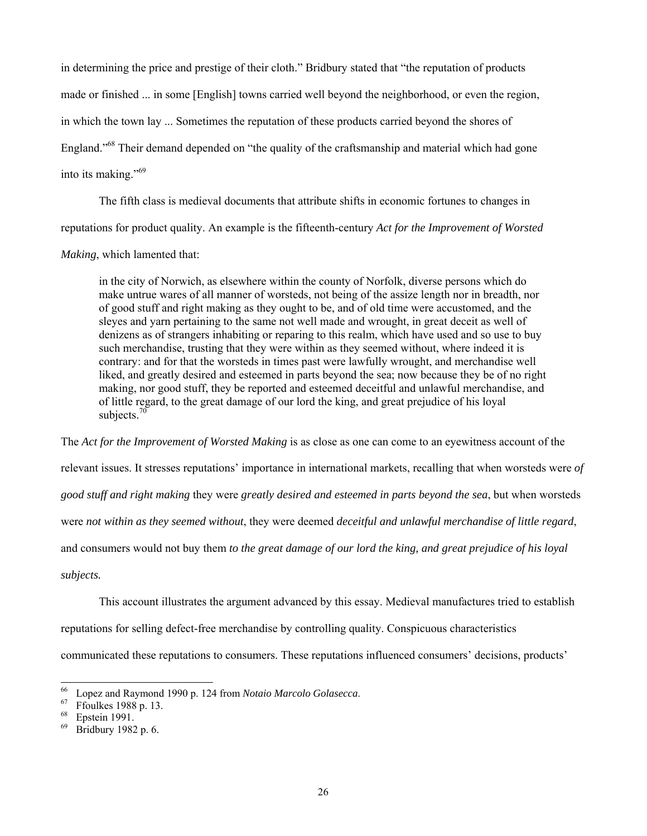in determining the price and prestige of their cloth." Bridbury stated that "the reputation of products made or finished ... in some [English] towns carried well beyond the neighborhood, or even the region, in which the town lay ... Sometimes the reputation of these products carried beyond the shores of England."<sup>68</sup> Their demand depended on "the quality of the craftsmanship and material which had gone into its making."69

The fifth class is medieval documents that attribute shifts in economic fortunes to changes in reputations for product quality. An example is the fifteenth-century *Act for the Improvement of Worsted* 

*Making*, which lamented that:

in the city of Norwich, as elsewhere within the county of Norfolk, diverse persons which do make untrue wares of all manner of worsteds, not being of the assize length nor in breadth, nor of good stuff and right making as they ought to be, and of old time were accustomed, and the sleyes and yarn pertaining to the same not well made and wrought, in great deceit as well of denizens as of strangers inhabiting or reparing to this realm, which have used and so use to buy such merchandise, trusting that they were within as they seemed without, where indeed it is contrary: and for that the worsteds in times past were lawfully wrought, and merchandise well liked, and greatly desired and esteemed in parts beyond the sea; now because they be of no right making, nor good stuff, they be reported and esteemed deceitful and unlawful merchandise, and of little regard, to the great damage of our lord the king, and great prejudice of his loyal subjects. $70$ 

The *Act for the Improvement of Worsted Making* is as close as one can come to an eyewitness account of the relevant issues. It stresses reputations' importance in international markets, recalling that when worsteds were *of good stuff and right making* they were *greatly desired and esteemed in parts beyond the sea*, but when worsteds were *not within as they seemed without*, they were deemed *deceitful and unlawful merchandise of little regard*, and consumers would not buy them *to the great damage of our lord the king, and great prejudice of his loyal subjects.*

This account illustrates the argument advanced by this essay. Medieval manufactures tried to establish reputations for selling defect-free merchandise by controlling quality. Conspicuous characteristics communicated these reputations to consumers. These reputations influenced consumers' decisions, products'

<sup>66</sup> 66 Lopez and Raymond 1990 p. 124 from *Notaio Marcolo Golasecca*. 67 Ffoulkes 1988 p. 13.

 $^{68}$  Epstein 1991.<br> $^{69}$  Bridbury 1982

Bridbury 1982 p. 6.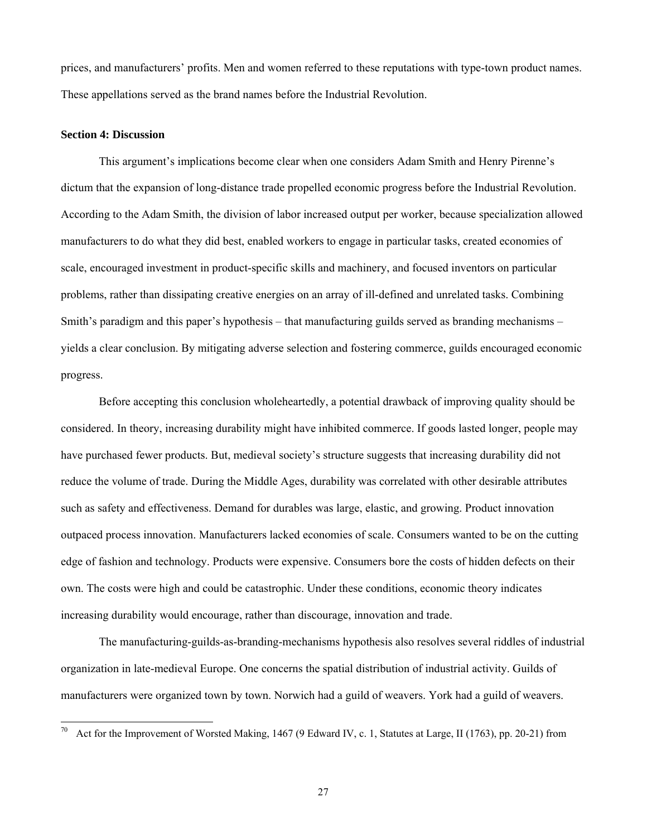prices, and manufacturers' profits. Men and women referred to these reputations with type-town product names. These appellations served as the brand names before the Industrial Revolution.

#### **Section 4: Discussion**

l

This argument's implications become clear when one considers Adam Smith and Henry Pirenne's dictum that the expansion of long-distance trade propelled economic progress before the Industrial Revolution. According to the Adam Smith, the division of labor increased output per worker, because specialization allowed manufacturers to do what they did best, enabled workers to engage in particular tasks, created economies of scale, encouraged investment in product-specific skills and machinery, and focused inventors on particular problems, rather than dissipating creative energies on an array of ill-defined and unrelated tasks. Combining Smith's paradigm and this paper's hypothesis – that manufacturing guilds served as branding mechanisms – yields a clear conclusion. By mitigating adverse selection and fostering commerce, guilds encouraged economic progress.

Before accepting this conclusion wholeheartedly, a potential drawback of improving quality should be considered. In theory, increasing durability might have inhibited commerce. If goods lasted longer, people may have purchased fewer products. But, medieval society's structure suggests that increasing durability did not reduce the volume of trade. During the Middle Ages, durability was correlated with other desirable attributes such as safety and effectiveness. Demand for durables was large, elastic, and growing. Product innovation outpaced process innovation. Manufacturers lacked economies of scale. Consumers wanted to be on the cutting edge of fashion and technology. Products were expensive. Consumers bore the costs of hidden defects on their own. The costs were high and could be catastrophic. Under these conditions, economic theory indicates increasing durability would encourage, rather than discourage, innovation and trade.

The manufacturing-guilds-as-branding-mechanisms hypothesis also resolves several riddles of industrial organization in late-medieval Europe. One concerns the spatial distribution of industrial activity. Guilds of manufacturers were organized town by town. Norwich had a guild of weavers. York had a guild of weavers.

<sup>70</sup> Act for the Improvement of Worsted Making, 1467 (9 Edward IV, c. 1, Statutes at Large, II (1763), pp. 20-21) from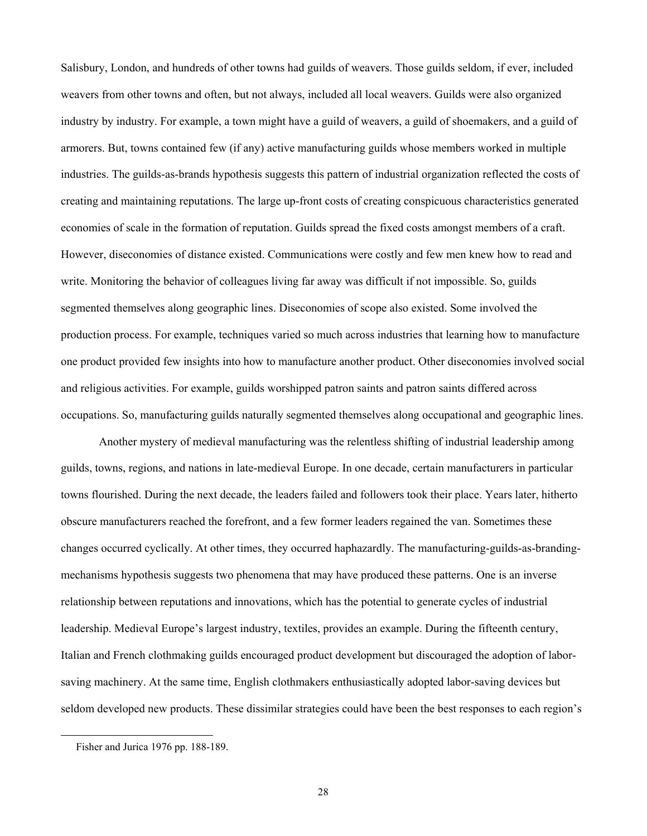Salisbury, London, and hundreds of other towns had guilds of weavers. Those guilds seldom, if ever, included weavers from other towns and often, but not always, included all local weavers. Guilds were also organized industry by industry. For example, a town might have a guild of weavers, a guild of shoemakers, and a guild of armorers. But, towns contained few (if any) active manufacturing guilds whose members worked in multiple industries. The guilds-as-brands hypothesis suggests this pattern of industrial organization reflected the costs of creating and maintaining reputations. The large up-front costs of creating conspicuous characteristics generated economies of scale in the formation of reputation. Guilds spread the fixed costs amongst members of a craft. However, diseconomies of distance existed. Communications were costly and few men knew how to read and write. Monitoring the behavior of colleagues living far away was difficult if not impossible. So, guilds segmented themselves along geographic lines. Diseconomies of scope also existed. Some involved the production process. For example, techniques varied so much across industries that learning how to manufacture one product provided few insights into how to manufacture another product. Other diseconomies involved social and religious activities. For example, guilds worshipped patron saints and patron saints differed across occupations. So, manufacturing guilds naturally segmented themselves along occupational and geographic lines.

Another mystery of medieval manufacturing was the relentless shifting of industrial leadership among guilds, towns, regions, and nations in late-medieval Europe. In one decade, certain manufacturers in particular towns flourished. During the next decade, the leaders failed and followers took their place. Years later, hitherto obscure manufacturers reached the forefront, and a few former leaders regained the van. Sometimes these changes occurred cyclically. At other times, they occurred haphazardly. The manufacturing-guilds-as-brandingmechanisms hypothesis suggests two phenomena that may have produced these patterns. One is an inverse relationship between reputations and innovations, which has the potential to generate cycles of industrial leadership. Medieval Europe's largest industry, textiles, provides an example. During the fifteenth century, Italian and French clothmaking guilds encouraged product development but discouraged the adoption of laborsaving machinery. At the same time, English clothmakers enthusiastically adopted labor-saving devices but seldom developed new products. These dissimilar strategies could have been the best responses to each region's

Fisher and Jurica 1976 pp. 188-189.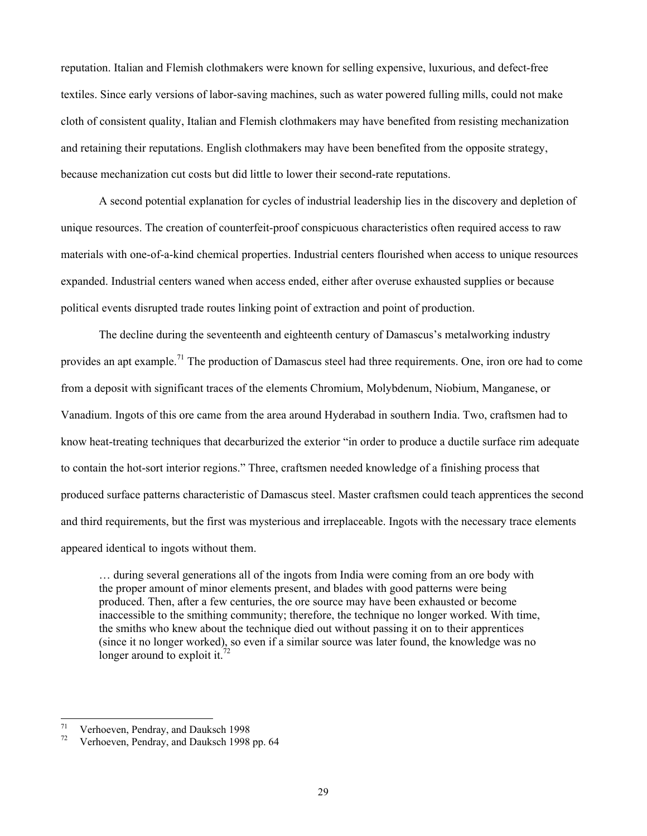reputation. Italian and Flemish clothmakers were known for selling expensive, luxurious, and defect-free textiles. Since early versions of labor-saving machines, such as water powered fulling mills, could not make cloth of consistent quality, Italian and Flemish clothmakers may have benefited from resisting mechanization and retaining their reputations. English clothmakers may have been benefited from the opposite strategy, because mechanization cut costs but did little to lower their second-rate reputations.

A second potential explanation for cycles of industrial leadership lies in the discovery and depletion of unique resources. The creation of counterfeit-proof conspicuous characteristics often required access to raw materials with one-of-a-kind chemical properties. Industrial centers flourished when access to unique resources expanded. Industrial centers waned when access ended, either after overuse exhausted supplies or because political events disrupted trade routes linking point of extraction and point of production.

The decline during the seventeenth and eighteenth century of Damascus's metalworking industry provides an apt example.<sup>71</sup> The production of Damascus steel had three requirements. One, iron ore had to come from a deposit with significant traces of the elements Chromium, Molybdenum, Niobium, Manganese, or Vanadium. Ingots of this ore came from the area around Hyderabad in southern India. Two, craftsmen had to know heat-treating techniques that decarburized the exterior "in order to produce a ductile surface rim adequate to contain the hot-sort interior regions." Three, craftsmen needed knowledge of a finishing process that produced surface patterns characteristic of Damascus steel. Master craftsmen could teach apprentices the second and third requirements, but the first was mysterious and irreplaceable. Ingots with the necessary trace elements appeared identical to ingots without them.

… during several generations all of the ingots from India were coming from an ore body with the proper amount of minor elements present, and blades with good patterns were being produced. Then, after a few centuries, the ore source may have been exhausted or become inaccessible to the smithing community; therefore, the technique no longer worked. With time, the smiths who knew about the technique died out without passing it on to their apprentices (since it no longer worked), so even if a similar source was later found, the knowledge was no longer around to exploit it.<sup>72</sup>

<sup>71</sup> <sup>71</sup> Verhoeven, Pendray, and Dauksch 1998<br><sup>72</sup> Verhoeven, Pendray, and Dauksch 1998

Verhoeven, Pendray, and Dauksch 1998 pp. 64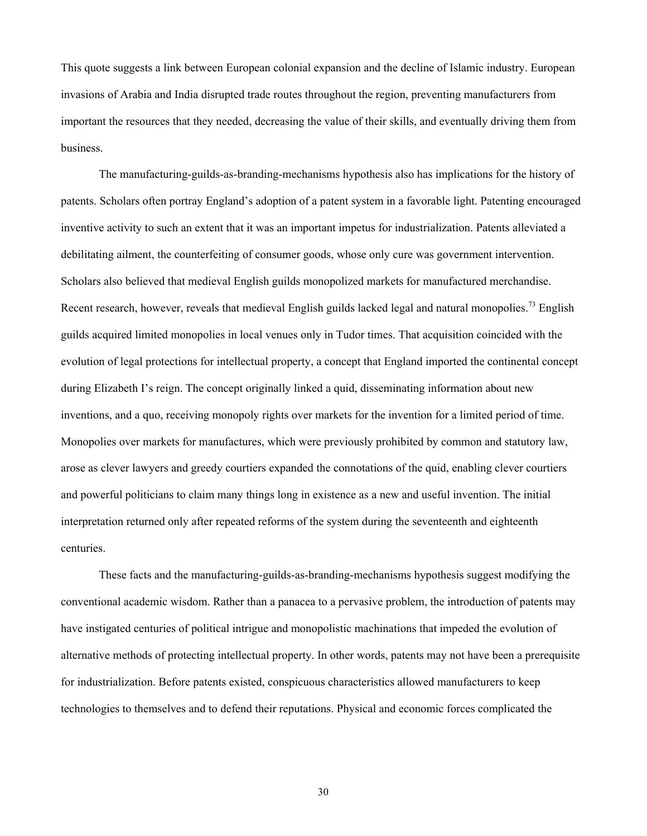This quote suggests a link between European colonial expansion and the decline of Islamic industry. European invasions of Arabia and India disrupted trade routes throughout the region, preventing manufacturers from important the resources that they needed, decreasing the value of their skills, and eventually driving them from business.

The manufacturing-guilds-as-branding-mechanisms hypothesis also has implications for the history of patents. Scholars often portray England's adoption of a patent system in a favorable light. Patenting encouraged inventive activity to such an extent that it was an important impetus for industrialization. Patents alleviated a debilitating ailment, the counterfeiting of consumer goods, whose only cure was government intervention. Scholars also believed that medieval English guilds monopolized markets for manufactured merchandise. Recent research, however, reveals that medieval English guilds lacked legal and natural monopolies.<sup>73</sup> English guilds acquired limited monopolies in local venues only in Tudor times. That acquisition coincided with the evolution of legal protections for intellectual property, a concept that England imported the continental concept during Elizabeth I's reign. The concept originally linked a quid, disseminating information about new inventions, and a quo, receiving monopoly rights over markets for the invention for a limited period of time. Monopolies over markets for manufactures, which were previously prohibited by common and statutory law, arose as clever lawyers and greedy courtiers expanded the connotations of the quid, enabling clever courtiers and powerful politicians to claim many things long in existence as a new and useful invention. The initial interpretation returned only after repeated reforms of the system during the seventeenth and eighteenth centuries.

These facts and the manufacturing-guilds-as-branding-mechanisms hypothesis suggest modifying the conventional academic wisdom. Rather than a panacea to a pervasive problem, the introduction of patents may have instigated centuries of political intrigue and monopolistic machinations that impeded the evolution of alternative methods of protecting intellectual property. In other words, patents may not have been a prerequisite for industrialization. Before patents existed, conspicuous characteristics allowed manufacturers to keep technologies to themselves and to defend their reputations. Physical and economic forces complicated the

30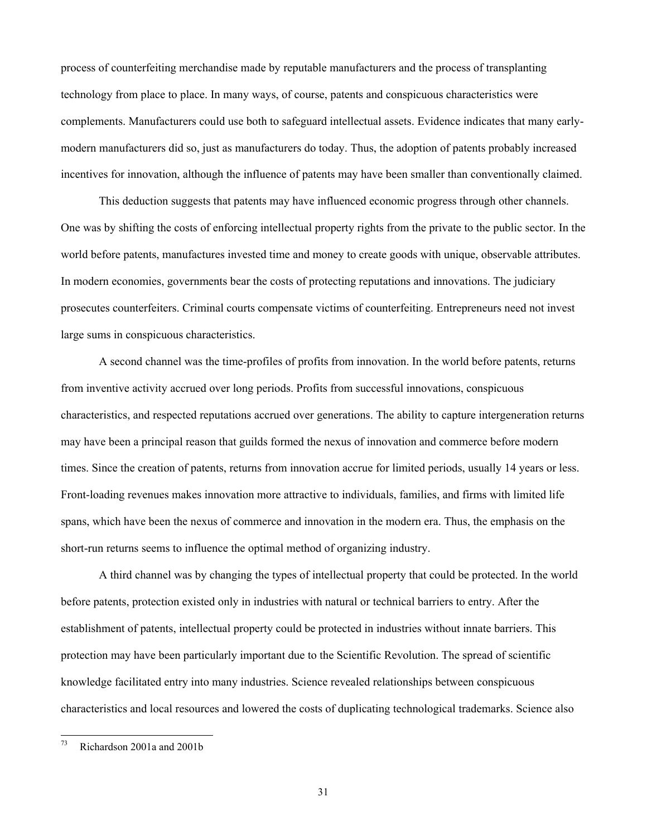process of counterfeiting merchandise made by reputable manufacturers and the process of transplanting technology from place to place. In many ways, of course, patents and conspicuous characteristics were complements. Manufacturers could use both to safeguard intellectual assets. Evidence indicates that many earlymodern manufacturers did so, just as manufacturers do today. Thus, the adoption of patents probably increased incentives for innovation, although the influence of patents may have been smaller than conventionally claimed.

 This deduction suggests that patents may have influenced economic progress through other channels. One was by shifting the costs of enforcing intellectual property rights from the private to the public sector. In the world before patents, manufactures invested time and money to create goods with unique, observable attributes. In modern economies, governments bear the costs of protecting reputations and innovations. The judiciary prosecutes counterfeiters. Criminal courts compensate victims of counterfeiting. Entrepreneurs need not invest large sums in conspicuous characteristics.

A second channel was the time-profiles of profits from innovation. In the world before patents, returns from inventive activity accrued over long periods. Profits from successful innovations, conspicuous characteristics, and respected reputations accrued over generations. The ability to capture intergeneration returns may have been a principal reason that guilds formed the nexus of innovation and commerce before modern times. Since the creation of patents, returns from innovation accrue for limited periods, usually 14 years or less. Front-loading revenues makes innovation more attractive to individuals, families, and firms with limited life spans, which have been the nexus of commerce and innovation in the modern era. Thus, the emphasis on the short-run returns seems to influence the optimal method of organizing industry.

A third channel was by changing the types of intellectual property that could be protected. In the world before patents, protection existed only in industries with natural or technical barriers to entry. After the establishment of patents, intellectual property could be protected in industries without innate barriers. This protection may have been particularly important due to the Scientific Revolution. The spread of scientific knowledge facilitated entry into many industries. Science revealed relationships between conspicuous characteristics and local resources and lowered the costs of duplicating technological trademarks. Science also

 $73\,$ Richardson 2001a and 2001b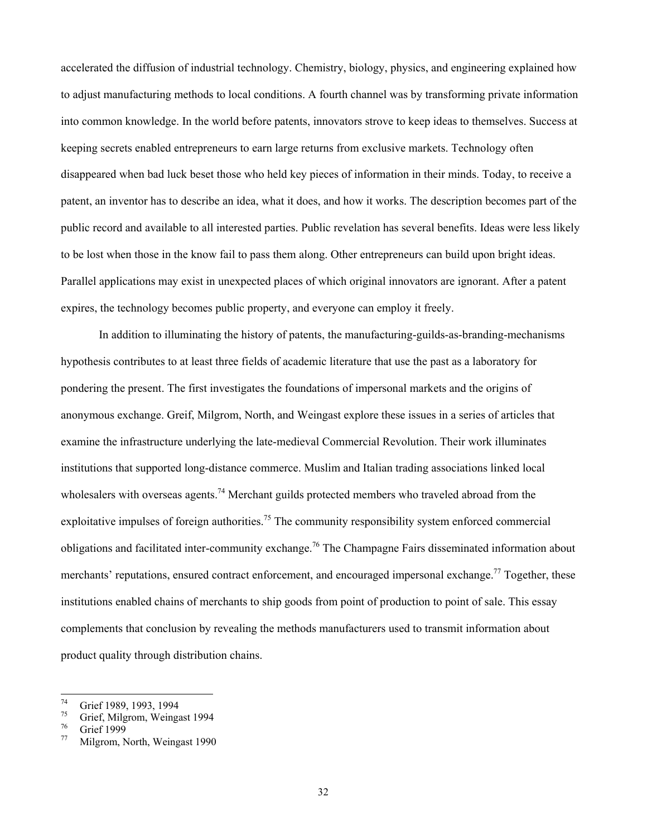accelerated the diffusion of industrial technology. Chemistry, biology, physics, and engineering explained how to adjust manufacturing methods to local conditions. A fourth channel was by transforming private information into common knowledge. In the world before patents, innovators strove to keep ideas to themselves. Success at keeping secrets enabled entrepreneurs to earn large returns from exclusive markets. Technology often disappeared when bad luck beset those who held key pieces of information in their minds. Today, to receive a patent, an inventor has to describe an idea, what it does, and how it works. The description becomes part of the public record and available to all interested parties. Public revelation has several benefits. Ideas were less likely to be lost when those in the know fail to pass them along. Other entrepreneurs can build upon bright ideas. Parallel applications may exist in unexpected places of which original innovators are ignorant. After a patent expires, the technology becomes public property, and everyone can employ it freely.

 In addition to illuminating the history of patents, the manufacturing-guilds-as-branding-mechanisms hypothesis contributes to at least three fields of academic literature that use the past as a laboratory for pondering the present. The first investigates the foundations of impersonal markets and the origins of anonymous exchange. Greif, Milgrom, North, and Weingast explore these issues in a series of articles that examine the infrastructure underlying the late-medieval Commercial Revolution. Their work illuminates institutions that supported long-distance commerce. Muslim and Italian trading associations linked local wholesalers with overseas agents.<sup>74</sup> Merchant guilds protected members who traveled abroad from the exploitative impulses of foreign authorities.<sup>75</sup> The community responsibility system enforced commercial obligations and facilitated inter-community exchange.<sup>76</sup> The Champagne Fairs disseminated information about merchants' reputations, ensured contract enforcement, and encouraged impersonal exchange.<sup>77</sup> Together, these institutions enabled chains of merchants to ship goods from point of production to point of sale. This essay complements that conclusion by revealing the methods manufacturers used to transmit information about product quality through distribution chains.

 $74\,$  $\frac{74}{75}$  Grief 1989, 1993, 1994

 $^{75}$  Grief, Milgrom, Weingast 1994

 $\frac{76}{77}$  Grief 1999

Milgrom, North, Weingast 1990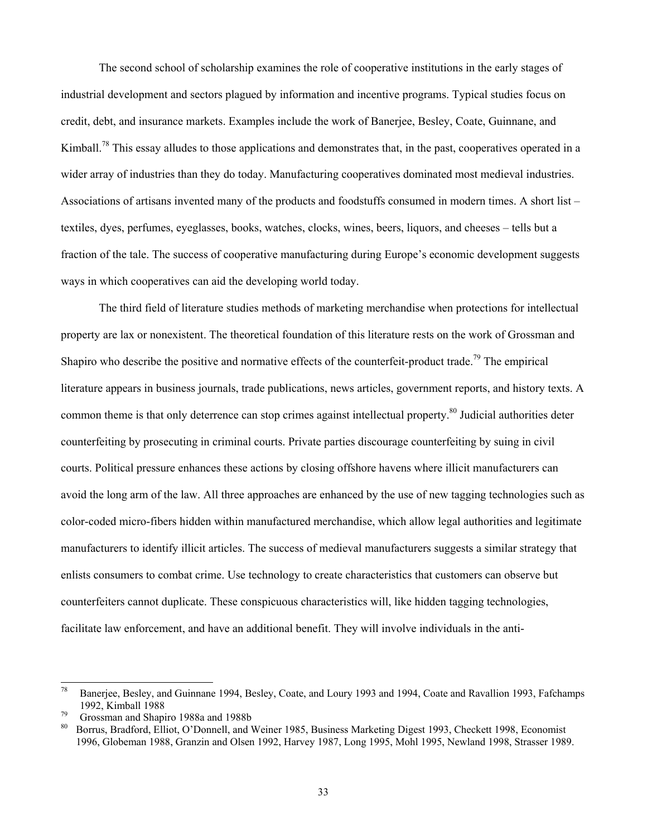The second school of scholarship examines the role of cooperative institutions in the early stages of industrial development and sectors plagued by information and incentive programs. Typical studies focus on credit, debt, and insurance markets. Examples include the work of Banerjee, Besley, Coate, Guinnane, and Kimball.<sup>78</sup> This essay alludes to those applications and demonstrates that, in the past, cooperatives operated in a wider array of industries than they do today. Manufacturing cooperatives dominated most medieval industries. Associations of artisans invented many of the products and foodstuffs consumed in modern times. A short list – textiles, dyes, perfumes, eyeglasses, books, watches, clocks, wines, beers, liquors, and cheeses – tells but a fraction of the tale. The success of cooperative manufacturing during Europe's economic development suggests ways in which cooperatives can aid the developing world today.

 The third field of literature studies methods of marketing merchandise when protections for intellectual property are lax or nonexistent. The theoretical foundation of this literature rests on the work of Grossman and Shapiro who describe the positive and normative effects of the counterfeit-product trade.<sup>79</sup> The empirical literature appears in business journals, trade publications, news articles, government reports, and history texts. A common theme is that only deterrence can stop crimes against intellectual property.<sup>80</sup> Judicial authorities deter counterfeiting by prosecuting in criminal courts. Private parties discourage counterfeiting by suing in civil courts. Political pressure enhances these actions by closing offshore havens where illicit manufacturers can avoid the long arm of the law. All three approaches are enhanced by the use of new tagging technologies such as color-coded micro-fibers hidden within manufactured merchandise, which allow legal authorities and legitimate manufacturers to identify illicit articles. The success of medieval manufacturers suggests a similar strategy that enlists consumers to combat crime. Use technology to create characteristics that customers can observe but counterfeiters cannot duplicate. These conspicuous characteristics will, like hidden tagging technologies, facilitate law enforcement, and have an additional benefit. They will involve individuals in the anti-

 $78\,$ 78 Banerjee, Besley, and Guinnane 1994, Besley, Coate, and Loury 1993 and 1994, Coate and Ravallion 1993, Fafchamps 1992, Kimball 1988 79 Grossman and Shapiro 1988a and 1988b

<sup>80</sup> Borrus, Bradford, Elliot, O'Donnell, and Weiner 1985, Business Marketing Digest 1993, Checkett 1998, Economist 1996, Globeman 1988, Granzin and Olsen 1992, Harvey 1987, Long 1995, Mohl 1995, Newland 1998, Strasser 1989.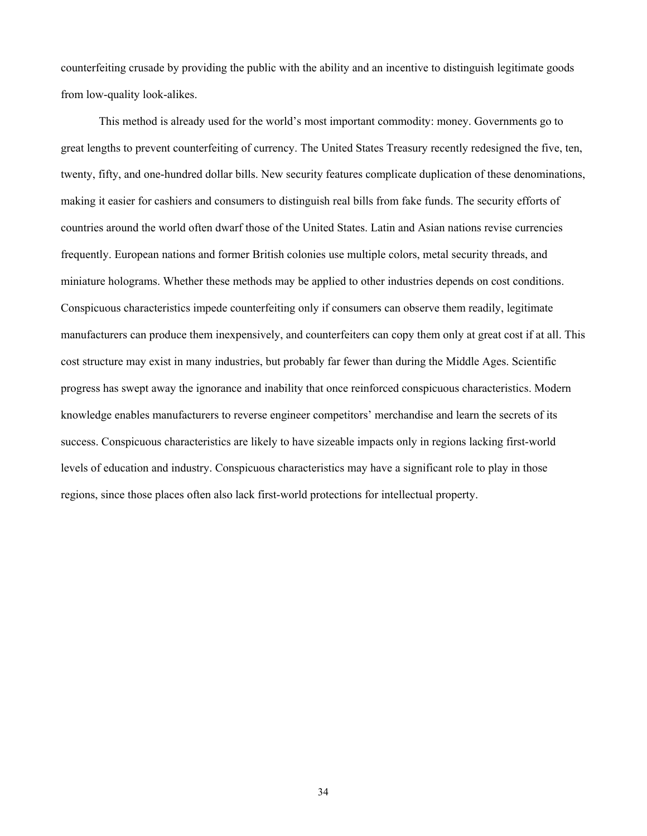counterfeiting crusade by providing the public with the ability and an incentive to distinguish legitimate goods from low-quality look-alikes.

 This method is already used for the world's most important commodity: money. Governments go to great lengths to prevent counterfeiting of currency. The United States Treasury recently redesigned the five, ten, twenty, fifty, and one-hundred dollar bills. New security features complicate duplication of these denominations, making it easier for cashiers and consumers to distinguish real bills from fake funds. The security efforts of countries around the world often dwarf those of the United States. Latin and Asian nations revise currencies frequently. European nations and former British colonies use multiple colors, metal security threads, and miniature holograms. Whether these methods may be applied to other industries depends on cost conditions. Conspicuous characteristics impede counterfeiting only if consumers can observe them readily, legitimate manufacturers can produce them inexpensively, and counterfeiters can copy them only at great cost if at all. This cost structure may exist in many industries, but probably far fewer than during the Middle Ages. Scientific progress has swept away the ignorance and inability that once reinforced conspicuous characteristics. Modern knowledge enables manufacturers to reverse engineer competitors' merchandise and learn the secrets of its success. Conspicuous characteristics are likely to have sizeable impacts only in regions lacking first-world levels of education and industry. Conspicuous characteristics may have a significant role to play in those regions, since those places often also lack first-world protections for intellectual property.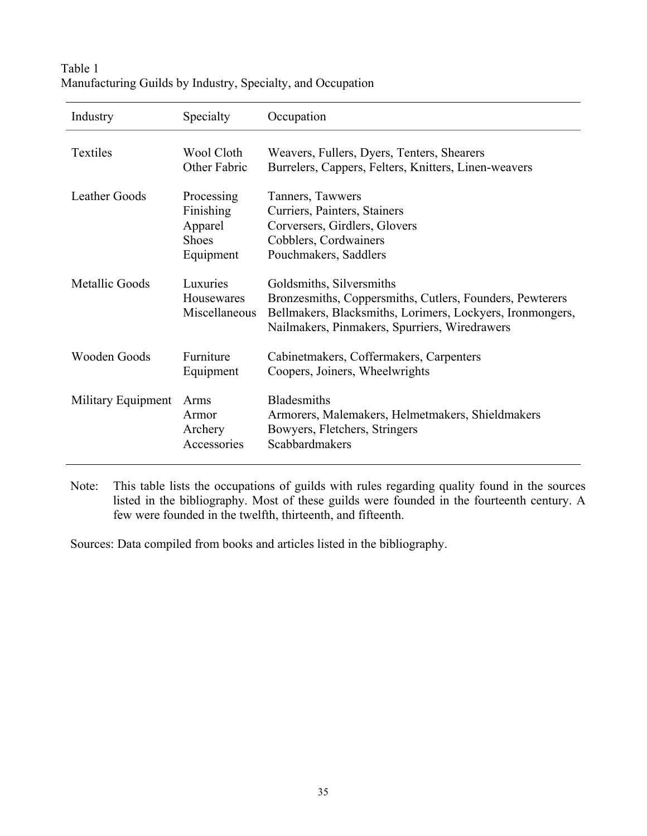| Industry           | Specialty                                                       | Occupation                                                                                                                                                                                         |
|--------------------|-----------------------------------------------------------------|----------------------------------------------------------------------------------------------------------------------------------------------------------------------------------------------------|
| Textiles           | Wool Cloth<br>Other Fabric                                      | Weavers, Fullers, Dyers, Tenters, Shearers<br>Burrelers, Cappers, Felters, Knitters, Linen-weavers                                                                                                 |
| Leather Goods      | Processing<br>Finishing<br>Apparel<br><b>Shoes</b><br>Equipment | Tanners, Tawwers<br>Curriers, Painters, Stainers<br>Corversers, Girdlers, Glovers<br>Cobblers, Cordwainers<br>Pouchmakers, Saddlers                                                                |
| Metallic Goods     | Luxuries<br>Housewares<br>Miscellaneous                         | Goldsmiths, Silversmiths<br>Bronzesmiths, Coppersmiths, Cutlers, Founders, Pewterers<br>Bellmakers, Blacksmiths, Lorimers, Lockyers, Ironmongers,<br>Nailmakers, Pinmakers, Spurriers, Wiredrawers |
| Wooden Goods       | Furniture<br>Equipment                                          | Cabinetmakers, Coffermakers, Carpenters<br>Coopers, Joiners, Wheelwrights                                                                                                                          |
| Military Equipment | Arms<br>Armor<br>Archery<br>Accessories                         | <b>Bladesmiths</b><br>Armorers, Malemakers, Helmetmakers, Shieldmakers<br>Bowyers, Fletchers, Stringers<br>Scabbardmakers                                                                          |

# Table 1 Manufacturing Guilds by Industry, Specialty, and Occupation

Note: This table lists the occupations of guilds with rules regarding quality found in the sources listed in the bibliography. Most of these guilds were founded in the fourteenth century. A few were founded in the twelfth, thirteenth, and fifteenth.

Sources: Data compiled from books and articles listed in the bibliography.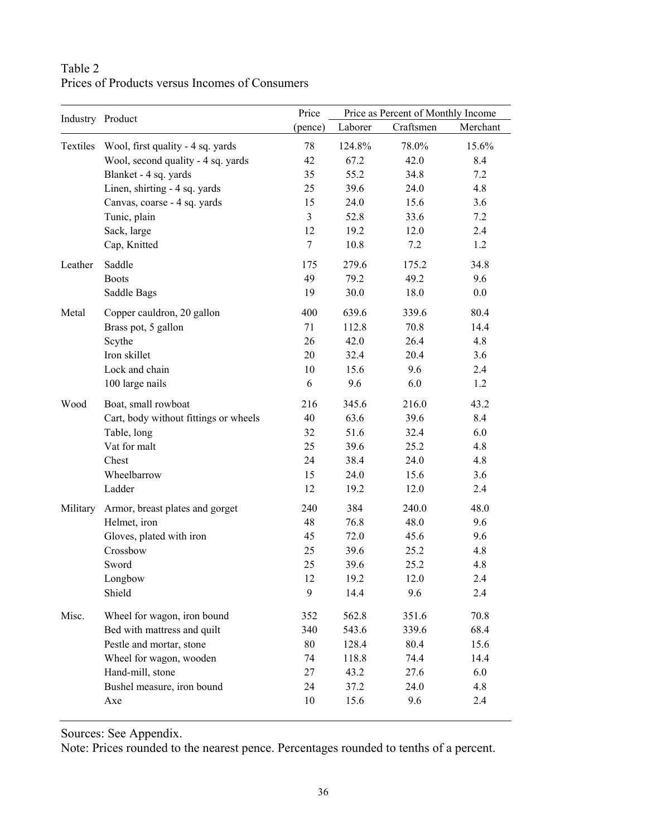| Table 2                                        |  |  |
|------------------------------------------------|--|--|
| Prices of Products versus Incomes of Consumers |  |  |

| Industry Product |                                       | Price<br>Price as Percent of Monthly Income |         |          |       |  |
|------------------|---------------------------------------|---------------------------------------------|---------|----------|-------|--|
|                  |                                       | (pence)                                     | Laborer | Merchant |       |  |
| Textiles         | Wool, first quality - 4 sq. yards     | 78                                          | 124.8%  | 78.0%    | 15.6% |  |
|                  | Wool, second quality - 4 sq. yards    | 42                                          | 67.2    | 42.0     | 8.4   |  |
|                  | Blanket - 4 sq. yards                 | 35                                          | 55.2    | 34.8     | 7.2   |  |
|                  | Linen, shirting - 4 sq. yards         | 25                                          | 39.6    | 24.0     | 4.8   |  |
|                  | Canvas, coarse - 4 sq. yards          | 15                                          | 24.0    | 15.6     | 3.6   |  |
|                  | Tunic, plain                          | $\overline{3}$                              | 52.8    | 33.6     | 7.2   |  |
|                  | Sack, large                           | 12                                          | 19.2    | 12.0     | 2.4   |  |
|                  | Cap, Knitted                          | $\tau$                                      | 10.8    | 7.2      | 1.2   |  |
| Leather          | Saddle                                | 175                                         | 279.6   | 175.2    | 34.8  |  |
|                  | <b>Boots</b>                          | 49                                          | 79.2    | 49.2     | 9.6   |  |
|                  | Saddle Bags                           | 19                                          | 30.0    | 18.0     | 0.0   |  |
| Metal            | Copper cauldron, 20 gallon            | 400                                         | 639.6   | 339.6    | 80.4  |  |
|                  | Brass pot, 5 gallon                   | 71                                          | 112.8   | 70.8     | 14.4  |  |
|                  | Scythe                                | 26                                          | 42.0    | 26.4     | 4.8   |  |
|                  | Iron skillet                          | 20                                          | 32.4    | 20.4     | 3.6   |  |
|                  | Lock and chain                        | 10                                          | 15.6    | 9.6      | 2.4   |  |
|                  | 100 large nails                       | 6                                           | 9.6     | 6.0      | 1.2   |  |
| Wood             | Boat, small rowboat                   | 216                                         | 345.6   | 216.0    | 43.2  |  |
|                  | Cart, body without fittings or wheels | 40                                          | 63.6    | 39.6     | 8.4   |  |
|                  | Table, long                           | 32                                          | 51.6    | 32.4     | 6.0   |  |
|                  | Vat for malt                          | 25                                          | 39.6    | 25.2     | 4.8   |  |
|                  | Chest                                 | 24                                          | 38.4    | 24.0     | 4.8   |  |
|                  | Wheelbarrow                           | 15                                          | 24.0    | 15.6     | 3.6   |  |
|                  | Ladder                                | 12                                          | 19.2    | 12.0     | 2.4   |  |
| Military         | Armor, breast plates and gorget       | 240                                         | 384     | 240.0    | 48.0  |  |
|                  | Helmet, iron                          | 48                                          | 76.8    | 48.0     | 9.6   |  |
|                  | Gloves, plated with iron              | 45                                          | 72.0    | 45.6     | 9.6   |  |
|                  | Crossbow                              | 25                                          | 39.6    | 25.2     | 4.8   |  |
|                  | Sword                                 | 25                                          | 39.6    | 25.2     | 4.8   |  |
|                  | Longbow                               | 12                                          | 19.2    | 12.0     | 2.4   |  |
|                  | Shield                                | 9                                           | 14.4    | 9.6      | 2.4   |  |
| Misc.            | Wheel for wagon, iron bound           | 352                                         | 562.8   | 351.6    | 70.8  |  |
|                  | Bed with mattress and quilt           | 340                                         | 543.6   | 339.6    | 68.4  |  |
|                  | Pestle and mortar, stone              | 80                                          | 128.4   | 80.4     | 15.6  |  |
|                  | Wheel for wagon, wooden               | 74                                          | 118.8   | 74.4     | 14.4  |  |
|                  | Hand-mill, stone                      | 27                                          | 43.2    | 27.6     | 6.0   |  |
|                  | Bushel measure, iron bound            | 24                                          | 37.2    | 24.0     | 4.8   |  |
|                  | Axe                                   | 10                                          | 15.6    | 9.6      | 2.4   |  |

Sources: See Appendix.

Note: Prices rounded to the nearest pence. Percentages rounded to tenths of a percent.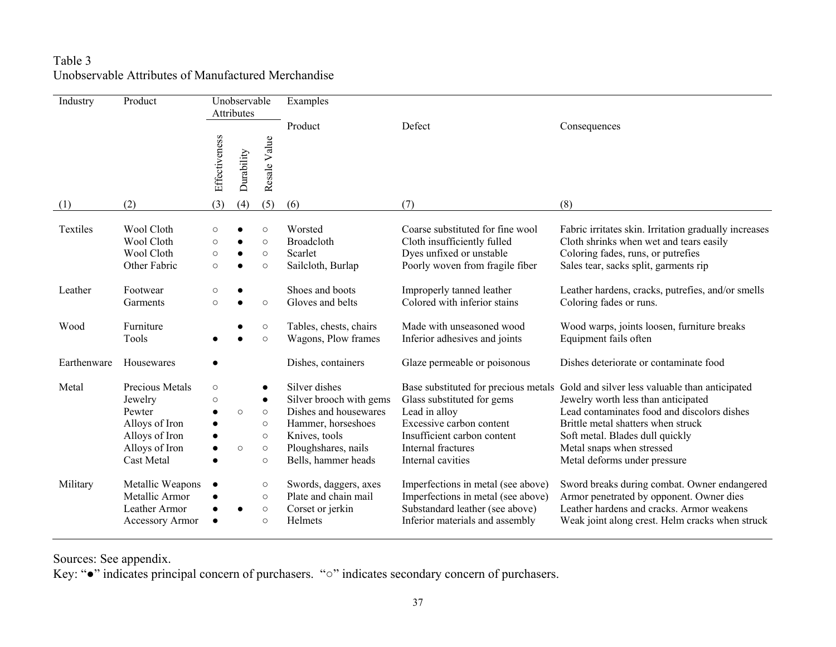# Table 3 Unobservable Attributes of Manufactured Merchandise

| Industry    | Product                                                                                                  | Unobservable                             |                       |                                                                               | Examples                                                                                                                                               |                                                                                                                                                                                           |                                                                                                                                                                                                                                                                            |
|-------------|----------------------------------------------------------------------------------------------------------|------------------------------------------|-----------------------|-------------------------------------------------------------------------------|--------------------------------------------------------------------------------------------------------------------------------------------------------|-------------------------------------------------------------------------------------------------------------------------------------------------------------------------------------------|----------------------------------------------------------------------------------------------------------------------------------------------------------------------------------------------------------------------------------------------------------------------------|
|             |                                                                                                          | Attributes                               |                       |                                                                               |                                                                                                                                                        |                                                                                                                                                                                           |                                                                                                                                                                                                                                                                            |
|             |                                                                                                          |                                          |                       |                                                                               | Product                                                                                                                                                | Defect                                                                                                                                                                                    | Consequences                                                                                                                                                                                                                                                               |
|             |                                                                                                          | Effectiveness                            | Durability            | Resale Value                                                                  |                                                                                                                                                        |                                                                                                                                                                                           |                                                                                                                                                                                                                                                                            |
| (1)         | (2)                                                                                                      | (3)                                      | (4)                   | (5)                                                                           | (6)                                                                                                                                                    | (7)                                                                                                                                                                                       | (8)                                                                                                                                                                                                                                                                        |
| Textiles    | Wool Cloth<br>Wool Cloth<br>Wool Cloth<br>Other Fabric                                                   | $\circ$<br>$\circ$<br>$\circ$<br>$\circ$ |                       | $\circ$<br>$\circ$<br>$\circ$<br>$\circ$                                      | Worsted<br><b>Broadcloth</b><br>Scarlet<br>Sailcloth, Burlap                                                                                           | Coarse substituted for fine wool<br>Cloth insufficiently fulled<br>Dyes unfixed or unstable<br>Poorly woven from fragile fiber                                                            | Fabric irritates skin. Irritation gradually increases<br>Cloth shrinks when wet and tears easily<br>Coloring fades, runs, or putrefies<br>Sales tear, sacks split, garments rip                                                                                            |
| Leather     | Footwear<br>Garments                                                                                     | $\circ$<br>$\circ$                       |                       | $\circ$                                                                       | Shoes and boots<br>Gloves and belts                                                                                                                    | Improperly tanned leather<br>Colored with inferior stains                                                                                                                                 | Leather hardens, cracks, putrefies, and/or smells<br>Coloring fades or runs.                                                                                                                                                                                               |
| Wood        | Furniture<br>Tools                                                                                       |                                          |                       | $\circ$<br>$\circ$                                                            | Tables, chests, chairs<br>Wagons, Plow frames                                                                                                          | Made with unseasoned wood<br>Inferior adhesives and joints                                                                                                                                | Wood warps, joints loosen, furniture breaks<br>Equipment fails often                                                                                                                                                                                                       |
| Earthenware | Housewares                                                                                               |                                          |                       |                                                                               | Dishes, containers                                                                                                                                     | Glaze permeable or poisonous                                                                                                                                                              | Dishes deteriorate or contaminate food                                                                                                                                                                                                                                     |
| Metal       | Precious Metals<br>Jewelry<br>Pewter<br>Alloys of Iron<br>Alloys of Iron<br>Alloys of Iron<br>Cast Metal | $\circ$<br>$\circ$<br>$\bullet$          | $\bigcirc$<br>$\circ$ | $\bullet$<br>$\bullet$<br>$\circ$<br>$\circ$<br>$\circ$<br>$\circ$<br>$\circ$ | Silver dishes<br>Silver brooch with gems<br>Dishes and housewares<br>Hammer, horseshoes<br>Knives, tools<br>Ploughshares, nails<br>Bells, hammer heads | Base substituted for precious metals<br>Glass substituted for gems<br>Lead in alloy<br>Excessive carbon content<br>Insufficient carbon content<br>Internal fractures<br>Internal cavities | Gold and silver less valuable than anticipated<br>Jewelry worth less than anticipated<br>Lead contaminates food and discolors dishes<br>Brittle metal shatters when struck<br>Soft metal. Blades dull quickly<br>Metal snaps when stressed<br>Metal deforms under pressure |
| Military    | Metallic Weapons<br>Metallic Armor<br>Leather Armor<br><b>Accessory Armor</b>                            |                                          |                       | $\circlearrowright$<br>$\circ$<br>$\circ$<br>$\circ$                          | Swords, daggers, axes<br>Plate and chain mail<br>Corset or jerkin<br><b>Helmets</b>                                                                    | Imperfections in metal (see above)<br>Imperfections in metal (see above)<br>Substandard leather (see above)<br>Inferior materials and assembly                                            | Sword breaks during combat. Owner endangered<br>Armor penetrated by opponent. Owner dies<br>Leather hardens and cracks. Armor weakens<br>Weak joint along crest. Helm cracks when struck                                                                                   |

Sources: See appendix.

Key: "●" indicates principal concern of purchasers. "○" indicates secondary concern of purchasers.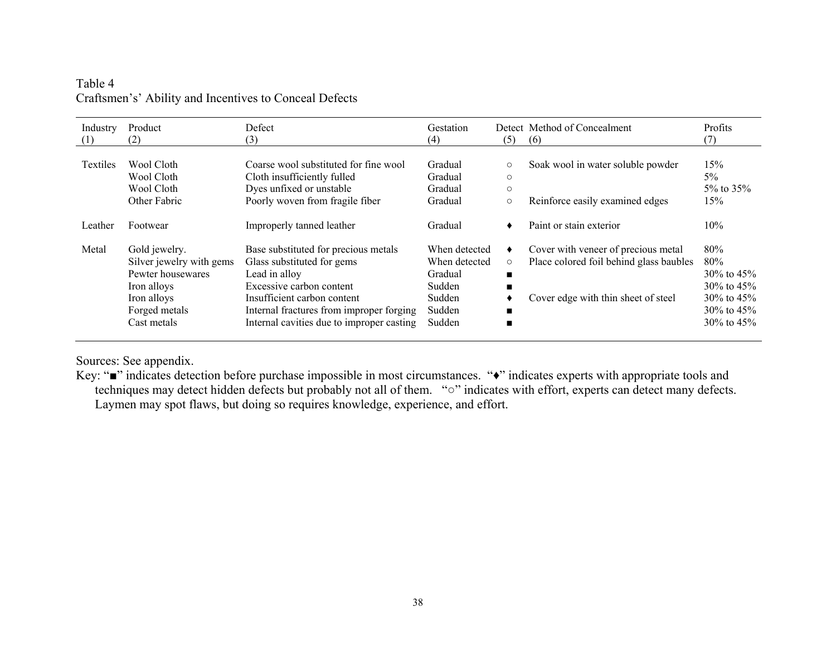| Table 4 |                                                        |
|---------|--------------------------------------------------------|
|         | Craftsmen's' Ability and Incentives to Conceal Defects |

| Industry<br>(1) | Product<br>(2)                                                                                                               | Defect<br>(3)                                                                                                                                                                                                                           | <b>Gestation</b><br>(4)                                                           | (5)                                      | Detect Method of Concealment<br>(6)                                                                                   | Profits<br>(7)                                                                                                    |
|-----------------|------------------------------------------------------------------------------------------------------------------------------|-----------------------------------------------------------------------------------------------------------------------------------------------------------------------------------------------------------------------------------------|-----------------------------------------------------------------------------------|------------------------------------------|-----------------------------------------------------------------------------------------------------------------------|-------------------------------------------------------------------------------------------------------------------|
| Textiles        | Wool Cloth<br>Wool Cloth<br>Wool Cloth<br>Other Fabric                                                                       | Coarse wool substituted for fine wool<br>Cloth insufficiently fulled<br>Dyes unfixed or unstable<br>Poorly woven from fragile fiber                                                                                                     | Gradual<br>Gradual<br>Gradual<br>Gradual                                          | $\circ$<br>$\circ$<br>$\circ$<br>$\circ$ | Soak wool in water soluble powder<br>Reinforce easily examined edges                                                  | 15%<br>$5\%$<br>$5\%$ to $35\%$<br>15%                                                                            |
| Leather         | Footwear                                                                                                                     | Improperly tanned leather                                                                                                                                                                                                               | Gradual                                                                           |                                          | Paint or stain exterior                                                                                               | 10%                                                                                                               |
| Metal           | Gold jewelry.<br>Silver jewelry with gems<br>Pewter housewares<br>Iron alloys<br>Iron alloys<br>Forged metals<br>Cast metals | Base substituted for precious metals<br>Glass substituted for gems<br>Lead in alloy<br>Excessive carbon content<br>Insufficient carbon content<br>Internal fractures from improper forging<br>Internal cavities due to improper casting | When detected<br>When detected<br>Gradual<br>Sudden<br>Sudden<br>Sudden<br>Sudden | $\circ$<br>п<br>п                        | Cover with veneer of precious metal<br>Place colored foil behind glass baubles<br>Cover edge with thin sheet of steel | $80\%$<br>80%<br>$30\%$ to $45\%$<br>$30\%$ to $45\%$<br>$30\%$ to $45\%$<br>$30\%$ to $45\%$<br>$30\%$ to $45\%$ |

Sources: See appendix.

Key: "■" indicates detection before purchase impossible in most circumstances. "♦" indicates experts with appropriate tools and techniques may detect hidden defects but probably not all of them. "○" indicates with effort, experts can detect many defects. Laymen may spot flaws, but doing so requires knowledge, experience, and effort.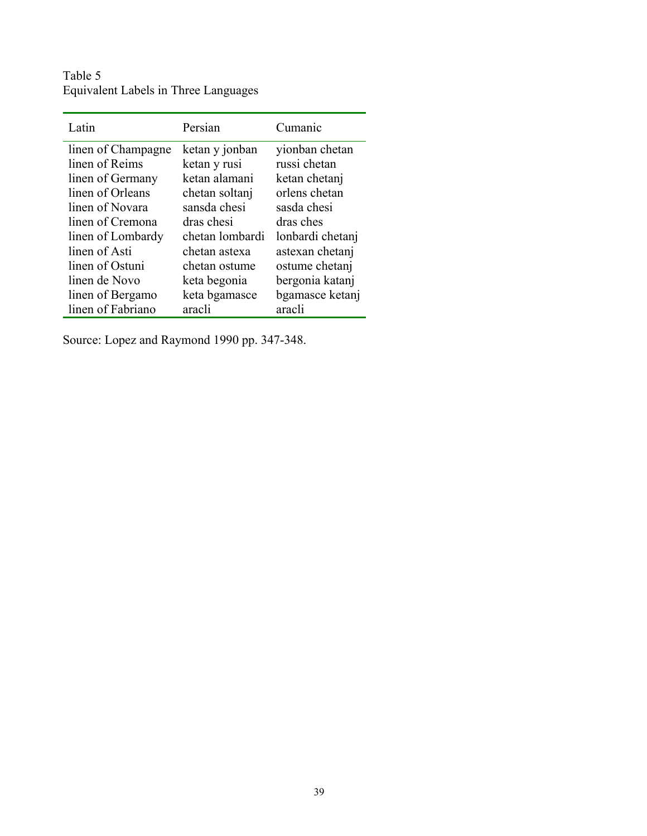Table 5 Equivalent Labels in Three Languages

| Latin              | Persian         | Cumanic          |
|--------------------|-----------------|------------------|
| linen of Champagne | ketan y jonban  | yionban chetan   |
| linen of Reims     | ketan y rusi    | russi chetan     |
| linen of Germany   | ketan alamani   | ketan chetanj    |
| linen of Orleans   | chetan soltanj  | orlens chetan    |
| linen of Novara    | sansda chesi    | sasda chesi      |
| linen of Cremona   | dras chesi      | dras ches        |
| linen of Lombardy  | chetan lombardi | lonbardi chetanj |
| linen of Asti      | chetan astexa   | astexan chetanj  |
| linen of Ostuni    | chetan ostume   | ostume chetanj   |
| linen de Novo      | keta begonia    | bergonia katanj  |
| linen of Bergamo   | keta bgamasce   | bgamasce ketanj  |
| linen of Fabriano  | aracli          | aracli           |

Source: Lopez and Raymond 1990 pp. 347-348.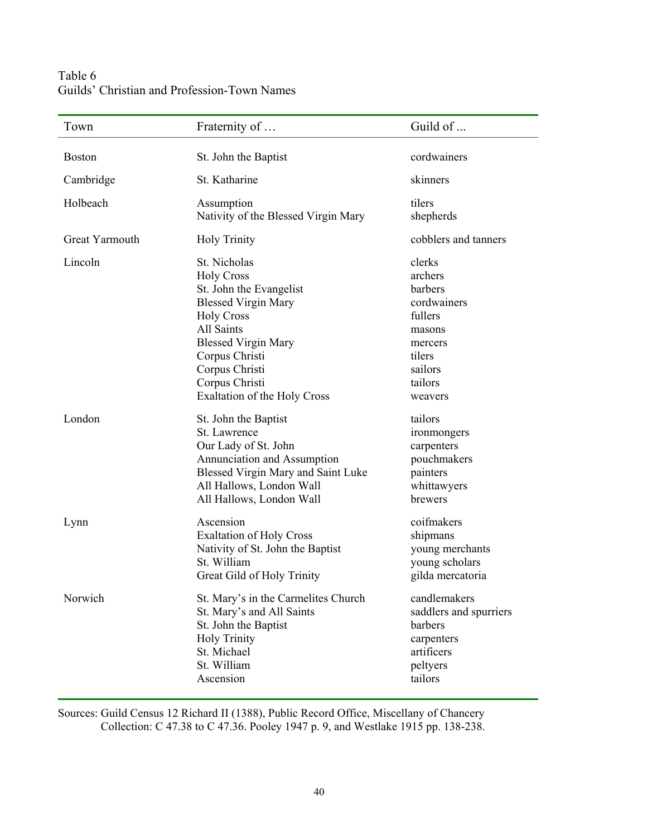| Town           | Fraternity of                                                                                                                                                                                                                                            | Guild of                                                                                                               |
|----------------|----------------------------------------------------------------------------------------------------------------------------------------------------------------------------------------------------------------------------------------------------------|------------------------------------------------------------------------------------------------------------------------|
| <b>Boston</b>  | St. John the Baptist                                                                                                                                                                                                                                     | cordwainers                                                                                                            |
| Cambridge      | St. Katharine                                                                                                                                                                                                                                            | skinners                                                                                                               |
| Holbeach       | Assumption<br>Nativity of the Blessed Virgin Mary                                                                                                                                                                                                        | tilers<br>shepherds                                                                                                    |
| Great Yarmouth | <b>Holy Trinity</b>                                                                                                                                                                                                                                      | cobblers and tanners                                                                                                   |
| Lincoln        | St. Nicholas<br><b>Holy Cross</b><br>St. John the Evangelist<br><b>Blessed Virgin Mary</b><br><b>Holy Cross</b><br>All Saints<br><b>Blessed Virgin Mary</b><br>Corpus Christi<br>Corpus Christi<br>Corpus Christi<br><b>Exaltation of the Holy Cross</b> | clerks<br>archers<br>barbers<br>cordwainers<br>fullers<br>masons<br>mercers<br>tilers<br>sailors<br>tailors<br>weavers |
| London         | St. John the Baptist<br>St. Lawrence<br>Our Lady of St. John<br>Annunciation and Assumption<br>Blessed Virgin Mary and Saint Luke<br>All Hallows, London Wall<br>All Hallows, London Wall                                                                | tailors<br>ironmongers<br>carpenters<br>pouchmakers<br>painters<br>whittawyers<br>brewers                              |
| Lynn           | Ascension<br><b>Exaltation of Holy Cross</b><br>Nativity of St. John the Baptist<br>St. William<br>Great Gild of Holy Trinity                                                                                                                            | coifmakers<br>shipmans<br>young merchants<br>young scholars<br>gilda mercatoria                                        |
| Norwich        | St. Mary's in the Carmelites Church<br>St. Mary's and All Saints<br>St. John the Baptist<br><b>Holy Trinity</b><br>St. Michael<br>St. William<br>Ascension                                                                                               | candlemakers<br>saddlers and spurriers<br>barbers<br>carpenters<br>artificers<br>peltyers<br>tailors                   |

Table 6 Guilds' Christian and Profession-Town Names

Sources: Guild Census 12 Richard II (1388), Public Record Office, Miscellany of Chancery Collection: C 47.38 to C 47.36. Pooley 1947 p. 9, and Westlake 1915 pp. 138-238.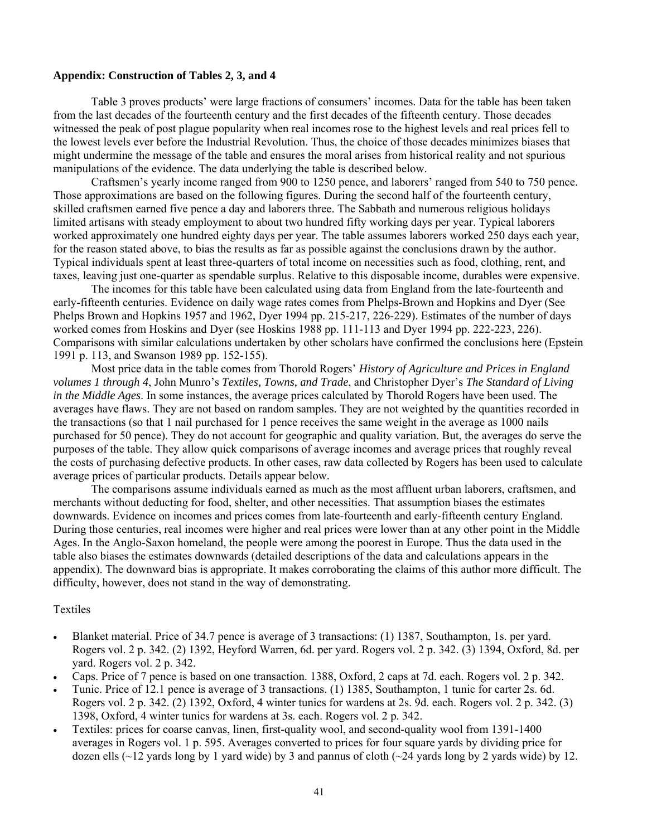#### **Appendix: Construction of Tables 2, 3, and 4**

Table 3 proves products' were large fractions of consumers' incomes. Data for the table has been taken from the last decades of the fourteenth century and the first decades of the fifteenth century. Those decades witnessed the peak of post plague popularity when real incomes rose to the highest levels and real prices fell to the lowest levels ever before the Industrial Revolution. Thus, the choice of those decades minimizes biases that might undermine the message of the table and ensures the moral arises from historical reality and not spurious manipulations of the evidence. The data underlying the table is described below.

Craftsmen's yearly income ranged from 900 to 1250 pence, and laborers' ranged from 540 to 750 pence. Those approximations are based on the following figures. During the second half of the fourteenth century, skilled craftsmen earned five pence a day and laborers three. The Sabbath and numerous religious holidays limited artisans with steady employment to about two hundred fifty working days per year. Typical laborers worked approximately one hundred eighty days per year. The table assumes laborers worked 250 days each year, for the reason stated above, to bias the results as far as possible against the conclusions drawn by the author. Typical individuals spent at least three-quarters of total income on necessities such as food, clothing, rent, and taxes, leaving just one-quarter as spendable surplus. Relative to this disposable income, durables were expensive.

The incomes for this table have been calculated using data from England from the late-fourteenth and early-fifteenth centuries. Evidence on daily wage rates comes from Phelps-Brown and Hopkins and Dyer (See Phelps Brown and Hopkins 1957 and 1962, Dyer 1994 pp. 215-217, 226-229). Estimates of the number of days worked comes from Hoskins and Dyer (see Hoskins 1988 pp. 111-113 and Dyer 1994 pp. 222-223, 226). Comparisons with similar calculations undertaken by other scholars have confirmed the conclusions here (Epstein 1991 p. 113, and Swanson 1989 pp. 152-155).

Most price data in the table comes from Thorold Rogers' *History of Agriculture and Prices in England volumes 1 through 4*, John Munro's *Textiles, Towns, and Trade*, and Christopher Dyer's *The Standard of Living in the Middle Ages*. In some instances, the average prices calculated by Thorold Rogers have been used. The averages have flaws. They are not based on random samples. They are not weighted by the quantities recorded in the transactions (so that 1 nail purchased for 1 pence receives the same weight in the average as 1000 nails purchased for 50 pence). They do not account for geographic and quality variation. But, the averages do serve the purposes of the table. They allow quick comparisons of average incomes and average prices that roughly reveal the costs of purchasing defective products. In other cases, raw data collected by Rogers has been used to calculate average prices of particular products. Details appear below.

The comparisons assume individuals earned as much as the most affluent urban laborers, craftsmen, and merchants without deducting for food, shelter, and other necessities. That assumption biases the estimates downwards. Evidence on incomes and prices comes from late-fourteenth and early-fifteenth century England. During those centuries, real incomes were higher and real prices were lower than at any other point in the Middle Ages. In the Anglo-Saxon homeland, the people were among the poorest in Europe. Thus the data used in the table also biases the estimates downwards (detailed descriptions of the data and calculations appears in the appendix). The downward bias is appropriate. It makes corroborating the claims of this author more difficult. The difficulty, however, does not stand in the way of demonstrating.

#### Textiles

- Blanket material. Price of 34.7 pence is average of 3 transactions: (1) 1387, Southampton, 1s. per yard. Rogers vol. 2 p. 342. (2) 1392, Heyford Warren, 6d. per yard. Rogers vol. 2 p. 342. (3) 1394, Oxford, 8d. per yard. Rogers vol. 2 p. 342.
- Caps. Price of 7 pence is based on one transaction. 1388, Oxford, 2 caps at 7d. each. Rogers vol. 2 p. 342.
- Tunic. Price of 12.1 pence is average of 3 transactions. (1) 1385, Southampton, 1 tunic for carter 2s. 6d. Rogers vol. 2 p. 342. (2) 1392, Oxford, 4 winter tunics for wardens at 2s. 9d. each. Rogers vol. 2 p. 342. (3) 1398, Oxford, 4 winter tunics for wardens at 3s. each. Rogers vol. 2 p. 342.
- Textiles: prices for coarse canvas, linen, first-quality wool, and second-quality wool from 1391-1400 averages in Rogers vol. 1 p. 595. Averages converted to prices for four square yards by dividing price for dozen ells ( $\sim$ 12 yards long by 1 yard wide) by 3 and pannus of cloth ( $\sim$ 24 yards long by 2 yards wide) by 12.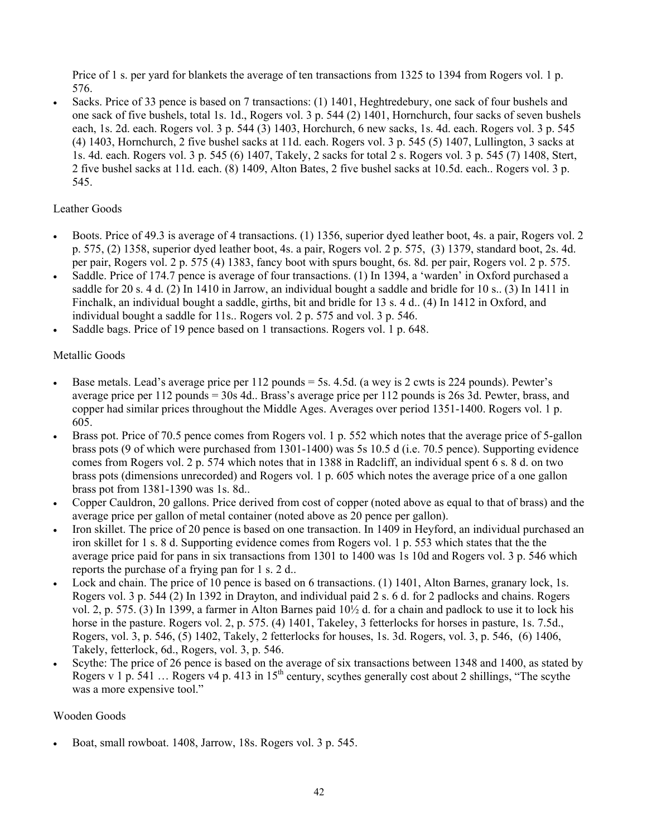Price of 1 s. per yard for blankets the average of ten transactions from 1325 to 1394 from Rogers vol. 1 p. 576.

• Sacks. Price of 33 pence is based on 7 transactions: (1) 1401, Heghtredebury, one sack of four bushels and one sack of five bushels, total 1s. 1d., Rogers vol. 3 p. 544 (2) 1401, Hornchurch, four sacks of seven bushels each, 1s. 2d. each. Rogers vol. 3 p. 544 (3) 1403, Horchurch, 6 new sacks, 1s. 4d. each. Rogers vol. 3 p. 545 (4) 1403, Hornchurch, 2 five bushel sacks at 11d. each. Rogers vol. 3 p. 545 (5) 1407, Lullington, 3 sacks at 1s. 4d. each. Rogers vol. 3 p. 545 (6) 1407, Takely, 2 sacks for total 2 s. Rogers vol. 3 p. 545 (7) 1408, Stert, 2 five bushel sacks at 11d. each. (8) 1409, Alton Bates, 2 five bushel sacks at 10.5d. each.. Rogers vol. 3 p. 545.

# Leather Goods

- Boots. Price of 49.3 is average of 4 transactions. (1) 1356, superior dyed leather boot, 4s. a pair, Rogers vol. 2 p. 575, (2) 1358, superior dyed leather boot, 4s. a pair, Rogers vol. 2 p. 575, (3) 1379, standard boot, 2s. 4d. per pair, Rogers vol. 2 p. 575 (4) 1383, fancy boot with spurs bought, 6s. 8d. per pair, Rogers vol. 2 p. 575.
- Saddle. Price of 174.7 pence is average of four transactions. (1) In 1394, a 'warden' in Oxford purchased a saddle for 20 s. 4 d. (2) In 1410 in Jarrow, an individual bought a saddle and bridle for 10 s.. (3) In 1411 in Finchalk, an individual bought a saddle, girths, bit and bridle for 13 s. 4 d.. (4) In 1412 in Oxford, and individual bought a saddle for 11s.. Rogers vol. 2 p. 575 and vol. 3 p. 546.
- Saddle bags. Price of 19 pence based on 1 transactions. Rogers vol. 1 p. 648.

# Metallic Goods

- Base metals. Lead's average price per 112 pounds = 5s. 4.5d. (a wey is 2 cwts is 224 pounds). Pewter's average price per 112 pounds = 30s 4d.. Brass's average price per 112 pounds is 26s 3d. Pewter, brass, and copper had similar prices throughout the Middle Ages. Averages over period 1351-1400. Rogers vol. 1 p. 605.
- Brass pot. Price of 70.5 pence comes from Rogers vol. 1 p. 552 which notes that the average price of 5-gallon brass pots (9 of which were purchased from 1301-1400) was 5s 10.5 d (i.e. 70.5 pence). Supporting evidence comes from Rogers vol. 2 p. 574 which notes that in 1388 in Radcliff, an individual spent 6 s. 8 d. on two brass pots (dimensions unrecorded) and Rogers vol. 1 p. 605 which notes the average price of a one gallon brass pot from 1381-1390 was 1s. 8d..
- Copper Cauldron, 20 gallons. Price derived from cost of copper (noted above as equal to that of brass) and the average price per gallon of metal container (noted above as 20 pence per gallon).
- Iron skillet. The price of 20 pence is based on one transaction. In 1409 in Heyford, an individual purchased an iron skillet for 1 s. 8 d. Supporting evidence comes from Rogers vol. 1 p. 553 which states that the the average price paid for pans in six transactions from 1301 to 1400 was 1s 10d and Rogers vol. 3 p. 546 which reports the purchase of a frying pan for 1 s. 2 d..
- Lock and chain. The price of 10 pence is based on 6 transactions. (1) 1401, Alton Barnes, granary lock, 1s. Rogers vol. 3 p. 544 (2) In 1392 in Drayton, and individual paid 2 s. 6 d. for 2 padlocks and chains. Rogers vol. 2, p. 575. (3) In 1399, a farmer in Alton Barnes paid 10½ d. for a chain and padlock to use it to lock his horse in the pasture. Rogers vol. 2, p. 575. (4) 1401, Takeley, 3 fetterlocks for horses in pasture, 1s. 7.5d., Rogers, vol. 3, p. 546, (5) 1402, Takely, 2 fetterlocks for houses, 1s. 3d. Rogers, vol. 3, p. 546, (6) 1406, Takely, fetterlock, 6d., Rogers, vol. 3, p. 546.
- Scythe: The price of 26 pence is based on the average of six transactions between 1348 and 1400, as stated by Rogers v 1 p. 541 ... Rogers v4 p. 413 in 15<sup>th</sup> century, scythes generally cost about 2 shillings, "The scythe was a more expensive tool."

# Wooden Goods

• Boat, small rowboat. 1408, Jarrow, 18s. Rogers vol. 3 p. 545.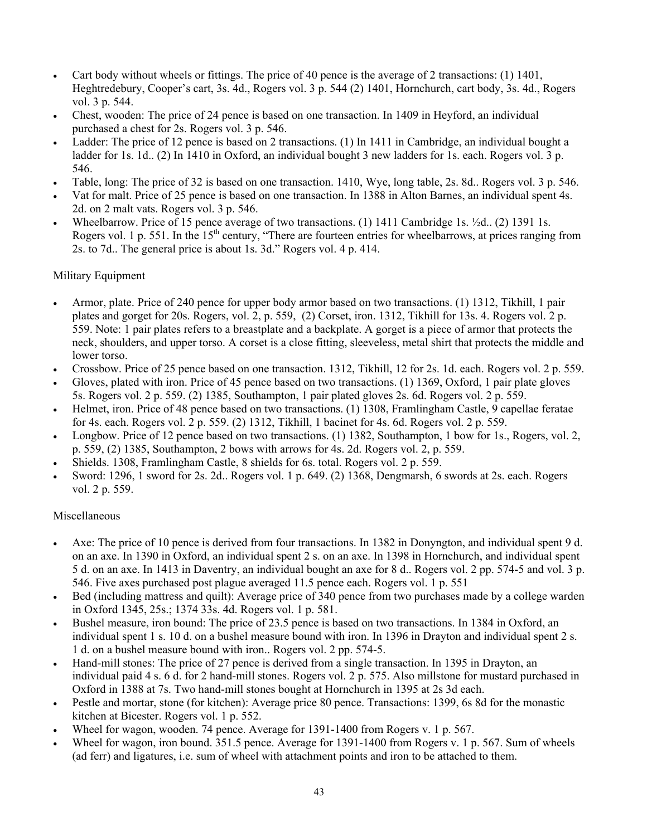- Cart body without wheels or fittings. The price of 40 pence is the average of 2 transactions: (1) 1401, Heghtredebury, Cooper's cart, 3s. 4d., Rogers vol. 3 p. 544 (2) 1401, Hornchurch, cart body, 3s. 4d., Rogers vol. 3 p. 544.
- Chest, wooden: The price of 24 pence is based on one transaction. In 1409 in Heyford, an individual purchased a chest for 2s. Rogers vol. 3 p. 546.
- Ladder: The price of 12 pence is based on 2 transactions. (1) In 1411 in Cambridge, an individual bought a ladder for 1s. 1d.. (2) In 1410 in Oxford, an individual bought 3 new ladders for 1s. each. Rogers vol. 3 p. 546.
- Table, long: The price of 32 is based on one transaction. 1410, Wye, long table, 2s. 8d.. Rogers vol. 3 p. 546.
- Vat for malt. Price of 25 pence is based on one transaction. In 1388 in Alton Barnes, an individual spent 4s. 2d. on 2 malt vats. Rogers vol. 3 p. 546.
- Wheelbarrow. Price of 15 pence average of two transactions. (1) 1411 Cambridge 1s. ½d.. (2) 1391 1s. Rogers vol. 1 p. 551. In the 15<sup>th</sup> century, "There are fourteen entries for wheelbarrows, at prices ranging from 2s. to 7d.. The general price is about 1s. 3d." Rogers vol. 4 p. 414.

# Military Equipment

- Armor, plate. Price of 240 pence for upper body armor based on two transactions. (1) 1312, Tikhill, 1 pair plates and gorget for 20s. Rogers, vol. 2, p. 559, (2) Corset, iron. 1312, Tikhill for 13s. 4. Rogers vol. 2 p. 559. Note: 1 pair plates refers to a breastplate and a backplate. A gorget is a piece of armor that protects the neck, shoulders, and upper torso. A corset is a close fitting, sleeveless, metal shirt that protects the middle and lower torso.
- Crossbow. Price of 25 pence based on one transaction. 1312, Tikhill, 12 for 2s. 1d. each. Rogers vol. 2 p. 559.
- Gloves, plated with iron. Price of 45 pence based on two transactions. (1) 1369, Oxford, 1 pair plate gloves 5s. Rogers vol. 2 p. 559. (2) 1385, Southampton, 1 pair plated gloves 2s. 6d. Rogers vol. 2 p. 559.
- Helmet, iron. Price of 48 pence based on two transactions. (1) 1308, Framlingham Castle, 9 capellae feratae for 4s. each. Rogers vol. 2 p. 559. (2) 1312, Tikhill, 1 bacinet for 4s. 6d. Rogers vol. 2 p. 559.
- Longbow. Price of 12 pence based on two transactions. (1) 1382, Southampton, 1 bow for 1s., Rogers, vol. 2, p. 559, (2) 1385, Southampton, 2 bows with arrows for 4s. 2d. Rogers vol. 2, p. 559.
- Shields. 1308, Framlingham Castle, 8 shields for 6s. total. Rogers vol. 2 p. 559.
- Sword: 1296, 1 sword for 2s. 2d.. Rogers vol. 1 p. 649. (2) 1368, Dengmarsh, 6 swords at 2s. each. Rogers vol. 2 p. 559.

# Miscellaneous

- Axe: The price of 10 pence is derived from four transactions. In 1382 in Donyngton, and individual spent 9 d. on an axe. In 1390 in Oxford, an individual spent 2 s. on an axe. In 1398 in Hornchurch, and individual spent 5 d. on an axe. In 1413 in Daventry, an individual bought an axe for 8 d.. Rogers vol. 2 pp. 574-5 and vol. 3 p. 546. Five axes purchased post plague averaged 11.5 pence each. Rogers vol. 1 p. 551
- Bed (including mattress and quilt): Average price of 340 pence from two purchases made by a college warden in Oxford 1345, 25s.; 1374 33s. 4d. Rogers vol. 1 p. 581.
- Bushel measure, iron bound: The price of 23.5 pence is based on two transactions. In 1384 in Oxford, an individual spent 1 s. 10 d. on a bushel measure bound with iron. In 1396 in Drayton and individual spent 2 s. 1 d. on a bushel measure bound with iron.. Rogers vol. 2 pp. 574-5.
- Hand-mill stones: The price of 27 pence is derived from a single transaction. In 1395 in Drayton, an individual paid 4 s. 6 d. for 2 hand-mill stones. Rogers vol. 2 p. 575. Also millstone for mustard purchased in Oxford in 1388 at 7s. Two hand-mill stones bought at Hornchurch in 1395 at 2s 3d each.
- Pestle and mortar, stone (for kitchen): Average price 80 pence. Transactions: 1399, 6s 8d for the monastic kitchen at Bicester. Rogers vol. 1 p. 552.
- Wheel for wagon, wooden. 74 pence. Average for 1391-1400 from Rogers v. 1 p. 567.
- Wheel for wagon, iron bound. 351.5 pence. Average for 1391-1400 from Rogers v. 1 p. 567. Sum of wheels (ad ferr) and ligatures, i.e. sum of wheel with attachment points and iron to be attached to them.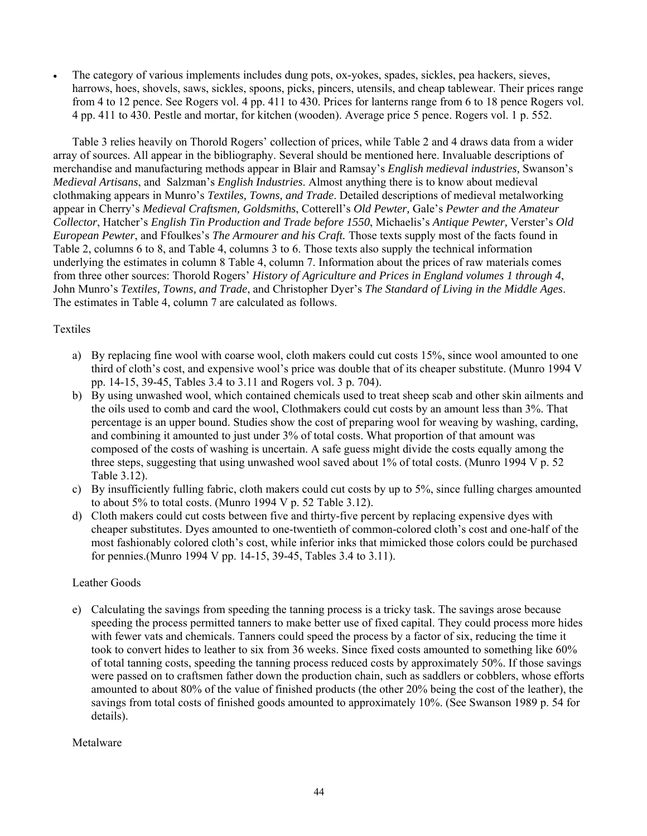• The category of various implements includes dung pots, ox-yokes, spades, sickles, pea hackers, sieves, harrows, hoes, shovels, saws, sickles, spoons, picks, pincers, utensils, and cheap tablewear. Their prices range from 4 to 12 pence. See Rogers vol. 4 pp. 411 to 430. Prices for lanterns range from 6 to 18 pence Rogers vol. 4 pp. 411 to 430. Pestle and mortar, for kitchen (wooden). Average price 5 pence. Rogers vol. 1 p. 552.

Table 3 relies heavily on Thorold Rogers' collection of prices, while Table 2 and 4 draws data from a wider array of sources. All appear in the bibliography. Several should be mentioned here. Invaluable descriptions of merchandise and manufacturing methods appear in Blair and Ramsay's *English medieval industries,* Swanson's *Medieval Artisans*, and Salzman's *English Industries*. Almost anything there is to know about medieval clothmaking appears in Munro's *Textiles, Towns, and Trade*. Detailed descriptions of medieval metalworking appear in Cherry's *Medieval Craftsmen, Goldsmiths*, Cotterell's *Old Pewter,* Gale's *Pewter and the Amateur Collector*, Hatcher's *English Tin Production and Trade before 1550*, Michaelis's *Antique Pewter,* Verster's *Old European Pewter*, and Ffoulkes's *The Armourer and his Craft.* Those texts supply most of the facts found in Table 2, columns 6 to 8, and Table 4, columns 3 to 6. Those texts also supply the technical information underlying the estimates in column 8 Table 4, column 7. Information about the prices of raw materials comes from three other sources: Thorold Rogers' *History of Agriculture and Prices in England volumes 1 through 4*, John Munro's *Textiles, Towns, and Trade*, and Christopher Dyer's *The Standard of Living in the Middle Ages*. The estimates in Table 4, column 7 are calculated as follows.

# Textiles

- a) By replacing fine wool with coarse wool, cloth makers could cut costs 15%, since wool amounted to one third of cloth's cost, and expensive wool's price was double that of its cheaper substitute. (Munro 1994 V pp. 14-15, 39-45, Tables 3.4 to 3.11 and Rogers vol. 3 p. 704).
- b) By using unwashed wool, which contained chemicals used to treat sheep scab and other skin ailments and the oils used to comb and card the wool, Clothmakers could cut costs by an amount less than 3%. That percentage is an upper bound. Studies show the cost of preparing wool for weaving by washing, carding, and combining it amounted to just under 3% of total costs. What proportion of that amount was composed of the costs of washing is uncertain. A safe guess might divide the costs equally among the three steps, suggesting that using unwashed wool saved about 1% of total costs. (Munro 1994 V p. 52 Table 3.12).
- c) By insufficiently fulling fabric, cloth makers could cut costs by up to 5%, since fulling charges amounted to about 5% to total costs. (Munro 1994 V p. 52 Table 3.12).
- d) Cloth makers could cut costs between five and thirty-five percent by replacing expensive dyes with cheaper substitutes. Dyes amounted to one-twentieth of common-colored cloth's cost and one-half of the most fashionably colored cloth's cost, while inferior inks that mimicked those colors could be purchased for pennies.(Munro 1994 V pp. 14-15, 39-45, Tables 3.4 to 3.11).

#### Leather Goods

e) Calculating the savings from speeding the tanning process is a tricky task. The savings arose because speeding the process permitted tanners to make better use of fixed capital. They could process more hides with fewer vats and chemicals. Tanners could speed the process by a factor of six, reducing the time it took to convert hides to leather to six from 36 weeks. Since fixed costs amounted to something like 60% of total tanning costs, speeding the tanning process reduced costs by approximately 50%. If those savings were passed on to craftsmen father down the production chain, such as saddlers or cobblers, whose efforts amounted to about 80% of the value of finished products (the other 20% being the cost of the leather), the savings from total costs of finished goods amounted to approximately 10%. (See Swanson 1989 p. 54 for details).

#### Metalware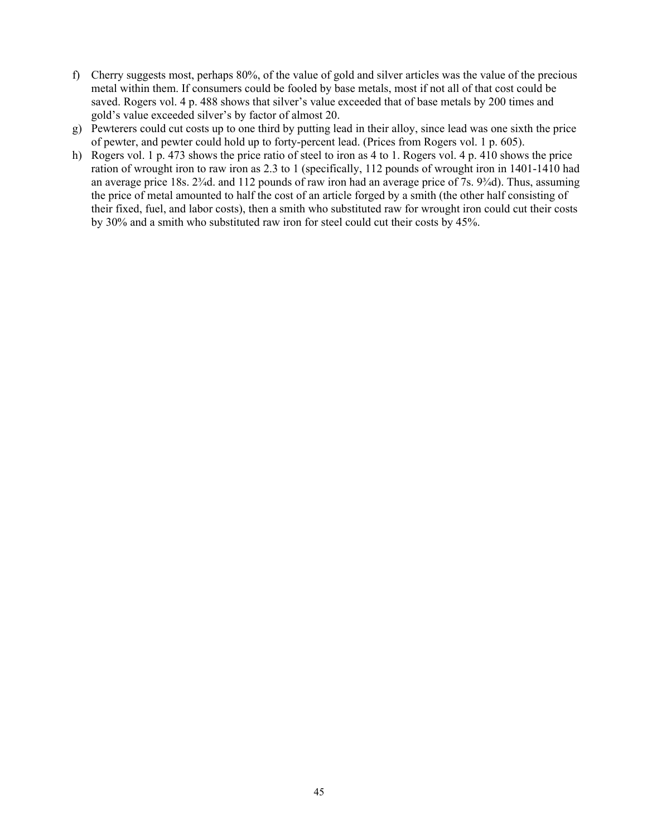- f) Cherry suggests most, perhaps 80%, of the value of gold and silver articles was the value of the precious metal within them. If consumers could be fooled by base metals, most if not all of that cost could be saved. Rogers vol. 4 p. 488 shows that silver's value exceeded that of base metals by 200 times and gold's value exceeded silver's by factor of almost 20.
- g) Pewterers could cut costs up to one third by putting lead in their alloy, since lead was one sixth the price of pewter, and pewter could hold up to forty-percent lead. (Prices from Rogers vol. 1 p. 605).
- h) Rogers vol. 1 p. 473 shows the price ratio of steel to iron as 4 to 1. Rogers vol. 4 p. 410 shows the price ration of wrought iron to raw iron as 2.3 to 1 (specifically, 112 pounds of wrought iron in 1401-1410 had an average price 18s. 2¾d. and 112 pounds of raw iron had an average price of 7s. 9¾d). Thus, assuming the price of metal amounted to half the cost of an article forged by a smith (the other half consisting of their fixed, fuel, and labor costs), then a smith who substituted raw for wrought iron could cut their costs by 30% and a smith who substituted raw iron for steel could cut their costs by 45%.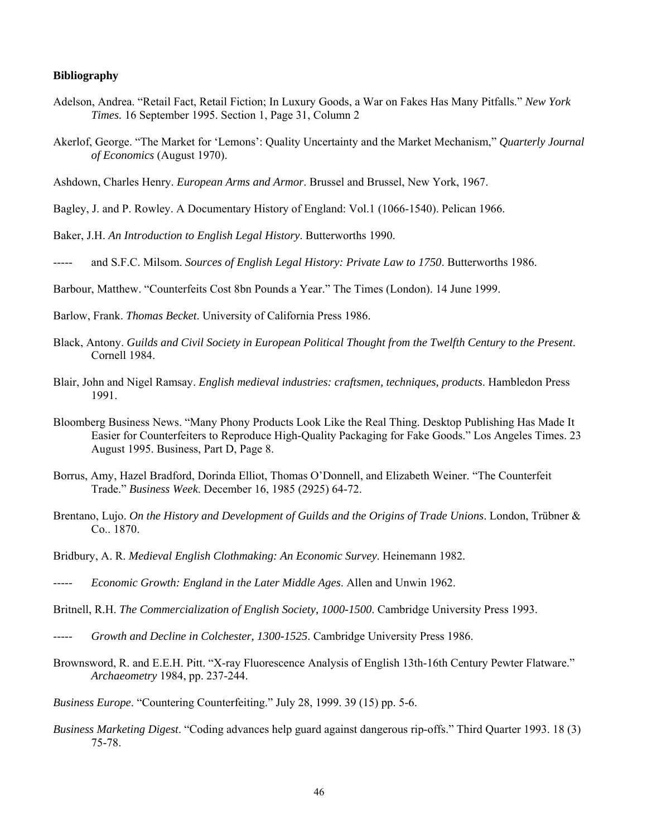#### **Bibliography**

- Adelson, Andrea. "Retail Fact, Retail Fiction; In Luxury Goods, a War on Fakes Has Many Pitfalls." *New York Times.* 16 September 1995. Section 1, Page 31, Column 2
- Akerlof, George. "The Market for 'Lemons': Quality Uncertainty and the Market Mechanism," *Quarterly Journal of Economics* (August 1970).
- Ashdown, Charles Henry. *European Arms and Armor*. Brussel and Brussel, New York, 1967.
- Bagley, J. and P. Rowley. A Documentary History of England: Vol.1 (1066-1540). Pelican 1966.
- Baker, J.H. *An Introduction to English Legal History*. Butterworths 1990.
- ----- and S.F.C. Milsom. *Sources of English Legal History: Private Law to 1750*. Butterworths 1986.
- Barbour, Matthew. "Counterfeits Cost 8bn Pounds a Year." The Times (London). 14 June 1999.
- Barlow, Frank. *Thomas Becket*. University of California Press 1986.
- Black, Antony. *Guilds and Civil Society in European Political Thought from the Twelfth Century to the Present*. Cornell 1984.
- Blair, John and Nigel Ramsay. *English medieval industries: craftsmen, techniques, products*. Hambledon Press 1991.
- Bloomberg Business News. "Many Phony Products Look Like the Real Thing. Desktop Publishing Has Made It Easier for Counterfeiters to Reproduce High-Quality Packaging for Fake Goods." Los Angeles Times. 23 August 1995. Business, Part D, Page 8.
- Borrus, Amy, Hazel Bradford, Dorinda Elliot, Thomas O'Donnell, and Elizabeth Weiner. "The Counterfeit Trade." *Business Week*. December 16, 1985 (2925) 64-72.
- Brentano, Lujo. *On the History and Development of Guilds and the Origins of Trade Unions*. London, Trübner & Co.. 1870.
- Bridbury, A. R. *Medieval English Clothmaking: An Economic Survey*. Heinemann 1982.
- ----- *Economic Growth: England in the Later Middle Ages*. Allen and Unwin 1962.
- Britnell, R.H. *The Commercialization of English Society, 1000-1500*. Cambridge University Press 1993.
- ----- *Growth and Decline in Colchester, 1300-1525*. Cambridge University Press 1986.
- Brownsword, R. and E.E.H. Pitt. "X-ray Fluorescence Analysis of English 13th-16th Century Pewter Flatware." *Archaeometry* 1984, pp. 237-244.
- *Business Europe*. "Countering Counterfeiting." July 28, 1999. 39 (15) pp. 5-6.
- *Business Marketing Digest*. "Coding advances help guard against dangerous rip-offs." Third Quarter 1993. 18 (3) 75-78.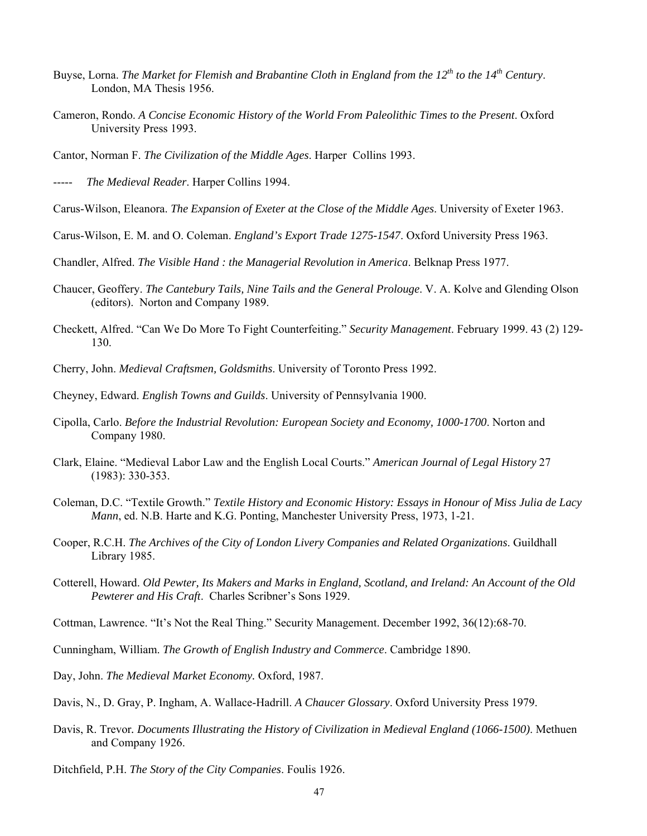- Buyse, Lorna. *The Market for Flemish and Brabantine Cloth in England from the 12<sup>th</sup> to the 14<sup>th</sup> Century.* London, MA Thesis 1956.
- Cameron, Rondo. *A Concise Economic History of the World From Paleolithic Times to the Present*. Oxford University Press 1993.
- Cantor, Norman F. *The Civilization of the Middle Ages*. Harper Collins 1993.

----- *The Medieval Reader*. Harper Collins 1994.

- Carus-Wilson, Eleanora. *The Expansion of Exeter at the Close of the Middle Ages*. University of Exeter 1963.
- Carus-Wilson, E. M. and O. Coleman. *England's Export Trade 1275-1547*. Oxford University Press 1963.
- Chandler, Alfred. *The Visible Hand : the Managerial Revolution in America*. Belknap Press 1977.
- Chaucer, Geoffery. *The Cantebury Tails, Nine Tails and the General Prolouge*. V. A. Kolve and Glending Olson (editors). Norton and Company 1989.
- Checkett, Alfred. "Can We Do More To Fight Counterfeiting." *Security Management*. February 1999. 43 (2) 129- 130.
- Cherry, John. *Medieval Craftsmen, Goldsmiths*. University of Toronto Press 1992.
- Cheyney, Edward. *English Towns and Guilds*. University of Pennsylvania 1900.
- Cipolla, Carlo. *Before the Industrial Revolution: European Society and Economy, 1000-1700*. Norton and Company 1980.
- Clark, Elaine. "Medieval Labor Law and the English Local Courts." *American Journal of Legal History* 27 (1983): 330-353.
- Coleman, D.C. "Textile Growth." *Textile History and Economic History: Essays in Honour of Miss Julia de Lacy Mann*, ed. N.B. Harte and K.G. Ponting, Manchester University Press, 1973, 1-21.
- Cooper, R.C.H. *The Archives of the City of London Livery Companies and Related Organizations*. Guildhall Library 1985.
- Cotterell, Howard. *Old Pewter, Its Makers and Marks in England, Scotland, and Ireland: An Account of the Old Pewterer and His Craft*. Charles Scribner's Sons 1929.
- Cottman, Lawrence. "It's Not the Real Thing." Security Management. December 1992, 36(12):68-70.
- Cunningham, William. *The Growth of English Industry and Commerce*. Cambridge 1890.
- Day, John. *The Medieval Market Economy.* Oxford, 1987.
- Davis, N., D. Gray, P. Ingham, A. Wallace-Hadrill. *A Chaucer Glossary*. Oxford University Press 1979.
- Davis, R. Trevor*. Documents Illustrating the History of Civilization in Medieval England (1066-1500)*. Methuen and Company 1926.
- Ditchfield, P.H. *The Story of the City Companies*. Foulis 1926.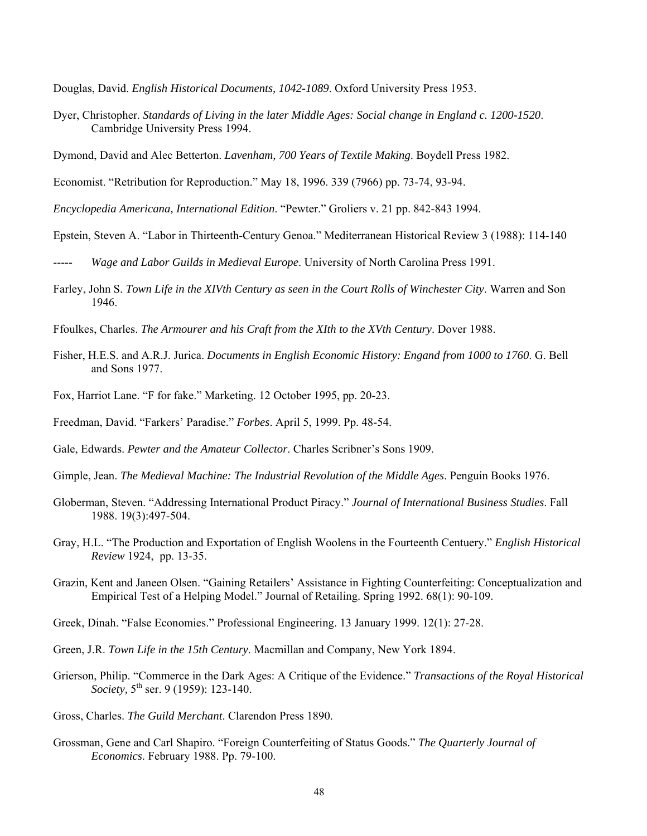- Douglas, David. *English Historical Documents, 1042-1089*. Oxford University Press 1953.
- Dyer, Christopher. *Standards of Living in the later Middle Ages: Social change in England c. 1200-1520*. Cambridge University Press 1994.
- Dymond, David and Alec Betterton. *Lavenham, 700 Years of Textile Making*. Boydell Press 1982.
- Economist. "Retribution for Reproduction." May 18, 1996. 339 (7966) pp. 73-74, 93-94.

*Encyclopedia Americana, International Edition*. "Pewter." Groliers v. 21 pp. 842-843 1994.

- Epstein, Steven A. "Labor in Thirteenth-Century Genoa." Mediterranean Historical Review 3 (1988): 114-140
- *Wage and Labor Guilds in Medieval Europe*. University of North Carolina Press 1991.
- Farley, John S. *Town Life in the XIVth Century as seen in the Court Rolls of Winchester City*. Warren and Son 1946.
- Ffoulkes, Charles. *The Armourer and his Craft from the XIth to the XVth Century*. Dover 1988.
- Fisher, H.E.S. and A.R.J. Jurica. *Documents in English Economic History: Engand from 1000 to 1760*. G. Bell and Sons 1977.
- Fox, Harriot Lane. "F for fake." Marketing. 12 October 1995, pp. 20-23.
- Freedman, David. "Farkers' Paradise." *Forbes*. April 5, 1999. Pp. 48-54.
- Gale, Edwards. *Pewter and the Amateur Collector*. Charles Scribner's Sons 1909.
- Gimple, Jean. *The Medieval Machine: The Industrial Revolution of the Middle Ages*. Penguin Books 1976.
- Globerman, Steven. "Addressing International Product Piracy." *Journal of International Business Studies*. Fall 1988. 19(3):497-504.
- Gray, H.L. "The Production and Exportation of English Woolens in the Fourteenth Centuery." *English Historical Review* 1924, pp. 13-35.
- Grazin, Kent and Janeen Olsen. "Gaining Retailers' Assistance in Fighting Counterfeiting: Conceptualization and Empirical Test of a Helping Model." Journal of Retailing. Spring 1992. 68(1): 90-109.
- Greek, Dinah. "False Economies." Professional Engineering. 13 January 1999. 12(1): 27-28.
- Green, J.R. *Town Life in the 15th Century*. Macmillan and Company, New York 1894.
- Grierson, Philip. "Commerce in the Dark Ages: A Critique of the Evidence." *Transactions of the Royal Historical Society*,  $5^{th}$  ser. 9 (1959): 123-140.
- Gross, Charles. *The Guild Merchant*. Clarendon Press 1890.
- Grossman, Gene and Carl Shapiro. "Foreign Counterfeiting of Status Goods." *The Quarterly Journal of Economics*. February 1988. Pp. 79-100.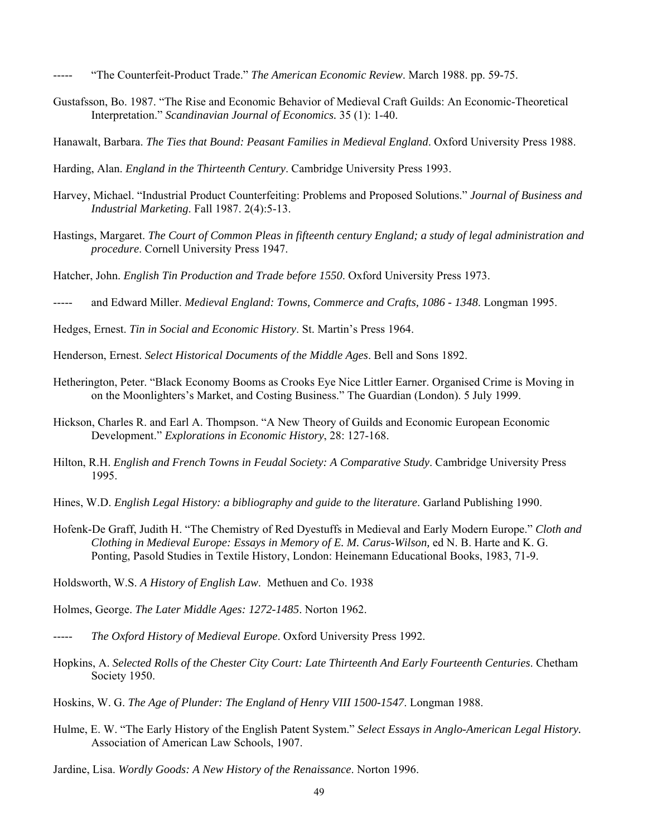- "The Counterfeit-Product Trade." *The American Economic Review*. March 1988. pp. 59-75.
- Gustafsson, Bo. 1987. "The Rise and Economic Behavior of Medieval Craft Guilds: An Economic-Theoretical Interpretation." *Scandinavian Journal of Economics.* 35 (1): 1-40.
- Hanawalt, Barbara. *The Ties that Bound: Peasant Families in Medieval England*. Oxford University Press 1988.
- Harding, Alan. *England in the Thirteenth Century*. Cambridge University Press 1993.
- Harvey, Michael. "Industrial Product Counterfeiting: Problems and Proposed Solutions." *Journal of Business and Industrial Marketing*. Fall 1987. 2(4):5-13.
- Hastings, Margaret. *The Court of Common Pleas in fifteenth century England; a study of legal administration and procedure*. Cornell University Press 1947.
- Hatcher, John. *English Tin Production and Trade before 1550*. Oxford University Press 1973.
- and Edward Miller. *Medieval England: Towns, Commerce and Crafts, 1086 1348*. Longman 1995.
- Hedges, Ernest. *Tin in Social and Economic History*. St. Martin's Press 1964.
- Henderson, Ernest. *Select Historical Documents of the Middle Ages*. Bell and Sons 1892.
- Hetherington, Peter. "Black Economy Booms as Crooks Eye Nice Littler Earner. Organised Crime is Moving in on the Moonlighters's Market, and Costing Business." The Guardian (London). 5 July 1999.
- Hickson, Charles R. and Earl A. Thompson. "A New Theory of Guilds and Economic European Economic Development." *Explorations in Economic History*, 28: 127-168.
- Hilton, R.H. *English and French Towns in Feudal Society: A Comparative Study*. Cambridge University Press 1995.
- Hines, W.D. *English Legal History: a bibliography and guide to the literature*. Garland Publishing 1990.
- Hofenk-De Graff, Judith H. "The Chemistry of Red Dyestuffs in Medieval and Early Modern Europe." *Cloth and Clothing in Medieval Europe: Essays in Memory of E. M. Carus-Wilson,* ed N. B. Harte and K. G. Ponting, Pasold Studies in Textile History, London: Heinemann Educational Books, 1983, 71-9.
- Holdsworth, W.S. *A History of English Law*. Methuen and Co. 1938
- Holmes, George. *The Later Middle Ages: 1272-1485*. Norton 1962.
- The Oxford History of Medieval Europe. Oxford University Press 1992.
- Hopkins, A. *Selected Rolls of the Chester City Court: Late Thirteenth And Early Fourteenth Centuries*. Chetham Society 1950.
- Hoskins, W. G. *The Age of Plunder: The England of Henry VIII 1500-1547*. Longman 1988.
- Hulme, E. W. "The Early History of the English Patent System." *Select Essays in Anglo-American Legal History.*  Association of American Law Schools, 1907.
- Jardine, Lisa. *Wordly Goods: A New History of the Renaissance*. Norton 1996.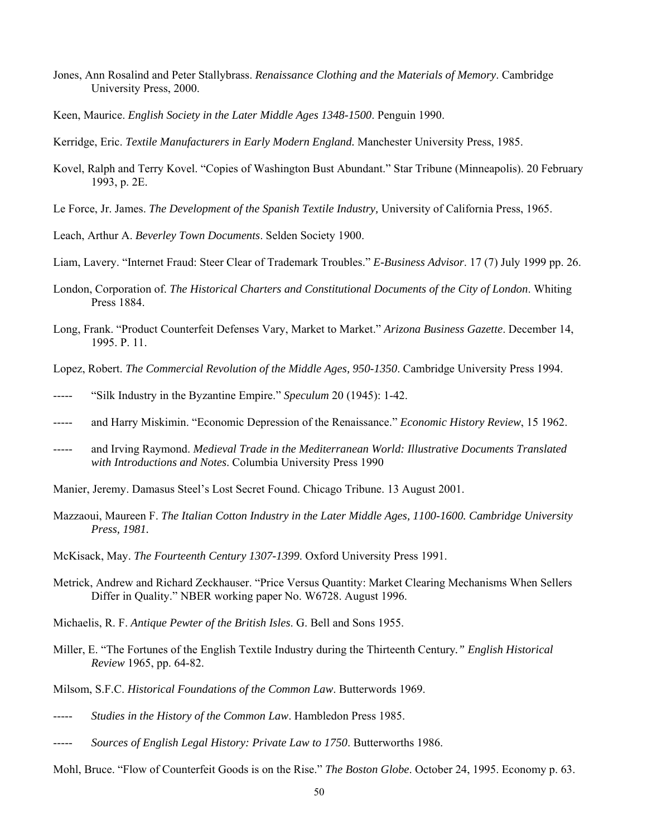- Jones, Ann Rosalind and Peter Stallybrass. *Renaissance Clothing and the Materials of Memory*. Cambridge University Press, 2000.
- Keen, Maurice. *English Society in the Later Middle Ages 1348-1500*. Penguin 1990.
- Kerridge, Eric. *Textile Manufacturers in Early Modern England.* Manchester University Press, 1985.
- Kovel, Ralph and Terry Kovel. "Copies of Washington Bust Abundant." Star Tribune (Minneapolis). 20 February 1993, p. 2E.
- Le Force, Jr. James. *The Development of the Spanish Textile Industry,* University of California Press, 1965.
- Leach, Arthur A. *Beverley Town Documents*. Selden Society 1900.
- Liam, Lavery. "Internet Fraud: Steer Clear of Trademark Troubles." *E-Business Advisor*. 17 (7) July 1999 pp. 26.
- London, Corporation of. *The Historical Charters and Constitutional Documents of the City of London*. Whiting Press 1884.
- Long, Frank. "Product Counterfeit Defenses Vary, Market to Market." *Arizona Business Gazette*. December 14, 1995. P. 11.
- Lopez, Robert. *The Commercial Revolution of the Middle Ages, 950-1350*. Cambridge University Press 1994.
- "Silk Industry in the Byzantine Empire." *Speculum* 20 (1945): 1-42.
- ----- and Harry Miskimin. "Economic Depression of the Renaissance." *Economic History Review*, 15 1962.
- ----- and Irving Raymond. *Medieval Trade in the Mediterranean World: Illustrative Documents Translated with Introductions and Notes*. Columbia University Press 1990
- Manier, Jeremy. Damasus Steel's Lost Secret Found. Chicago Tribune. 13 August 2001.
- Mazzaoui, Maureen F. *The Italian Cotton Industry in the Later Middle Ages, 1100-1600. Cambridge University Press, 1981.*
- McKisack, May. *The Fourteenth Century 1307-1399*. Oxford University Press 1991.
- Metrick, Andrew and Richard Zeckhauser. "Price Versus Quantity: Market Clearing Mechanisms When Sellers Differ in Quality." NBER working paper No. W6728. August 1996.
- Michaelis, R. F. *Antique Pewter of the British Isles*. G. Bell and Sons 1955.
- Miller, E. "The Fortunes of the English Textile Industry during the Thirteenth Century*." English Historical Review* 1965, pp. 64-82.
- Milsom, S.F.C. *Historical Foundations of the Common Law*. Butterwords 1969.
- ----- *Studies in the History of the Common Law*. Hambledon Press 1985.
- ----- *Sources of English Legal History: Private Law to 1750*. Butterworths 1986.
- Mohl, Bruce. "Flow of Counterfeit Goods is on the Rise." *The Boston Globe*. October 24, 1995. Economy p. 63.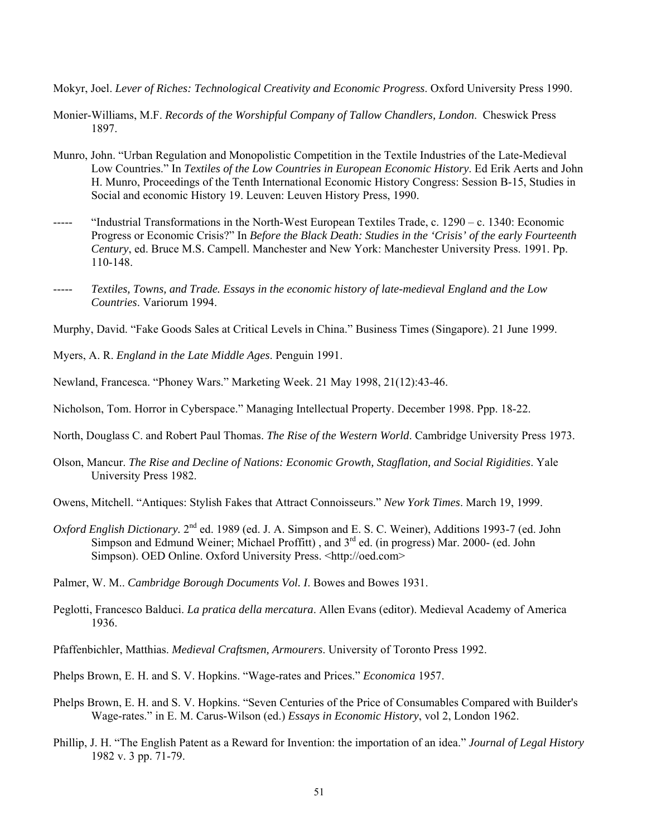- Mokyr, Joel. *Lever of Riches: Technological Creativity and Economic Progress*. Oxford University Press 1990.
- Monier-Williams, M.F. *Records of the Worshipful Company of Tallow Chandlers, London*. Cheswick Press 1897.
- Munro, John. "Urban Regulation and Monopolistic Competition in the Textile Industries of the Late-Medieval Low Countries." In *Textiles of the Low Countries in European Economic History*. Ed Erik Aerts and John H. Munro, Proceedings of the Tenth International Economic History Congress: Session B-15, Studies in Social and economic History 19. Leuven: Leuven History Press, 1990.
- "Industrial Transformations in the North-West European Textiles Trade, c.  $1290 c$ . 1340: Economic Progress or Economic Crisis?" In *Before the Black Death: Studies in the 'Crisis' of the early Fourteenth Century*, ed. Bruce M.S. Campell. Manchester and New York: Manchester University Press. 1991. Pp. 110-148.
- Textiles, Towns, and Trade. Essays in the economic history of late-medieval England and the Low *Countries*. Variorum 1994.

Murphy, David. "Fake Goods Sales at Critical Levels in China." Business Times (Singapore). 21 June 1999.

Myers, A. R. *England in the Late Middle Ages*. Penguin 1991.

Newland, Francesca. "Phoney Wars." Marketing Week. 21 May 1998, 21(12):43-46.

Nicholson, Tom. Horror in Cyberspace." Managing Intellectual Property. December 1998. Ppp. 18-22.

- North, Douglass C. and Robert Paul Thomas. *The Rise of the Western World*. Cambridge University Press 1973.
- Olson, Mancur. *The Rise and Decline of Nations: Economic Growth, Stagflation, and Social Rigidities*. Yale University Press 1982.
- Owens, Mitchell. "Antiques: Stylish Fakes that Attract Connoisseurs." *New York Times*. March 19, 1999.
- *Oxford English Dictionary.* 2nd ed. 1989 (ed. J. A. Simpson and E. S. C. Weiner), Additions 1993-7 (ed. John Simpson and Edmund Weiner; Michael Proffitt), and  $3<sup>rd</sup>$  ed. (in progress) Mar. 2000- (ed. John Simpson). OED Online. Oxford University Press. <http://oed.com>

Palmer, W. M.. *Cambridge Borough Documents Vol. I*. Bowes and Bowes 1931.

Peglotti, Francesco Balduci. *La pratica della mercatura*. Allen Evans (editor). Medieval Academy of America 1936.

Pfaffenbichler, Matthias. *Medieval Craftsmen, Armourers*. University of Toronto Press 1992.

Phelps Brown, E. H. and S. V. Hopkins. "Wage-rates and Prices." *Economica* 1957.

- Phelps Brown, E. H. and S. V. Hopkins. "Seven Centuries of the Price of Consumables Compared with Builder's Wage-rates." in E. M. Carus-Wilson (ed.) *Essays in Economic History*, vol 2, London 1962.
- Phillip, J. H. "The English Patent as a Reward for Invention: the importation of an idea." *Journal of Legal History* 1982 v. 3 pp. 71-79.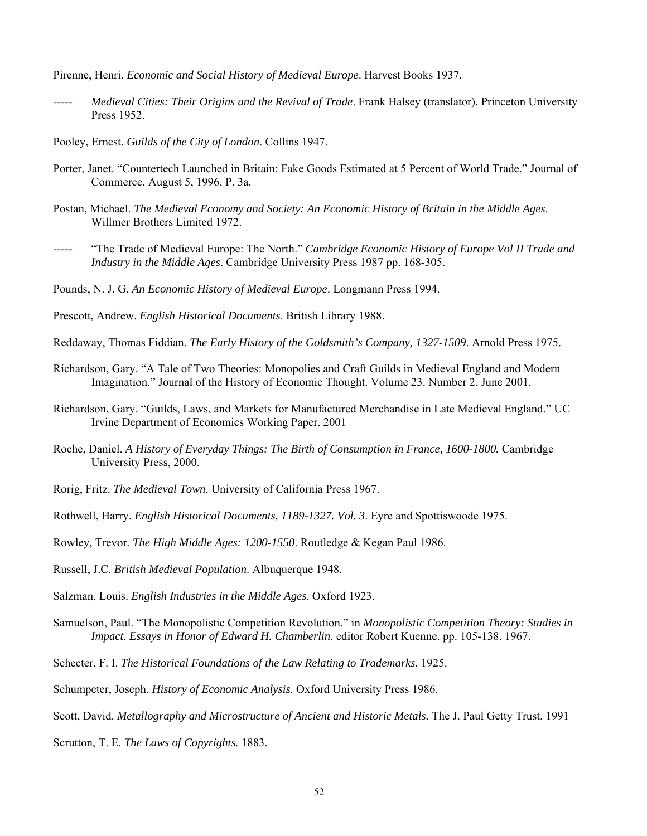Pirenne, Henri. *Economic and Social History of Medieval Europe*. Harvest Books 1937.

- ----- *Medieval Cities: Their Origins and the Revival of Trade*. Frank Halsey (translator). Princeton University Press 1952.
- Pooley, Ernest. *Guilds of the City of London*. Collins 1947.
- Porter, Janet. "Countertech Launched in Britain: Fake Goods Estimated at 5 Percent of World Trade." Journal of Commerce. August 5, 1996. P. 3a.
- Postan, Michael. *The Medieval Economy and Society: An Economic History of Britain in the Middle Ages*. Willmer Brothers Limited 1972.
- ----- "The Trade of Medieval Europe: The North." *Cambridge Economic History of Europe Vol II Trade and Industry in the Middle Ages*. Cambridge University Press 1987 pp. 168-305.
- Pounds, N. J. G. *An Economic History of Medieval Europe*. Longmann Press 1994.
- Prescott, Andrew. *English Historical Documents*. British Library 1988.
- Reddaway, Thomas Fiddian. *The Early History of the Goldsmith's Company, 1327-1509*. Arnold Press 1975.
- Richardson, Gary. "A Tale of Two Theories: Monopolies and Craft Guilds in Medieval England and Modern Imagination." Journal of the History of Economic Thought. Volume 23. Number 2. June 2001.
- Richardson, Gary. "Guilds, Laws, and Markets for Manufactured Merchandise in Late Medieval England." UC Irvine Department of Economics Working Paper. 2001
- Roche, Daniel. *A History of Everyday Things: The Birth of Consumption in France, 1600-1800.* Cambridge University Press, 2000.
- Rorig, Fritz. *The Medieval Town*. University of California Press 1967.
- Rothwell, Harry. *English Historical Documents, 1189-1327. Vol. 3*. Eyre and Spottiswoode 1975.
- Rowley, Trevor. *The High Middle Ages: 1200-1550*. Routledge & Kegan Paul 1986.
- Russell, J.C. *British Medieval Population*. Albuquerque 1948.
- Salzman, Louis. *English Industries in the Middle Ages*. Oxford 1923.
- Samuelson, Paul. "The Monopolistic Competition Revolution." in *Monopolistic Competition Theory: Studies in Impact. Essays in Honor of Edward H. Chamberlin*. editor Robert Kuenne. pp. 105-138. 1967.
- Schecter, F. I. *The Historical Foundations of the Law Relating to Trademarks.* 1925.
- Schumpeter, Joseph. *History of Economic Analysis*. Oxford University Press 1986.
- Scott, David. *Metallography and Microstructure of Ancient and Historic Metals.* The J. Paul Getty Trust. 1991
- Scrutton, T. E. *The Laws of Copyrights.* 1883.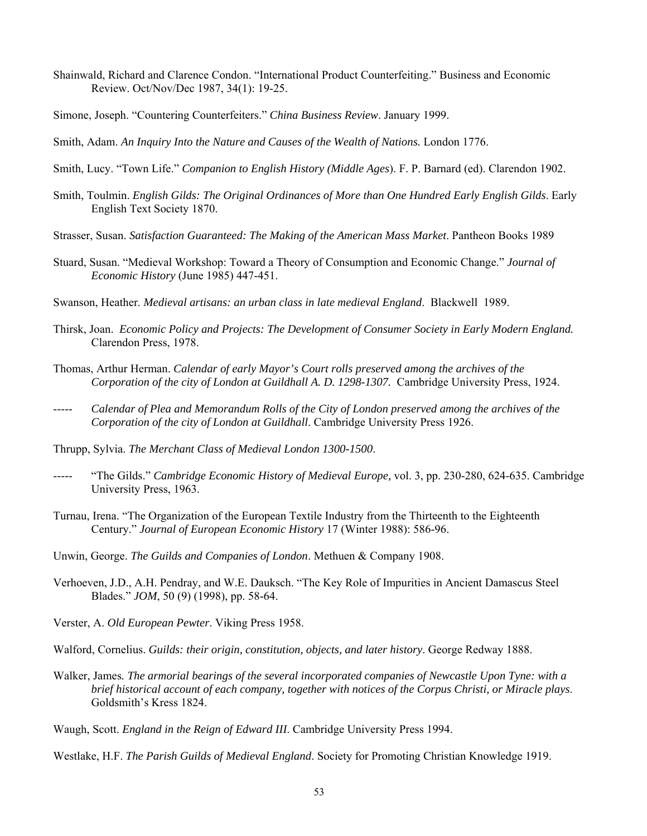- Shainwald, Richard and Clarence Condon. "International Product Counterfeiting." Business and Economic Review. Oct/Nov/Dec 1987, 34(1): 19-25.
- Simone, Joseph. "Countering Counterfeiters." *China Business Review*. January 1999.
- Smith, Adam. *An Inquiry Into the Nature and Causes of the Wealth of Nations.* London 1776.
- Smith, Lucy. "Town Life." *Companion to English History (Middle Ages*). F. P. Barnard (ed). Clarendon 1902.
- Smith, Toulmin. *English Gilds: The Original Ordinances of More than One Hundred Early English Gilds*. Early English Text Society 1870.
- Strasser, Susan. *Satisfaction Guaranteed: The Making of the American Mass Market*. Pantheon Books 1989
- Stuard, Susan. "Medieval Workshop: Toward a Theory of Consumption and Economic Change." *Journal of Economic History* (June 1985) 447-451.
- Swanson, Heather. *Medieval artisans: an urban class in late medieval England*. Blackwell 1989.
- Thirsk, Joan. *Economic Policy and Projects: The Development of Consumer Society in Early Modern England.*  Clarendon Press, 1978.
- Thomas, Arthur Herman. *Calendar of early Mayor's Court rolls preserved among the archives of the Corporation of the city of London at Guildhall A. D. 1298-1307.* Cambridge University Press, 1924.
- ----- *Calendar of Plea and Memorandum Rolls of the City of London preserved among the archives of the Corporation of the city of London at Guildhall*. Cambridge University Press 1926.
- Thrupp, Sylvia. *The Merchant Class of Medieval London 1300-1500*.
- ----- "The Gilds." *Cambridge Economic History of Medieval Europe,* vol. 3, pp. 230-280, 624-635. Cambridge University Press, 1963.
- Turnau, Irena. "The Organization of the European Textile Industry from the Thirteenth to the Eighteenth Century." *Journal of European Economic History* 17 (Winter 1988): 586-96.
- Unwin, George. *The Guilds and Companies of London*. Methuen & Company 1908.
- Verhoeven, J.D., A.H. Pendray, and W.E. Dauksch. "The Key Role of Impurities in Ancient Damascus Steel Blades." *JOM*, 50 (9) (1998), pp. 58-64.
- Verster, A. *Old European Pewter*. Viking Press 1958.
- Walford, Cornelius. *Guilds: their origin, constitution, objects, and later history*. George Redway 1888.
- Walker, James*. The armorial bearings of the several incorporated companies of Newcastle Upon Tyne: with a brief historical account of each company, together with notices of the Corpus Christi, or Miracle plays*. Goldsmith's Kress 1824.
- Waugh, Scott. *England in the Reign of Edward III*. Cambridge University Press 1994.
- Westlake, H.F. *The Parish Guilds of Medieval England*. Society for Promoting Christian Knowledge 1919.